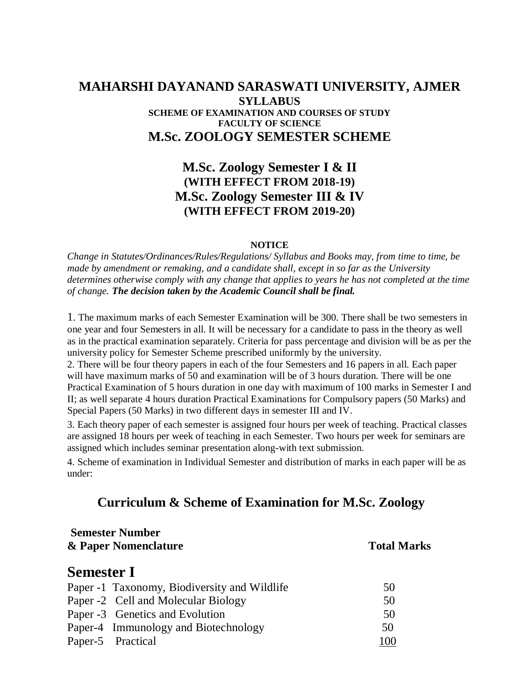### **MAHARSHI DAYANAND SARASWATI UNIVERSITY, AJMER SYLLABUS SCHEME OF EXAMINATION AND COURSES OF STUDY FACULTY OF SCIENCE M.Sc. ZOOLOGY SEMESTER SCHEME**

# **M.Sc. Zoology Semester I & II (WITH EFFECT FROM 2018-19) M.Sc. Zoology Semester III & IV (WITH EFFECT FROM 2019-20)**

#### **NOTICE**

*Change in Statutes/Ordinances/Rules/Regulations/ Syllabus and Books may, from time to time, be made by amendment or remaking, and a candidate shall, except in so far as the University determines otherwise comply with any change that applies to years he has not completed at the time of change. The decision taken by the Academic Council shall be final.*

1. The maximum marks of each Semester Examination will be 300. There shall be two semesters in one year and four Semesters in all. It will be necessary for a candidate to pass in the theory as well as in the practical examination separately. Criteria for pass percentage and division will be as per the university policy for Semester Scheme prescribed uniformly by the university.

2. There will be four theory papers in each of the four Semesters and 16 papers in all. Each paper will have maximum marks of 50 and examination will be of 3 hours duration. There will be one Practical Examination of 5 hours duration in one day with maximum of 100 marks in Semester I and II; as well separate 4 hours duration Practical Examinations for Compulsory papers (50 Marks) and Special Papers (50 Marks) in two different days in semester III and IV.

3. Each theory paper of each semester is assigned four hours per week of teaching. Practical classes are assigned 18 hours per week of teaching in each Semester. Two hours per week for seminars are assigned which includes seminar presentation along-with text submission.

4. Scheme of examination in Individual Semester and distribution of marks in each paper will be as under:

# **Curriculum & Scheme of Examination for M.Sc. Zoology**

| <b>Total Marks</b> |
|--------------------|
|                    |
| 50                 |
| 50                 |
| 50                 |
| 50                 |
| 100                |
|                    |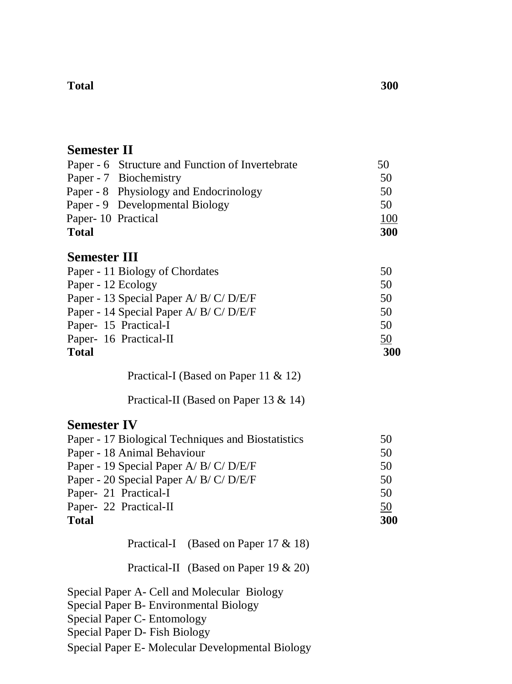#### **Total 300**

# **Semester II**

|                    | Paper - 6 Structure and Function of Invertebrate | 50         |
|--------------------|--------------------------------------------------|------------|
|                    | Paper - 7 Biochemistry                           | 50         |
|                    | Paper - 8 Physiology and Endocrinology           | 50         |
|                    | Paper - 9 Developmental Biology                  | 50         |
| Paper-10 Practical |                                                  | 100        |
| <b>Total</b>       |                                                  | <b>300</b> |
|                    |                                                  |            |

# **Semester III**

| Paper - 11 Biology of Chordates         | 50  |
|-----------------------------------------|-----|
| Paper - 12 Ecology                      | 50  |
| Paper - 13 Special Paper A/ B/ C/ D/E/F | 50  |
| Paper - 14 Special Paper A/ B/ C/ D/E/F | 50  |
| Paper- 15 Practical-I                   | 50  |
| Paper- 16 Practical-II                  | 50  |
| <b>Total</b>                            | 300 |

Practical-I (Based on Paper 11 & 12)

Practical-II (Based on Paper 13 & 14)

# **Semester IV**

| Paper - 17 Biological Techniques and Biostatistics | 50  |
|----------------------------------------------------|-----|
| Paper - 18 Animal Behaviour                        | 50  |
| Paper - 19 Special Paper A/ B/ C/ D/E/F            | 50  |
| Paper - 20 Special Paper A/ B/ C/ D/E/F            | 50  |
| Paper- 21 Practical-I                              | 50  |
| Paper- 22 Practical-II                             | 50  |
| <b>Total</b>                                       | 300 |

Practical-I (Based on Paper 17 & 18)

Practical-II (Based on Paper 19 & 20)

Special Paper A- Cell and Molecular Biology

Special Paper B- Environmental Biology

Special Paper C- Entomology

Special Paper D- Fish Biology

Special Paper E- Molecular Developmental Biology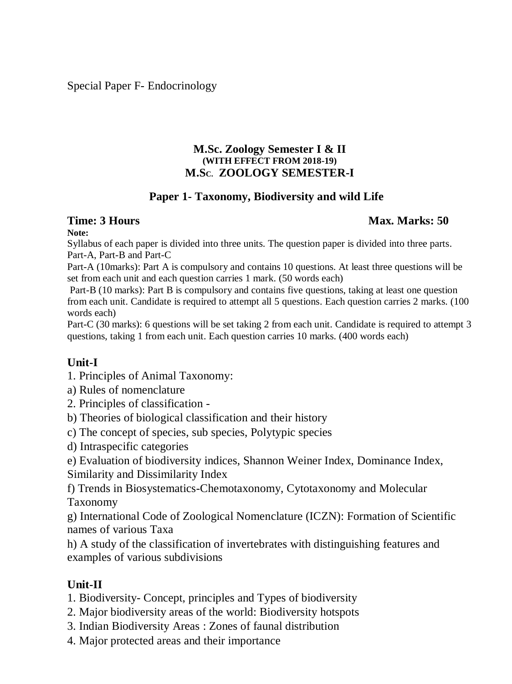Special Paper F- Endocrinology

#### **M.Sc. Zoology Semester I & II (WITH EFFECT FROM 2018-19) M.SC. ZOOLOGY SEMESTER-I**

# **Paper 1- Taxonomy, Biodiversity and wild Life**

## **Time: 3 Hours Max. Marks: 50 Max. Marks: 50 Max. Marks: 50 Max. Marks: 50 Max. Marks: 50 Max. Marks: 50 Max. Marks: 50 Max. Marks: 50 Max. Marks: 50 Max. Marks: 50 Max. Marks: 50 Max. Marks: 50**  $\mu$

#### **Note:**

Syllabus of each paper is divided into three units. The question paper is divided into three parts. Part-A, Part-B and Part-C

Part-A (10marks): Part A is compulsory and contains 10 questions. At least three questions will be set from each unit and each question carries 1 mark. (50 words each)

Part-B (10 marks): Part B is compulsory and contains five questions, taking at least one question from each unit. Candidate is required to attempt all 5 questions. Each question carries 2 marks. (100 words each)

Part-C (30 marks): 6 questions will be set taking 2 from each unit. Candidate is required to attempt 3 questions, taking 1 from each unit. Each question carries 10 marks. (400 words each)

# **Unit-I**

- 1. Principles of Animal Taxonomy:
- a) Rules of nomenclature
- 2. Principles of classification -
- b) Theories of biological classification and their history
- c) The concept of species, sub species, Polytypic species
- d) Intraspecific categories
- e) Evaluation of biodiversity indices, Shannon Weiner Index, Dominance Index,

Similarity and Dissimilarity Index

f) Trends in Biosystematics-Chemotaxonomy, Cytotaxonomy and Molecular Taxonomy

g) International Code of Zoological Nomenclature (ICZN): Formation of Scientific names of various Taxa

h) A study of the classification of invertebrates with distinguishing features and examples of various subdivisions

# **Unit-II**

- 1. Biodiversity- Concept, principles and Types of biodiversity
- 2. Major biodiversity areas of the world: Biodiversity hotspots
- 3. Indian Biodiversity Areas : Zones of faunal distribution
- 4. Major protected areas and their importance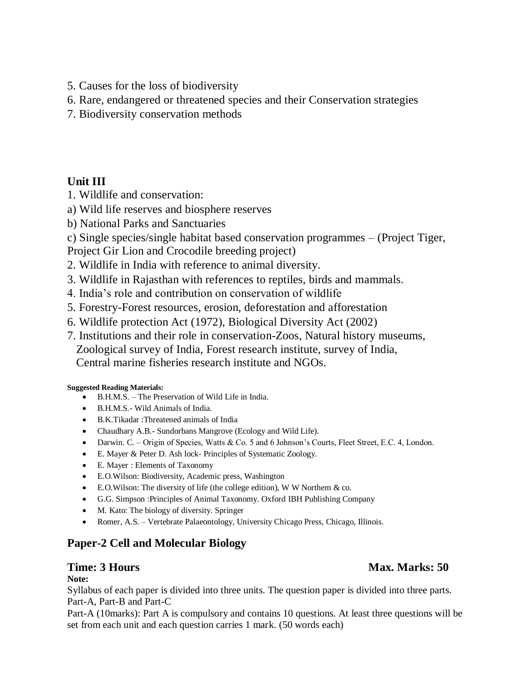- 5. Causes for the loss of biodiversity
- 6. Rare, endangered or threatened species and their Conservation strategies
- 7. Biodiversity conservation methods

# **Unit III**

- 1. Wildlife and conservation:
- a) Wild life reserves and biosphere reserves
- b) National Parks and Sanctuaries
- c) Single species/single habitat based conservation programmes (Project Tiger,
- Project Gir Lion and Crocodile breeding project)
- 2. Wildlife in India with reference to animal diversity.
- 3. Wildlife in Rajasthan with references to reptiles, birds and mammals.
- 4. India's role and contribution on conservation of wildlife
- 5. Forestry-Forest resources, erosion, deforestation and afforestation
- 6. Wildlife protection Act (1972), Biological Diversity Act (2002)
- 7. Institutions and their role in conservation-Zoos, Natural history museums, Zoological survey of India, Forest research institute, survey of India, Central marine fisheries research institute and NGOs.

#### **Suggested Reading Materials:**

- B.H.M.S. The Preservation of Wild Life in India.
- B.H.M.S.- Wild Animals of India.
- B.K.Tikadar :Threatened animals of India
- Chaudhary A.B.- Sundorbans Mangrove (Ecology and Wild Life).
- Darwin. C. Origin of Species, Watts & Co. 5 and 6 Johnson's Courts, Fleet Street, E.C. 4, London.
- E. Mayer & Peter D. Ash lock- Principles of Systematic Zoology.
- E. Mayer : Elements of Taxonomy
- E.O.Wilson: Biodiversity, Academic press, Washington
- E.O.Wilson: The diversity of life (the college edition), W W Northem & co.
- G.G. Simpson :Principles of Animal Taxonomy. Oxford IBH Publishing Company
- M. Kato: The biology of diversity. Springer
- Romer, A.S. Vertebrate Palaeontology, University Chicago Press, Chicago, Illinois.

# **Paper-2 Cell and Molecular Biology**

#### **Note:**

Syllabus of each paper is divided into three units. The question paper is divided into three parts. Part-A, Part-B and Part-C

Part-A (10marks): Part A is compulsory and contains 10 questions. At least three questions will be set from each unit and each question carries 1 mark. (50 words each)

# **Time: 3 Hours** Max. Marks: 50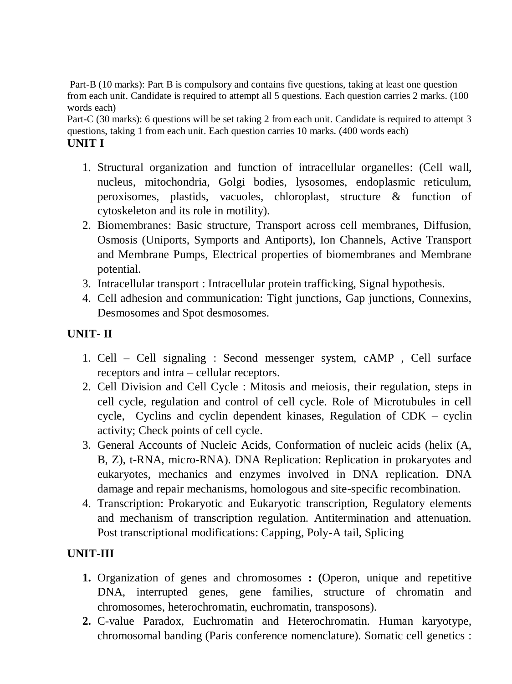Part-B (10 marks): Part B is compulsory and contains five questions, taking at least one question from each unit. Candidate is required to attempt all 5 questions. Each question carries 2 marks. (100 words each)

Part-C (30 marks): 6 questions will be set taking 2 from each unit. Candidate is required to attempt 3 questions, taking 1 from each unit. Each question carries 10 marks. (400 words each) **UNIT I**

- 1. Structural organization and function of intracellular organelles: (Cell wall, nucleus, mitochondria, Golgi bodies, lysosomes, endoplasmic reticulum, peroxisomes, plastids, vacuoles, chloroplast, structure & function of cytoskeleton and its role in motility).
- 2. Biomembranes: Basic structure, Transport across cell membranes, Diffusion, Osmosis (Uniports, Symports and Antiports), Ion Channels, Active Transport and Membrane Pumps, Electrical properties of biomembranes and Membrane potential.
- 3. Intracellular transport : Intracellular protein trafficking, Signal hypothesis.
- 4. Cell adhesion and communication: Tight junctions, Gap junctions, Connexins, Desmosomes and Spot desmosomes.

# **UNIT- II**

- 1. Cell Cell signaling : Second messenger system, cAMP , Cell surface receptors and intra – cellular receptors.
- 2. Cell Division and Cell Cycle : Mitosis and meiosis, their regulation, steps in cell cycle, regulation and control of cell cycle. Role of Microtubules in cell cycle, Cyclins and cyclin dependent kinases, Regulation of CDK – cyclin activity; Check points of cell cycle.
- 3. General Accounts of Nucleic Acids, Conformation of nucleic acids (helix (A, B, Z), t-RNA, micro-RNA). DNA Replication: Replication in prokaryotes and eukaryotes, mechanics and enzymes involved in DNA replication. DNA damage and repair mechanisms, homologous and site-specific recombination.
- 4. Transcription: Prokaryotic and Eukaryotic transcription, Regulatory elements and mechanism of transcription regulation. Antitermination and attenuation. Post transcriptional modifications: Capping, Poly-A tail, Splicing

## **UNIT-III**

- **1.** Organization of genes and chromosomes **: (**Operon, unique and repetitive DNA, interrupted genes, gene families, structure of chromatin and chromosomes, heterochromatin, euchromatin, transposons).
- **2.** C-value Paradox, Euchromatin and Heterochromatin. Human karyotype, chromosomal banding (Paris conference nomenclature). Somatic cell genetics :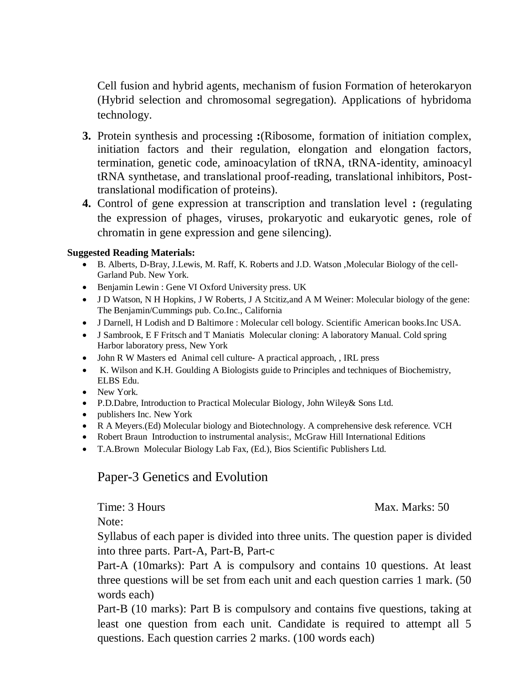Cell fusion and hybrid agents, mechanism of fusion Formation of heterokaryon (Hybrid selection and chromosomal segregation). Applications of hybridoma technology.

- **3.** Protein synthesis and processing **:**(Ribosome, formation of initiation complex, initiation factors and their regulation, elongation and elongation factors, termination, genetic code, aminoacylation of tRNA, tRNA-identity, aminoacyl tRNA synthetase, and translational proof-reading, translational inhibitors, Posttranslational modification of proteins).
- **4.** Control of gene expression at transcription and translation level **:** (regulating the expression of phages, viruses, prokaryotic and eukaryotic genes, role of chromatin in gene expression and gene silencing).

#### **Suggested Reading Materials:**

- B. Alberts, D-Bray, J.Lewis, M. Raff, K. Roberts and J.D. Watson ,Molecular Biology of the cell-Garland Pub. New York.
- Benjamin Lewin : Gene VI Oxford University press. UK
- J D Watson, N H Hopkins, J W Roberts, J A Stcitiz, and A M Weiner: Molecular biology of the gene: The Benjamin/Cummings pub. Co.Inc., California
- J Darnell, H Lodish and D Baltimore : Molecular cell bology. Scientific American books.Inc USA.
- J Sambrook, E F Fritsch and T Maniatis Molecular cloning: A laboratory Manual. Cold spring Harbor laboratory press, New York
- John R W Masters ed Animal cell culture- A practical approach, , IRL press
- K. Wilson and K.H. Goulding A Biologists guide to Principles and techniques of Biochemistry, ELBS Edu.
- New York.
- P.D.Dabre, Introduction to Practical Molecular Biology, John Wiley& Sons Ltd.
- publishers Inc. New York
- R A Meyers.(Ed) Molecular biology and Biotechnology. A comprehensive desk reference. VCH
- Robert Braun Introduction to instrumental analysis:, McGraw Hill International Editions
- T.A.Brown Molecular Biology Lab Fax, (Ed.), Bios Scientific Publishers Ltd.

# Paper-3 Genetics and Evolution

Time: 3 Hours Max. Marks: 50

Note:

Syllabus of each paper is divided into three units. The question paper is divided into three parts. Part-A, Part-B, Part-c

Part-A (10marks): Part A is compulsory and contains 10 questions. At least three questions will be set from each unit and each question carries 1 mark. (50 words each)

Part-B (10 marks): Part B is compulsory and contains five questions, taking at least one question from each unit. Candidate is required to attempt all 5 questions. Each question carries 2 marks. (100 words each)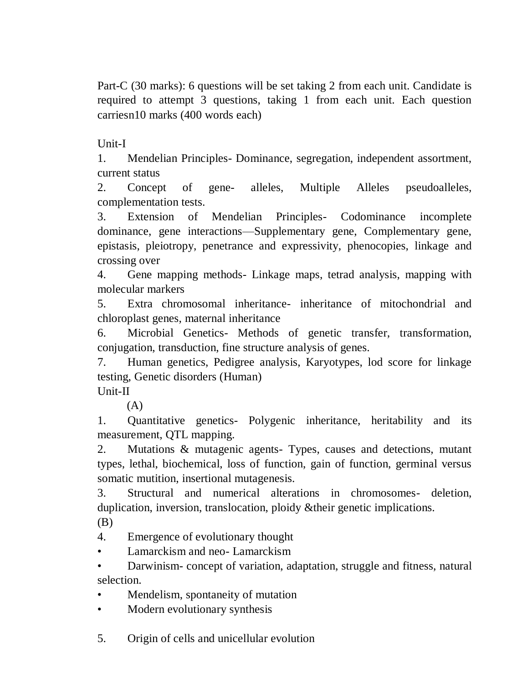Part-C (30 marks): 6 questions will be set taking 2 from each unit. Candidate is required to attempt 3 questions, taking 1 from each unit. Each question carriesn10 marks (400 words each)

Unit-I

1. Mendelian Principles- Dominance, segregation, independent assortment, current status

2. Concept of gene- alleles, Multiple Alleles pseudoalleles, complementation tests.

3. Extension of Mendelian Principles- Codominance incomplete dominance, gene interactions—Supplementary gene, Complementary gene, epistasis, pleiotropy, penetrance and expressivity, phenocopies, linkage and crossing over

4. Gene mapping methods- Linkage maps, tetrad analysis, mapping with molecular markers

5. Extra chromosomal inheritance- inheritance of mitochondrial and chloroplast genes, maternal inheritance

6. Microbial Genetics- Methods of genetic transfer, transformation, conjugation, transduction, fine structure analysis of genes.

7. Human genetics, Pedigree analysis, Karyotypes, lod score for linkage testing, Genetic disorders (Human)

Unit-II

 $(A)$ 

1. Quantitative genetics- Polygenic inheritance, heritability and its measurement, QTL mapping.

2. Mutations & mutagenic agents- Types, causes and detections, mutant types, lethal, biochemical, loss of function, gain of function, germinal versus somatic mutition, insertional mutagenesis.

3. Structural and numerical alterations in chromosomes- deletion, duplication, inversion, translocation, ploidy &their genetic implications.

(B)

4. Emergence of evolutionary thought

- Lamarckism and neo- Lamarckism
- Darwinism- concept of variation, adaptation, struggle and fitness, natural selection.
- Mendelism, spontaneity of mutation
- Modern evolutionary synthesis
- 5. Origin of cells and unicellular evolution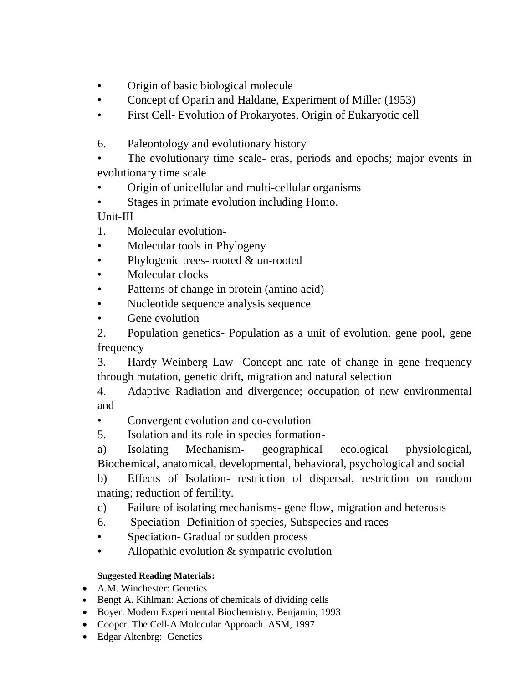- Origin of basic biological molecule
- Concept of Oparin and Haldane, Experiment of Miller (1953)
- First Cell- Evolution of Prokaryotes, Origin of Eukaryotic cell
- 6. Paleontology and evolutionary history

The evolutionary time scale- eras, periods and epochs; major events in evolutionary time scale

- Origin of unicellular and multi-cellular organisms
- Stages in primate evolution including Homo.

Unit-III

- 1. Molecular evolution-
- Molecular tools in Phylogeny
- Phylogenic trees- rooted & un-rooted
- Molecular clocks
- Patterns of change in protein (amino acid)
- Nucleotide sequence analysis sequence
- Gene evolution

2. Population genetics- Population as a unit of evolution, gene pool, gene frequency

3. Hardy Weinberg Law- Concept and rate of change in gene frequency through mutation, genetic drift, migration and natural selection

4. Adaptive Radiation and divergence; occupation of new environmental and

• Convergent evolution and co-evolution

5. Isolation and its role in species formation-

a) Isolating Mechanism- geographical ecological physiological, Biochemical, anatomical, developmental, behavioral, psychological and social

b) Effects of Isolation- restriction of dispersal, restriction on random mating; reduction of fertility.

c) Failure of isolating mechanisms- gene flow, migration and heterosis

- 6. Speciation- Definition of species, Subspecies and races
- Speciation- Gradual or sudden process
- Allopathic evolution & sympatric evolution

## **Suggested Reading Materials:**

- A.M. Winchester: Genetics
- Bengt A. Kihlman: Actions of chemicals of dividing cells
- Boyer. Modern Experimental Biochemistry. Benjamin, 1993
- Cooper. The Cell-A Molecular Approach. ASM, 1997
- Edgar Altenbrg: Genetics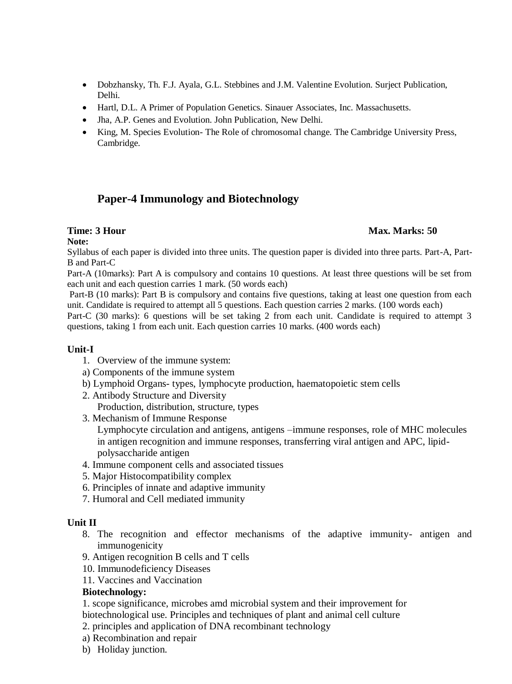- Dobzhansky, Th. F.J. Ayala, G.L. Stebbines and J.M. Valentine Evolution. Surject Publication, Delhi.
- Hartl, D.L. A Primer of Population Genetics. Sinauer Associates, Inc. Massachusetts.
- Jha, A.P. Genes and Evolution. John Publication, New Delhi.
- King, M. Species Evolution- The Role of chromosomal change. The Cambridge University Press, Cambridge.

## **Paper-4 Immunology and Biotechnology**

#### **Time: 3 Hour Max. Marks: 50**

#### **Note:**

Syllabus of each paper is divided into three units. The question paper is divided into three parts. Part-A, Part-B and Part-C

Part-A (10marks): Part A is compulsory and contains 10 questions. At least three questions will be set from each unit and each question carries 1 mark. (50 words each)

Part-B (10 marks): Part B is compulsory and contains five questions, taking at least one question from each unit. Candidate is required to attempt all 5 questions. Each question carries 2 marks. (100 words each)

Part-C (30 marks): 6 questions will be set taking 2 from each unit. Candidate is required to attempt 3 questions, taking 1 from each unit. Each question carries 10 marks. (400 words each)

#### **Unit-I**

- 1. Overview of the immune system:
- a) Components of the immune system
- b) Lymphoid Organs- types, lymphocyte production, haematopoietic stem cells
- 2. Antibody Structure and Diversity Production, distribution, structure, types
- 3. Mechanism of Immune Response Lymphocyte circulation and antigens, antigens –immune responses, role of MHC molecules in antigen recognition and immune responses, transferring viral antigen and APC, lipidpolysaccharide antigen
- 4. Immune component cells and associated tissues
- 5. Major Histocompatibility complex
- 6. Principles of innate and adaptive immunity
- 7. Humoral and Cell mediated immunity

#### **Unit II**

- 8. The recognition and effector mechanisms of the adaptive immunity- antigen and immunogenicity
- 9. Antigen recognition B cells and T cells
- 10. Immunodeficiency Diseases
- 11. Vaccines and Vaccination

#### **Biotechnology:**

1. scope significance, microbes amd microbial system and their improvement for biotechnological use. Principles and techniques of plant and animal cell culture

- 2. principles and application of DNA recombinant technology
- a) Recombination and repair
- b) Holiday junction.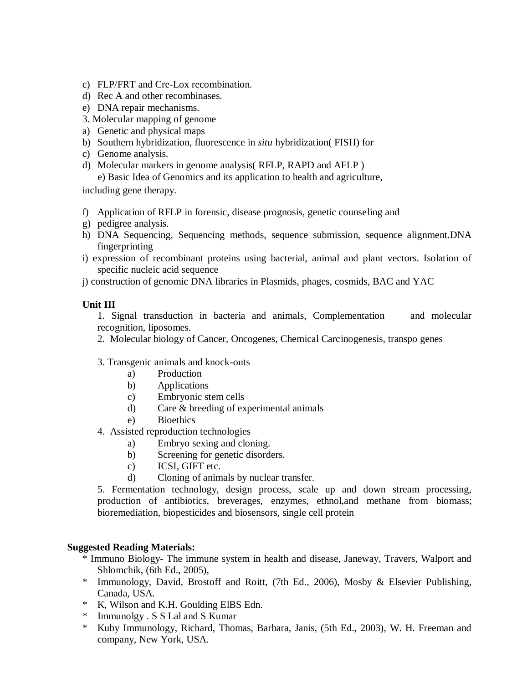- c) FLP/FRT and Cre-Lox recombination.
- d) Rec A and other recombinases.
- e) DNA repair mechanisms.
- 3. Molecular mapping of genome
- a) Genetic and physical maps
- b) Southern hybridization, fluorescence in *situ* hybridization( FISH) for
- c) Genome analysis.
- d) Molecular markers in genome analysis( RFLP, RAPD and AFLP )

e) Basic Idea of Genomics and its application to health and agriculture,

including gene therapy.

- f) Application of RFLP in forensic, disease prognosis, genetic counseling and
- g) pedigree analysis.
- h) DNA Sequencing, Sequencing methods, sequence submission, sequence alignment.DNA fingerprinting
- i) expression of recombinant proteins using bacterial, animal and plant vectors. Isolation of specific nucleic acid sequence
- j) construction of genomic DNA libraries in Plasmids, phages, cosmids, BAC and YAC

#### **Unit III**

1. Signal transduction in bacteria and animals, Complementation and molecular recognition, liposomes.

2. Molecular biology of Cancer, Oncogenes, Chemical Carcinogenesis, transpo genes

#### 3. Transgenic animals and knock-outs

- a) Production
- b) Applications
- c) Embryonic stem cells
- d) Care & breeding of experimental animals
- e) Bioethics
- 4. Assisted reproduction technologies
	- a) Embryo sexing and cloning.
	- b) Screening for genetic disorders.
	- c) ICSI, GIFT etc.
	- d) Cloning of animals by nuclear transfer.

5. Fermentation technology, design process, scale up and down stream processing, production of antibiotics, breverages, enzymes, ethnol,and methane from biomass; bioremediation, biopesticides and biosensors, single cell protein

#### **Suggested Reading Materials:**

- \* Immuno Biology- The immune system in health and disease, Janeway, Travers, Walport and Shlomchik, (6th Ed., 2005),
- \* Immunology, David, Brostoff and Roitt, (7th Ed., 2006), Mosby & Elsevier Publishing, Canada, USA.
- \* K, Wilson and K.H. Goulding ElBS Edn.
- \* Immunolgy . S S Lal and S Kumar
- \* Kuby Immunology, Richard, Thomas, Barbara, Janis, (5th Ed., 2003), W. H. Freeman and company, New York, USA.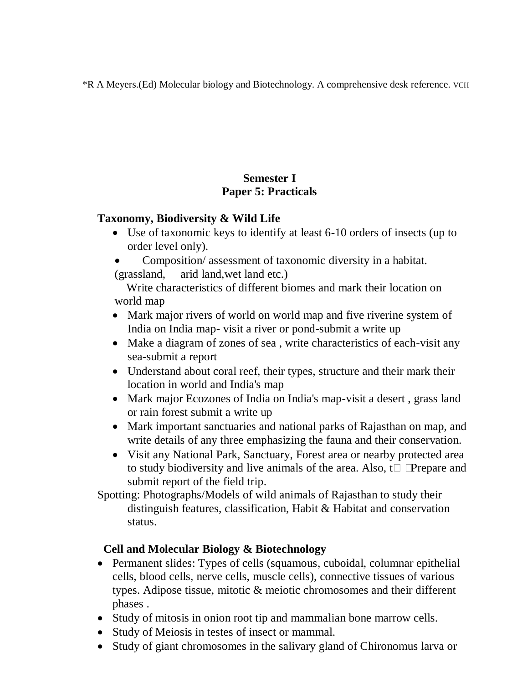\*R A Meyers.(Ed) Molecular biology and Biotechnology. A comprehensive desk reference. VCH

# **Semester I Paper 5: Practicals**

# **Taxonomy, Biodiversity & Wild Life**

- Use of taxonomic keys to identify at least 6-10 orders of insects (up to order level only).
- Composition/ assessment of taxonomic diversity in a habitat. (grassland, arid land,wet land etc.)

Write characteristics of different biomes and mark their location on world map

- Mark major rivers of world on world map and five riverine system of India on India map- visit a river or pond-submit a write up
- Make a diagram of zones of sea, write characteristics of each-visit any sea-submit a report
- Understand about coral reef, their types, structure and their mark their location in world and India's map
- Mark major Ecozones of India on India's map-visit a desert, grass land or rain forest submit a write up
- Mark important sanctuaries and national parks of Rajasthan on map, and write details of any three emphasizing the fauna and their conservation.
- Visit any National Park, Sanctuary, Forest area or nearby protected area to study biodiversity and live animals of the area. Also,  $t\Box$  Prepare and submit report of the field trip.

Spotting: Photographs/Models of wild animals of Rajasthan to study their distinguish features, classification, Habit & Habitat and conservation status.

# **Cell and Molecular Biology & Biotechnology**

- Permanent slides: Types of cells (squamous, cuboidal, columnar epithelial cells, blood cells, nerve cells, muscle cells), connective tissues of various types. Adipose tissue, mitotic & meiotic chromosomes and their different phases .
- Study of mitosis in onion root tip and mammalian bone marrow cells.
- Study of Meiosis in testes of insect or mammal.
- Study of giant chromosomes in the salivary gland of Chironomus larva or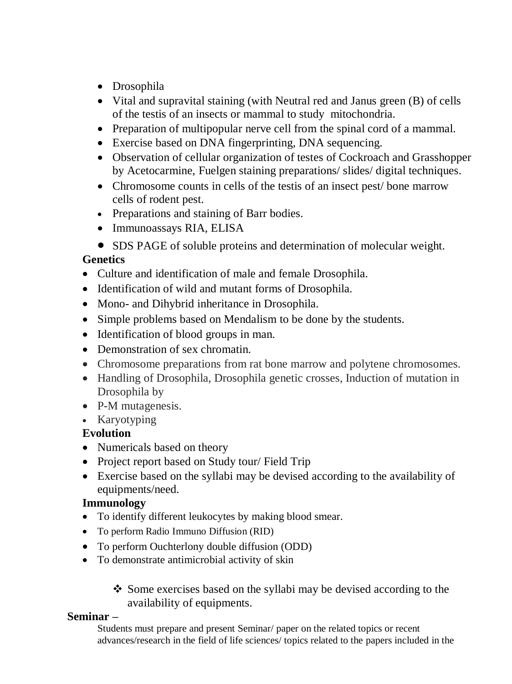- Drosophila
- Vital and supravital staining (with Neutral red and Janus green (B) of cells of the testis of an insects or mammal to study mitochondria.
- Preparation of multipopular nerve cell from the spinal cord of a mammal.
- Exercise based on DNA fingerprinting, DNA sequencing.
- Observation of cellular organization of testes of Cockroach and Grasshopper by Acetocarmine, Fuelgen staining preparations/ slides/ digital techniques.
- Chromosome counts in cells of the testis of an insect pest/bone marrow cells of rodent pest.
- Preparations and staining of Barr bodies.
- Immunoassays RIA, ELISA
- SDS PAGE of soluble proteins and determination of molecular weight.

# **Genetics**

- Culture and identification of male and female Drosophila.
- Identification of wild and mutant forms of Drosophila.
- Mono- and Dihybrid inheritance in Drosophila.
- Simple problems based on Mendalism to be done by the students.
- Identification of blood groups in man.
- Demonstration of sex chromatin.
- Chromosome preparations from rat bone marrow and polytene chromosomes.
- Handling of Drosophila, Drosophila genetic crosses, Induction of mutation in Drosophila by
- P-M mutagenesis.
- Karyotyping

# **Evolution**

- Numericals based on theory
- Project report based on Study tour/ Field Trip
- Exercise based on the syllabi may be devised according to the availability of equipments/need.

# **Immunology**

- To identify different leukocytes by making blood smear.
- To perform Radio Immuno Diffusion (RID)
- To perform Ouchterlony double diffusion (ODD)
- To demonstrate antimicrobial activity of skin

• Some exercises based on the syllabi may be devised according to the availability of equipments.

# **Seminar –**

Students must prepare and present Seminar/ paper on the related topics or recent advances/research in the field of life sciences/ topics related to the papers included in the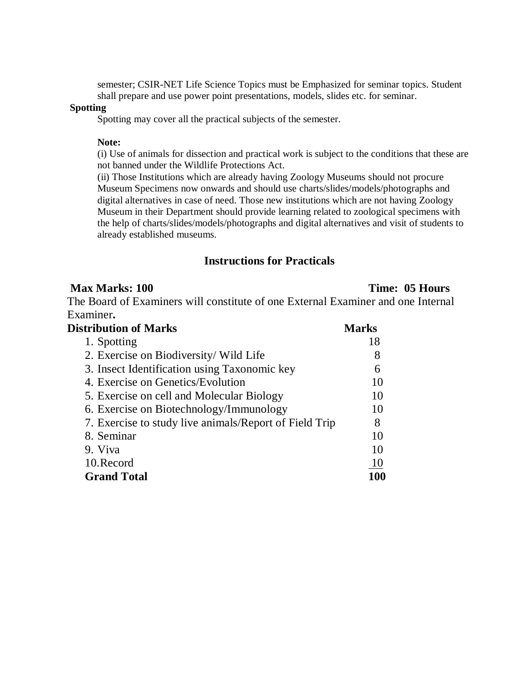semester; CSIR-NET Life Science Topics must be Emphasized for seminar topics. Student shall prepare and use power point presentations, models, slides etc. for seminar.

#### **Spotting**

Spotting may cover all the practical subjects of the semester.

#### **Note:**

(i) Use of animals for dissection and practical work is subject to the conditions that these are not banned under the Wildlife Protections Act.

(ii) Those Institutions which are already having Zoology Museums should not procure Museum Specimens now onwards and should use charts/slides/models/photographs and digital alternatives in case of need. Those new institutions which are not having Zoology Museum in their Department should provide learning related to zoological specimens with the help of charts/slides/models/photographs and digital alternatives and visit of students to already established museums.

#### **Instructions for Practicals**

#### **Max Marks: 100** Time: 05 **Hours**

The Board of Examiners will constitute of one External Examiner and one Internal Examiner**.** 

| <b>Distribution of Marks</b>                           | <b>Marks</b>  |
|--------------------------------------------------------|---------------|
| 1. Spotting                                            | 18            |
| 2. Exercise on Biodiversity/ Wild Life                 | 8             |
| 3. Insect Identification using Taxonomic key           | 6             |
| 4. Exercise on Genetics/Evolution                      | 10            |
| 5. Exercise on cell and Molecular Biology              | 10            |
| 6. Exercise on Biotechnology/Immunology                | 10            |
| 7. Exercise to study live animals/Report of Field Trip | 8             |
| 8. Seminar                                             | 10            |
| 9. Viva                                                | 10            |
| 10. Record                                             | <sup>10</sup> |
| <b>Grand Total</b>                                     |               |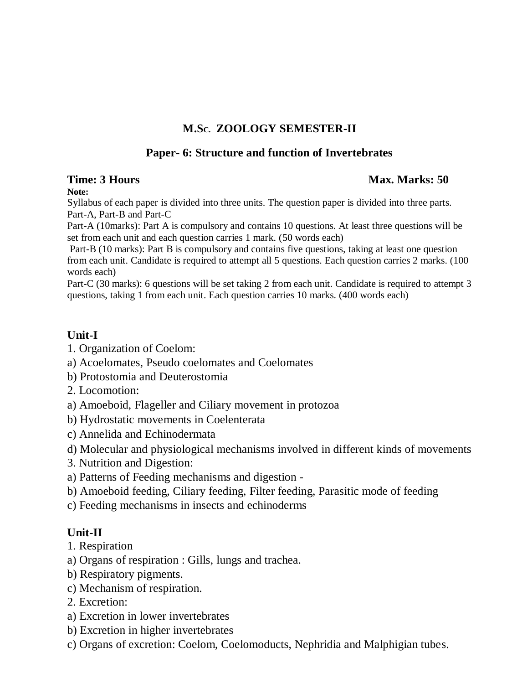# **M.SC. ZOOLOGY SEMESTER-II**

## **Paper- 6: Structure and function of Invertebrates**

## **Time: 3 Hours Max. Marks: 50** *Max. Marks: 50* **Max. Marks: 50 Max. Marks: 50 Max. Marks: 50 Max. Marks: 50 Max. Marks: 50 Max. Marks: 50 Max. Marks: 50 Max. Marks: 50 Max. Marks: 50 Max. Marks: 50 Max. Marks: 50 Max. Marks**

#### **Note:**

Syllabus of each paper is divided into three units. The question paper is divided into three parts. Part-A, Part-B and Part-C

Part-A (10marks): Part A is compulsory and contains 10 questions. At least three questions will be set from each unit and each question carries 1 mark. (50 words each)

Part-B (10 marks): Part B is compulsory and contains five questions, taking at least one question from each unit. Candidate is required to attempt all 5 questions. Each question carries 2 marks. (100 words each)

Part-C (30 marks): 6 questions will be set taking 2 from each unit. Candidate is required to attempt 3 questions, taking 1 from each unit. Each question carries 10 marks. (400 words each)

# **Unit-I**

- 1. Organization of Coelom:
- a) Acoelomates, Pseudo coelomates and Coelomates
- b) Protostomia and Deuterostomia
- 2. Locomotion:
- a) Amoeboid, Flageller and Ciliary movement in protozoa
- b) Hydrostatic movements in Coelenterata
- c) Annelida and Echinodermata
- d) Molecular and physiological mechanisms involved in different kinds of movements
- 3. Nutrition and Digestion:
- a) Patterns of Feeding mechanisms and digestion -
- b) Amoeboid feeding, Ciliary feeding, Filter feeding, Parasitic mode of feeding
- c) Feeding mechanisms in insects and echinoderms

# **Unit-II**

- 1. Respiration
- a) Organs of respiration : Gills, lungs and trachea.
- b) Respiratory pigments.
- c) Mechanism of respiration.
- 2. Excretion:
- a) Excretion in lower invertebrates
- b) Excretion in higher invertebrates
- c) Organs of excretion: Coelom, Coelomoducts, Nephridia and Malphigian tubes.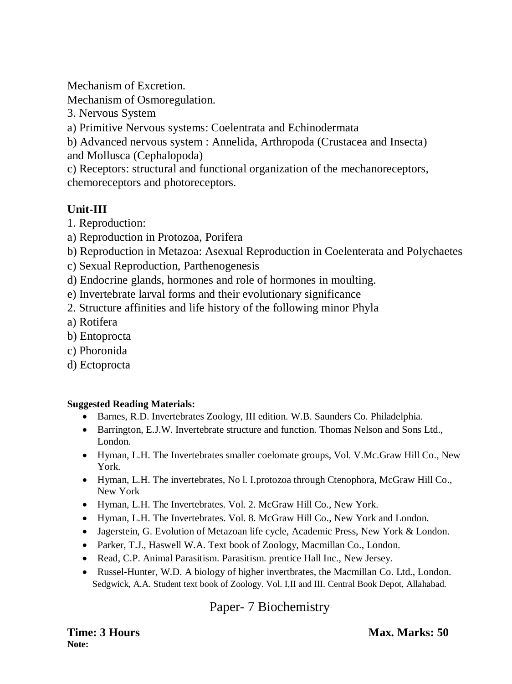Mechanism of Excretion.

Mechanism of Osmoregulation.

3. Nervous System

a) Primitive Nervous systems: Coelentrata and Echinodermata

b) Advanced nervous system : Annelida, Arthropoda (Crustacea and Insecta) and Mollusca (Cephalopoda)

c) Receptors: structural and functional organization of the mechanoreceptors, chemoreceptors and photoreceptors.

# **Unit-III**

- 1. Reproduction:
- a) Reproduction in Protozoa, Porifera
- b) Reproduction in Metazoa: Asexual Reproduction in Coelenterata and Polychaetes
- c) Sexual Reproduction, Parthenogenesis
- d) Endocrine glands, hormones and role of hormones in moulting.
- e) Invertebrate larval forms and their evolutionary significance
- 2. Structure affinities and life history of the following minor Phyla
- a) Rotifera
- b) Entoprocta
- c) Phoronida
- d) Ectoprocta

## **Suggested Reading Materials:**

- Barnes, R.D. Invertebrates Zoology, III edition. W.B. Saunders Co. Philadelphia.
- Barrington, E.J.W. Invertebrate structure and function. Thomas Nelson and Sons Ltd., London.
- Hyman, L.H. The Invertebrates smaller coelomate groups, Vol. V.Mc.Graw Hill Co., New York.
- Hyman, L.H. The invertebrates, No l. I.protozoa through Ctenophora, McGraw Hill Co., New York
- Hyman, L.H. The Invertebrates. Vol. 2. McGraw Hill Co., New York.
- Hyman, L.H. The Invertebrates. Vol. 8. McGraw Hill Co., New York and London.
- Jagerstein, G. Evolution of Metazoan life cycle, Academic Press, New York & London.
- Parker, T.J., Haswell W.A. Text book of Zoology, Macmillan Co., London.
- Read, C.P. Animal Parasitism. Parasitism. prentice Hall Inc., New Jersey.
- Russel-Hunter, W.D. A biology of higher invertbrates, the Macmillan Co. Ltd., London. Sedgwick, A.A. Student text book of Zoology. Vol. I,II and III. Central Book Depot, Allahabad.

# Paper- 7 Biochemistry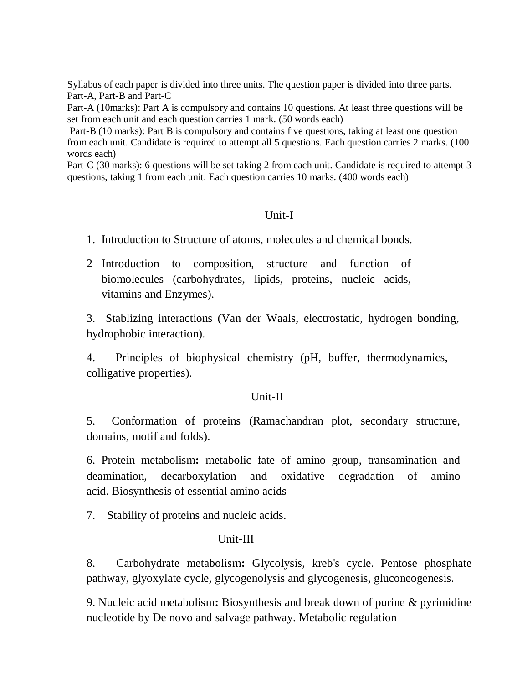Syllabus of each paper is divided into three units. The question paper is divided into three parts. Part-A, Part-B and Part-C

Part-A (10marks): Part A is compulsory and contains 10 questions. At least three questions will be set from each unit and each question carries 1 mark. (50 words each)

Part-B (10 marks): Part B is compulsory and contains five questions, taking at least one question from each unit. Candidate is required to attempt all 5 questions. Each question carries 2 marks. (100 words each)

Part-C (30 marks): 6 questions will be set taking 2 from each unit. Candidate is required to attempt 3 questions, taking 1 from each unit. Each question carries 10 marks. (400 words each)

#### Unit-I

1. Introduction to Structure of atoms, molecules and chemical bonds.

2 Introduction to composition, structure and function of biomolecules (carbohydrates, lipids, proteins, nucleic acids, vitamins and Enzymes).

3. Stablizing interactions (Van der Waals, electrostatic, hydrogen bonding, hydrophobic interaction).

4. Principles of biophysical chemistry (pH, buffer, thermodynamics, colligative properties).

#### Unit-II

5. Conformation of proteins (Ramachandran plot, secondary structure, domains, motif and folds).

6. Protein metabolism**:** metabolic fate of amino group, transamination and deamination, decarboxylation and oxidative degradation of amino acid. Biosynthesis of essential amino acids

7. Stability of proteins and nucleic acids.

#### Unit-III

8. Carbohydrate metabolism**:** Glycolysis, kreb's cycle. Pentose phosphate pathway, glyoxylate cycle, glycogenolysis and glycogenesis, gluconeogenesis.

9. Nucleic acid metabolism**:** Biosynthesis and break down of purine & pyrimidine nucleotide by De novo and salvage pathway. Metabolic regulation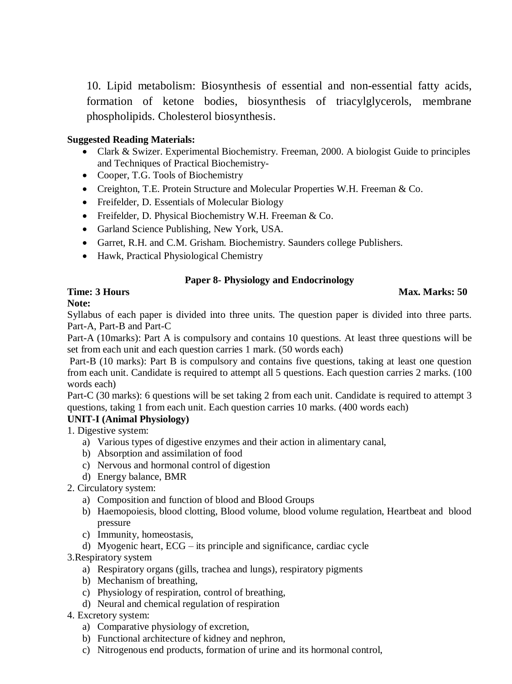10. Lipid metabolism: Biosynthesis of essential and non-essential fatty acids, formation of ketone bodies, biosynthesis of triacylglycerols, membrane phospholipids. Cholesterol biosynthesis.

#### **Suggested Reading Materials:**

- Clark & Swizer. Experimental Biochemistry. Freeman, 2000. A biologist Guide to principles and Techniques of Practical Biochemistry-
- Cooper, T.G. Tools of Biochemistry
- Creighton, T.E. Protein Structure and Molecular Properties W.H. Freeman & Co.
- Freifelder, D. Essentials of Molecular Biology
- Freifelder, D. Physical Biochemistry W.H. Freeman & Co.
- Garland Science Publishing, New York, USA.
- Garret, R.H. and C.M. Grisham. Biochemistry. Saunders college Publishers.
- Hawk, Practical Physiological Chemistry

#### **Paper 8- Physiology and Endocrinology**

#### **Time: 3 Hours Max. Marks: 50**

#### **Note:**

Syllabus of each paper is divided into three units. The question paper is divided into three parts. Part-A, Part-B and Part-C

Part-A (10marks): Part A is compulsory and contains 10 questions. At least three questions will be set from each unit and each question carries 1 mark. (50 words each)

Part-B (10 marks): Part B is compulsory and contains five questions, taking at least one question from each unit. Candidate is required to attempt all 5 questions. Each question carries 2 marks. (100 words each)

Part-C (30 marks): 6 questions will be set taking 2 from each unit. Candidate is required to attempt 3 questions, taking 1 from each unit. Each question carries 10 marks. (400 words each)

#### **UNIT-I (Animal Physiology)**

1. Digestive system:

- a) Various types of digestive enzymes and their action in alimentary canal,
- b) Absorption and assimilation of food
- c) Nervous and hormonal control of digestion
- d) Energy balance, BMR
- 2. Circulatory system:
	- a) Composition and function of blood and Blood Groups
	- b) Haemopoiesis, blood clotting, Blood volume, blood volume regulation, Heartbeat and blood pressure
	- c) Immunity, homeostasis,
	- d) Myogenic heart, ECG its principle and significance, cardiac cycle

#### 3.Respiratory system

- a) Respiratory organs (gills, trachea and lungs), respiratory pigments
- b) Mechanism of breathing,
- c) Physiology of respiration, control of breathing,
- d) Neural and chemical regulation of respiration

#### 4. Excretory system:

- a) Comparative physiology of excretion,
- b) Functional architecture of kidney and nephron,
- c) Nitrogenous end products, formation of urine and its hormonal control,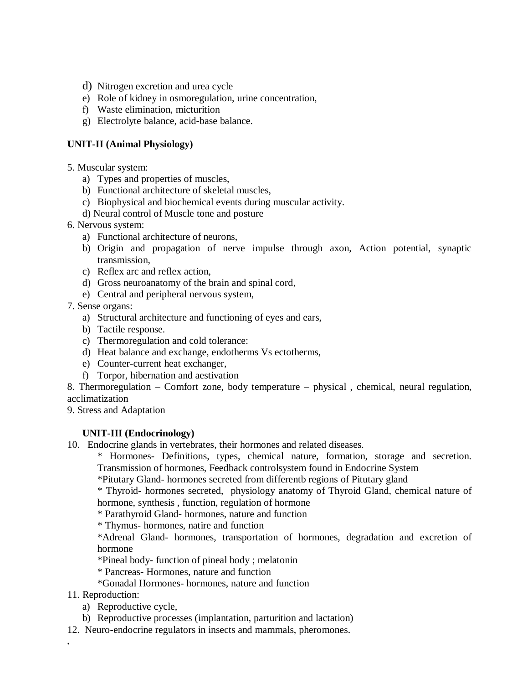- d) Nitrogen excretion and urea cycle
- e) Role of kidney in osmoregulation, urine concentration,
- f) Waste elimination, micturition
- g) Electrolyte balance, acid-base balance.

#### **UNIT-II (Animal Physiology)**

- 5. Muscular system:
	- a) Types and properties of muscles,
	- b) Functional architecture of skeletal muscles,
	- c) Biophysical and biochemical events during muscular activity.
	- d) Neural control of Muscle tone and posture
- 6. Nervous system:
	- a) Functional architecture of neurons,
	- b) Origin and propagation of nerve impulse through axon, Action potential, synaptic transmission,
	- c) Reflex arc and reflex action,
	- d) Gross neuroanatomy of the brain and spinal cord,
	- e) Central and peripheral nervous system,
- 7. Sense organs:
	- a) Structural architecture and functioning of eyes and ears,
	- b) Tactile response.
	- c) Thermoregulation and cold tolerance:
	- d) Heat balance and exchange, endotherms Vs ectotherms,
	- e) Counter-current heat exchanger,
	- f) Torpor, hibernation and aestivation
- 8. Thermoregulation Comfort zone, body temperature physical , chemical, neural regulation, acclimatization
- 9. Stress and Adaptation

#### **UNIT-III (Endocrinology)**

10. Endocrine glands in vertebrates, their hormones and related diseases.

\* Hormones- Definitions, types, chemical nature, formation, storage and secretion. Transmission of hormones, Feedback controlsystem found in Endocrine System

\*Pitutary Gland- hormones secreted from differentb regions of Pitutary gland

\* Thyroid- hormones secreted, physiology anatomy of Thyroid Gland, chemical nature of hormone, synthesis , function, regulation of hormone

\* Parathyroid Gland- hormones, nature and function

\* Thymus- hormones, natire and function

\*Adrenal Gland- hormones, transportation of hormones, degradation and excretion of hormone

\*Pineal body- function of pineal body ; melatonin

- \* Pancreas- Hormones, nature and function
- \*Gonadal Hormones- hormones, nature and function
- 11. Reproduction:

**.**

- a) Reproductive cycle,
- b) Reproductive processes (implantation, parturition and lactation)
- 12. Neuro-endocrine regulators in insects and mammals, pheromones.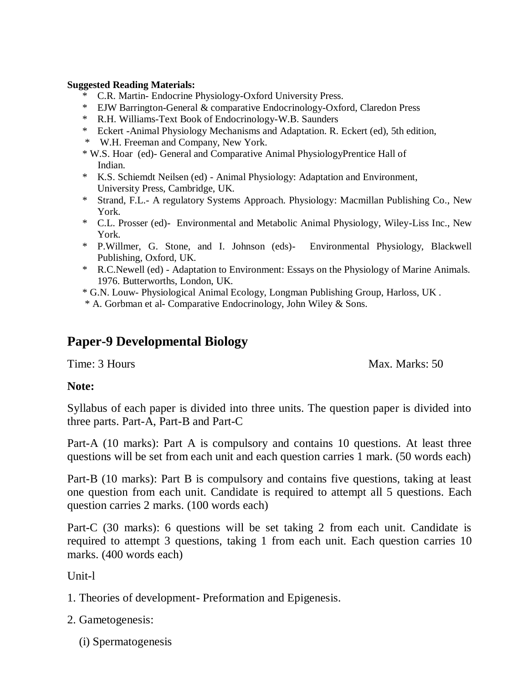#### **Suggested Reading Materials:**

- \* C.R. Martin- Endocrine Physiology-Oxford University Press.
- \* EJW Barrington-General & comparative Endocrinology-Oxford, Claredon Press
- \* R.H. Williams-Text Book of Endocrinology-W.B. Saunders
- \* Eckert -Animal Physiology Mechanisms and Adaptation. R. Eckert (ed), 5th edition,
- \* W.H. Freeman and Company, New York.
- \* W.S. Hoar (ed)- General and Comparative Animal PhysiologyPrentice Hall of Indian.
- \* K.S. Schiemdt Neilsen (ed) Animal Physiology: Adaptation and Environment, University Press, Cambridge, UK.
- \* Strand, F.L.- A regulatory Systems Approach. Physiology: Macmillan Publishing Co., New York.
- \* C.L. Prosser (ed)- Environmental and Metabolic Animal Physiology, Wiley-Liss Inc., New York.
- \* P.Willmer, G. Stone, and I. Johnson (eds)- Environmental Physiology, Blackwell Publishing, Oxford, UK.
- \* R.C.Newell (ed) Adaptation to Environment: Essays on the Physiology of Marine Animals. 1976. Butterworths, London, UK.

\* G.N. Louw- Physiological Animal Ecology, Longman Publishing Group, Harloss, UK .

\* A. Gorbman et al- Comparative Endocrinology, John Wiley & Sons.

# **Paper-9 Developmental Biology**

Time: 3 Hours Max. Marks: 50

## **Note:**

Syllabus of each paper is divided into three units. The question paper is divided into three parts. Part-A, Part-B and Part-C

Part-A (10 marks): Part A is compulsory and contains 10 questions. At least three questions will be set from each unit and each question carries 1 mark. (50 words each)

Part-B (10 marks): Part B is compulsory and contains five questions, taking at least one question from each unit. Candidate is required to attempt all 5 questions. Each question carries 2 marks. (100 words each)

Part-C (30 marks): 6 questions will be set taking 2 from each unit. Candidate is required to attempt 3 questions, taking 1 from each unit. Each question carries 10 marks. (400 words each)

Unit-l

- 1. Theories of development- Preformation and Epigenesis.
- 2. Gametogenesis:
	- (i) Spermatogenesis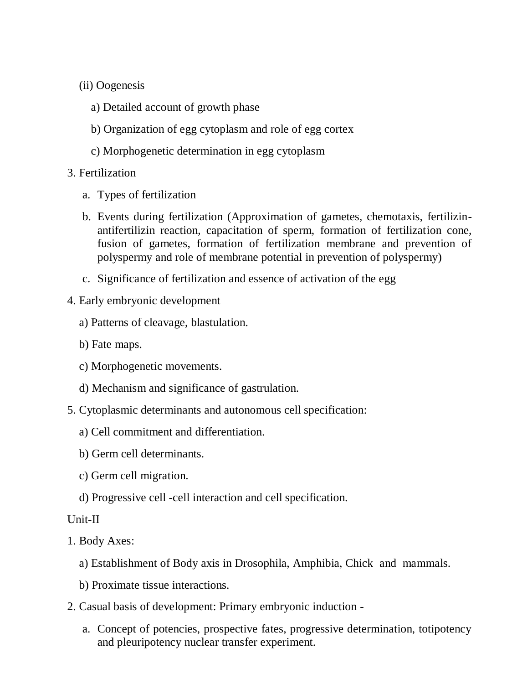- (ii) Oogenesis
	- a) Detailed account of growth phase
	- b) Organization of egg cytoplasm and role of egg cortex
	- c) Morphogenetic determination in egg cytoplasm
- 3. Fertilization
	- a. Types of fertilization
	- b. Events during fertilization (Approximation of gametes, chemotaxis, fertilizinantifertilizin reaction, capacitation of sperm, formation of fertilization cone, fusion of gametes, formation of fertilization membrane and prevention of polyspermy and role of membrane potential in prevention of polyspermy)
	- c. Significance of fertilization and essence of activation of the egg
- 4. Early embryonic development
	- a) Patterns of cleavage, blastulation.
	- b) Fate maps.
	- c) Morphogenetic movements.
	- d) Mechanism and significance of gastrulation.
- 5. Cytoplasmic determinants and autonomous cell specification:
	- a) Cell commitment and differentiation.
	- b) Germ cell determinants.
	- c) Germ cell migration.
	- d) Progressive cell -cell interaction and cell specification.

#### Unit-II

- 1. Body Axes:
	- a) Establishment of Body axis in Drosophila, Amphibia, Chick and mammals.
	- b) Proximate tissue interactions.
- 2. Casual basis of development: Primary embryonic induction
	- a. Concept of potencies, prospective fates, progressive determination, totipotency and pleuripotency nuclear transfer experiment.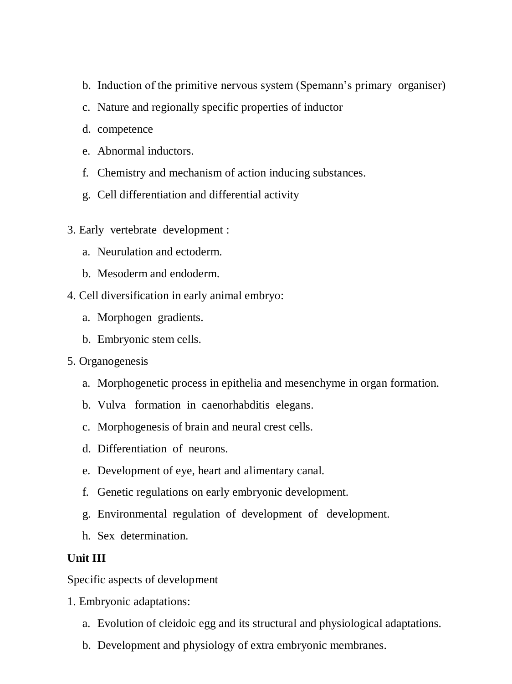- b. Induction of the primitive nervous system (Spemann's primary organiser)
- c. Nature and regionally specific properties of inductor
- d. competence
- e. Abnormal inductors.
- f. Chemistry and mechanism of action inducing substances.
- g. Cell differentiation and differential activity
- 3. Early vertebrate development :
	- a. Neurulation and ectoderm.
	- b. Mesoderm and endoderm.
- 4. Cell diversification in early animal embryo:
	- a. Morphogen gradients.
	- b. Embryonic stem cells.
- 5. Organogenesis
	- a. Morphogenetic process in epithelia and mesenchyme in organ formation.
	- b. Vulva formation in caenorhabditis elegans.
	- c. Morphogenesis of brain and neural crest cells.
	- d. Differentiation of neurons.
	- e. Development of eye, heart and alimentary canal.
	- f. Genetic regulations on early embryonic development.
	- g. Environmental regulation of development of development.
	- h. Sex determination.

# **Unit III**

Specific aspects of development

- 1. Embryonic adaptations:
	- a. Evolution of cleidoic egg and its structural and physiological adaptations.
	- b. Development and physiology of extra embryonic membranes.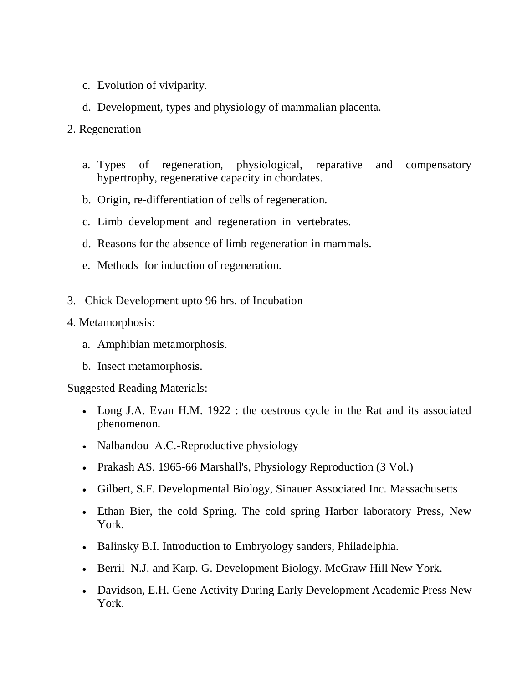- c. Evolution of viviparity.
- d. Development, types and physiology of mammalian placenta.
- 2. Regeneration
	- a. Types of regeneration, physiological, reparative and compensatory hypertrophy, regenerative capacity in chordates.
	- b. Origin, re-differentiation of cells of regeneration.
	- c. Limb development and regeneration in vertebrates.
	- d. Reasons for the absence of limb regeneration in mammals.
	- e. Methods for induction of regeneration.
- 3. Chick Development upto 96 hrs. of Incubation
- 4. Metamorphosis:
	- a. Amphibian metamorphosis.
	- b. Insect metamorphosis.

Suggested Reading Materials:

- Long J.A. Evan H.M. 1922 : the oestrous cycle in the Rat and its associated phenomenon.
- Nalbandou A.C.-Reproductive physiology
- Prakash AS. 1965-66 Marshall's, Physiology Reproduction (3 Vol.)
- Gilbert, S.F. Developmental Biology, Sinauer Associated Inc. Massachusetts
- Ethan Bier, the cold Spring. The cold spring Harbor laboratory Press, New York.
- Balinsky B.I. Introduction to Embryology sanders, Philadelphia.
- Berril N.J. and Karp. G. Development Biology. McGraw Hill New York.
- Davidson, E.H. Gene Activity During Early Development Academic Press New York.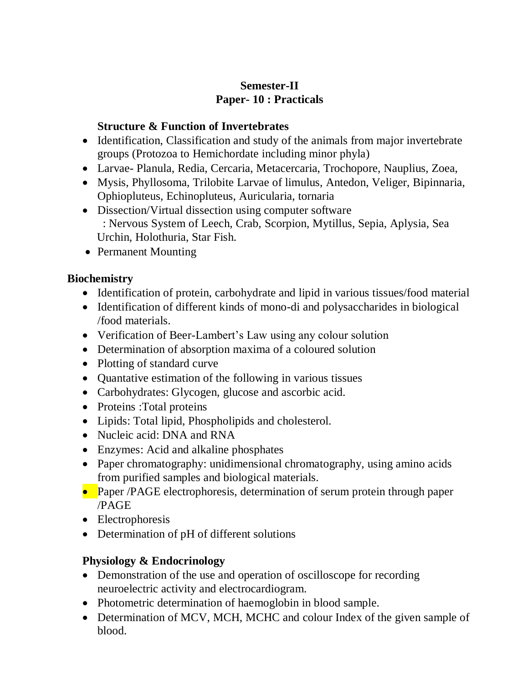# **Semester-II Paper- 10 : Practicals**

# **Structure & Function of Invertebrates**

- Identification, Classification and study of the animals from major invertebrate groups (Protozoa to Hemichordate including minor phyla)
- Larvae- Planula, Redia, Cercaria, Metacercaria, Trochopore, Nauplius, Zoea,
- Mysis, Phyllosoma, Trilobite Larvae of limulus, Antedon, Veliger, Bipinnaria, Ophiopluteus, Echinopluteus, Auricularia, tornaria
- Dissection/Virtual dissection using computer software : Nervous System of Leech, Crab, Scorpion, Mytillus, Sepia, Aplysia, Sea Urchin, Holothuria, Star Fish.
- Permanent Mounting

# **Biochemistry**

- Identification of protein, carbohydrate and lipid in various tissues/food material
- Identification of different kinds of mono-di and polysaccharides in biological /food materials.
- Verification of Beer-Lambert's Law using any colour solution
- Determination of absorption maxima of a coloured solution
- Plotting of standard curve
- Quantative estimation of the following in various tissues
- Carbohydrates: Glycogen, glucose and ascorbic acid.
- Proteins : Total proteins
- Lipids: Total lipid, Phospholipids and cholesterol.
- Nucleic acid: DNA and RNA
- Enzymes: Acid and alkaline phosphates
- Paper chromatography: unidimensional chromatography, using amino acids from purified samples and biological materials.
- Paper /PAGE electrophoresis, determination of serum protein through paper /PAGE
- Electrophoresis
- Determination of pH of different solutions

# **Physiology & Endocrinology**

- Demonstration of the use and operation of oscilloscope for recording neuroelectric activity and electrocardiogram.
- Photometric determination of haemoglobin in blood sample.
- Determination of MCV, MCH, MCHC and colour Index of the given sample of blood.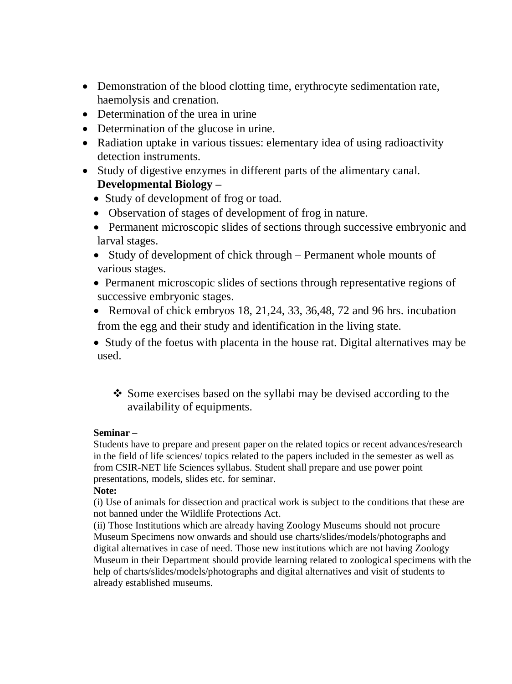- Demonstration of the blood clotting time, erythrocyte sedimentation rate, haemolysis and crenation.
- Determination of the urea in urine
- Determination of the glucose in urine.
- Radiation uptake in various tissues: elementary idea of using radioactivity detection instruments.
- Study of digestive enzymes in different parts of the alimentary canal. **Developmental Biology –**
	- Study of development of frog or toad.
	- Observation of stages of development of frog in nature.
	- Permanent microscopic slides of sections through successive embryonic and larval stages.
	- Study of development of chick through Permanent whole mounts of various stages.
	- Permanent microscopic slides of sections through representative regions of successive embryonic stages.
	- Removal of chick embryos 18, 21, 24, 33, 36, 48, 72 and 96 hrs. incubation from the egg and their study and identification in the living state.
	- Study of the foetus with placenta in the house rat. Digital alternatives may be used.
		- Some exercises based on the syllabi may be devised according to the availability of equipments.

#### **Seminar –**

Students have to prepare and present paper on the related topics or recent advances/research in the field of life sciences/ topics related to the papers included in the semester as well as from CSIR-NET life Sciences syllabus. Student shall prepare and use power point presentations, models, slides etc. for seminar.

#### **Note:**

(i) Use of animals for dissection and practical work is subject to the conditions that these are not banned under the Wildlife Protections Act.

(ii) Those Institutions which are already having Zoology Museums should not procure Museum Specimens now onwards and should use charts/slides/models/photographs and digital alternatives in case of need. Those new institutions which are not having Zoology Museum in their Department should provide learning related to zoological specimens with the help of charts/slides/models/photographs and digital alternatives and visit of students to already established museums.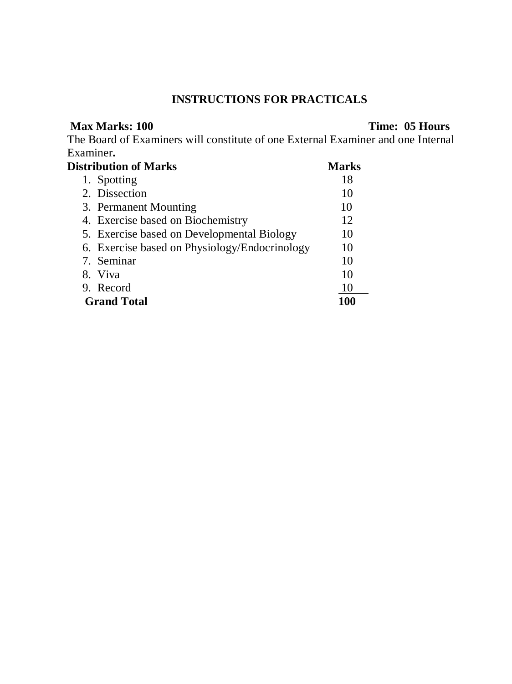# **INSTRUCTIONS FOR PRACTICALS**

#### **Max Marks: 100** Time: 05 Hours

The Board of Examiners will constitute of one External Examiner and one Internal Examiner**.** 

| <b>Distribution of Marks</b><br><b>Marks</b>  |     |  |  |
|-----------------------------------------------|-----|--|--|
| 1. Spotting                                   | 18  |  |  |
| 2. Dissection                                 | 10  |  |  |
| 3. Permanent Mounting                         | 10  |  |  |
| 4. Exercise based on Biochemistry             | 12  |  |  |
| 5. Exercise based on Developmental Biology    | 10  |  |  |
| 6. Exercise based on Physiology/Endocrinology | 10  |  |  |
| 7. Seminar                                    | 10  |  |  |
| 8. Viva                                       | 10  |  |  |
| 9. Record                                     | 10  |  |  |
| <b>Grand Total</b>                            | 100 |  |  |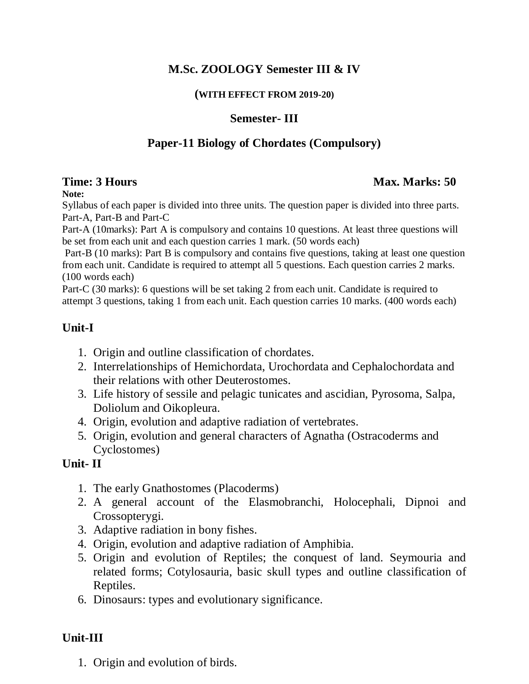# **M.Sc. ZOOLOGY Semester III & IV**

#### **(WITH EFFECT FROM 2019-20)**

## **Semester- III**

# **Paper-11 Biology of Chordates (Compulsory)**

## **Time: 3 Hours Max. Marks: 50** *Max. Marks: 50* **Max. Marks: 50 Max. Marks: 50 Max. Marks: 50 Max. Marks: 50 Max. Marks: 50 Max. Marks: 50 Max. Marks: 50 Max. Marks: 50 Max. Marks: 50 Max. Marks: 50 Max. Marks: 50 Max. Marks**

#### **Note:**

Syllabus of each paper is divided into three units. The question paper is divided into three parts. Part-A, Part-B and Part-C

Part-A (10marks): Part A is compulsory and contains 10 questions. At least three questions will be set from each unit and each question carries 1 mark. (50 words each)

Part-B (10 marks): Part B is compulsory and contains five questions, taking at least one question from each unit. Candidate is required to attempt all 5 questions. Each question carries 2 marks. (100 words each)

Part-C (30 marks): 6 questions will be set taking 2 from each unit. Candidate is required to attempt 3 questions, taking 1 from each unit. Each question carries 10 marks. (400 words each)

# **Unit-I**

- 1. Origin and outline classification of chordates.
- 2. Interrelationships of Hemichordata, Urochordata and Cephalochordata and their relations with other Deuterostomes.
- 3. Life history of sessile and pelagic tunicates and ascidian, Pyrosoma, Salpa, Doliolum and Oikopleura.
- 4. Origin, evolution and adaptive radiation of vertebrates.
- 5. Origin, evolution and general characters of Agnatha (Ostracoderms and Cyclostomes)

## **Unit- II**

- 1. The early Gnathostomes (Placoderms)
- 2. A general account of the Elasmobranchi, Holocephali, Dipnoi and Crossopterygi.
- 3. Adaptive radiation in bony fishes.
- 4. Origin, evolution and adaptive radiation of Amphibia.
- 5. Origin and evolution of Reptiles; the conquest of land. Seymouria and related forms; Cotylosauria, basic skull types and outline classification of Reptiles.
- 6. Dinosaurs: types and evolutionary significance.

# **Unit-III**

1. Origin and evolution of birds.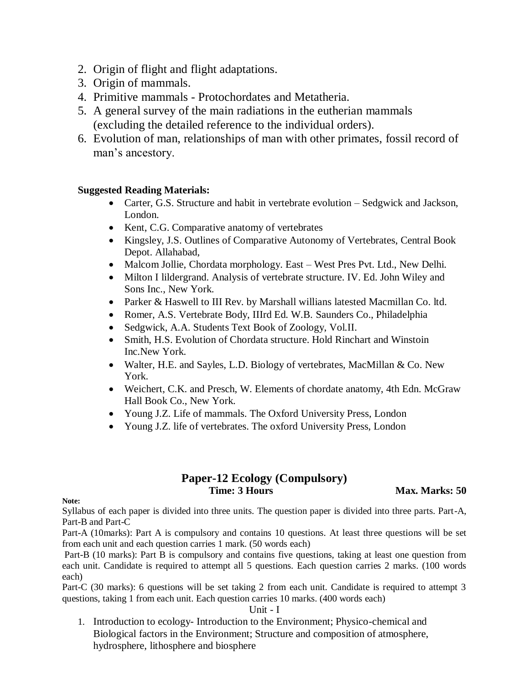- 2. Origin of flight and flight adaptations.
- 3. Origin of mammals.
- 4. Primitive mammals Protochordates and Metatheria.
- 5. A general survey of the main radiations in the eutherian mammals (excluding the detailed reference to the individual orders).
- 6. Evolution of man, relationships of man with other primates, fossil record of man's ancestory.

#### **Suggested Reading Materials:**

- Carter, G.S. Structure and habit in vertebrate evolution Sedgwick and Jackson, London.
- Kent, C.G. Comparative anatomy of vertebrates
- Kingsley, J.S. Outlines of Comparative Autonomy of Vertebrates, Central Book Depot. Allahabad,
- Malcom Jollie, Chordata morphology. East West Pres Pvt. Ltd., New Delhi.
- Milton I lildergrand. Analysis of vertebrate structure. IV. Ed. John Wiley and Sons Inc., New York.
- Parker & Haswell to III Rev. by Marshall willians latested Macmillan Co. ltd.
- Romer, A.S. Vertebrate Body, IIIrd Ed. W.B. Saunders Co., Philadelphia
- Sedgwick, A.A. Students Text Book of Zoology, Vol.II.
- Smith, H.S. Evolution of Chordata structure. Hold Rinchart and Winstoin Inc.New York.
- Walter, H.E. and Sayles, L.D. Biology of vertebrates, MacMillan & Co. New York.
- Weichert, C.K. and Presch, W. Elements of chordate anatomy, 4th Edn. McGraw Hall Book Co., New York.
- Young J.Z. Life of mammals. The Oxford University Press, London
- Young J.Z. life of vertebrates. The oxford University Press, London

#### **Paper-12 Ecology (Compulsory) Time: 3 Hours Max. Marks: 50 Max. Marks: 50 Max. Marks: 50 Max. Marks: 50 Max. Marks: 50 Max. Marks: 50 Max. Marks: 50 Max. Marks: 50**  $\mu$

**Note:**

Syllabus of each paper is divided into three units. The question paper is divided into three parts. Part-A, Part-B and Part-C

Part-A (10marks): Part A is compulsory and contains 10 questions. At least three questions will be set from each unit and each question carries 1 mark. (50 words each)

Part-B (10 marks): Part B is compulsory and contains five questions, taking at least one question from each unit. Candidate is required to attempt all 5 questions. Each question carries 2 marks. (100 words each)

Part-C (30 marks): 6 questions will be set taking 2 from each unit. Candidate is required to attempt 3 questions, taking 1 from each unit. Each question carries 10 marks. (400 words each)

Unit - I

1. Introduction to ecology- Introduction to the Environment; Physico-chemical and Biological factors in the Environment; Structure and composition of atmosphere, hydrosphere, lithosphere and biosphere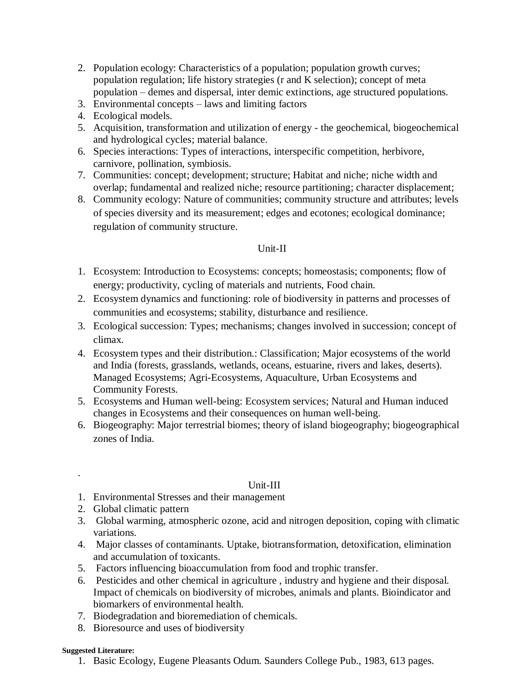- 2. Population ecology: Characteristics of a population; population growth curves; population regulation; life history strategies (r and K selection); concept of meta population – demes and dispersal, inter demic extinctions, age structured populations.
- 3. Environmental concepts laws and limiting factors
- 4. Ecological models.
- 5. Acquisition, transformation and utilization of energy the geochemical, biogeochemical and hydrological cycles; material balance.
- 6. Species interactions: Types of interactions, interspecific competition, herbivore, carnivore, pollination, symbiosis.
- 7. Communities: concept; development; structure; Habitat and niche; niche width and overlap; fundamental and realized niche; resource partitioning; character displacement;
- 8. Community ecology: Nature of communities; community structure and attributes; levels of species diversity and its measurement; edges and ecotones; ecological dominance; regulation of community structure.

#### Unit-II

- 1. Ecosystem: Introduction to Ecosystems: concepts; homeostasis; components; flow of energy; productivity, cycling of materials and nutrients, Food chain.
- 2. Ecosystem dynamics and functioning: role of biodiversity in patterns and processes of communities and ecosystems; stability, disturbance and resilience.
- 3. Ecological succession: Types; mechanisms; changes involved in succession; concept of climax.
- 4. Ecosystem types and their distribution.: Classification; Major ecosystems of the world and India (forests, grasslands, wetlands, oceans, estuarine, rivers and lakes, deserts). Managed Ecosystems; Agri-Ecosystems, Aquaculture, Urban Ecosystems and Community Forests.
- 5. Ecosystems and Human well-being: Ecosystem services; Natural and Human induced changes in Ecosystems and their consequences on human well-being.
- 6. Biogeography: Major terrestrial biomes; theory of island biogeography; biogeographical zones of India.

#### Unit-III

- 1. Environmental Stresses and their management
- 2. Global climatic pattern
- 3. Global warming, atmospheric ozone, acid and nitrogen deposition, coping with climatic variations.
- 4. Major classes of contaminants. Uptake, biotransformation, detoxification, elimination and accumulation of toxicants.
- 5. Factors influencing bioaccumulation from food and trophic transfer.
- 6. Pesticides and other chemical in agriculture , industry and hygiene and their disposal. Impact of chemicals on biodiversity of microbes, animals and plants. Bioindicator and biomarkers of environmental health.
- 7. Biodegradation and bioremediation of chemicals.
- 8. Bioresource and uses of biodiversity

#### **Suggested Literature:**

.

1. Basic Ecology, Eugene Pleasants Odum. Saunders College Pub., 1983, 613 pages.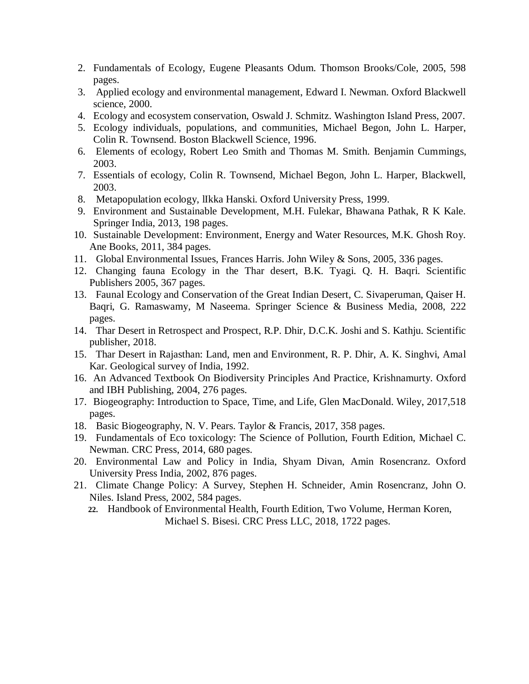- 2. Fundamentals of Ecology, Eugene Pleasants Odum. Thomson Brooks/Cole, 2005, 598 pages.
- 3. Applied ecology and environmental management, Edward I. Newman. Oxford Blackwell science, 2000.
- 4. Ecology and ecosystem conservation, Oswald J. Schmitz. Washington Island Press, 2007.
- 5. Ecology individuals, populations, and communities, Michael Begon, John L. Harper, Colin R. Townsend. Boston Blackwell Science, 1996.
- 6. Elements of ecology, Robert Leo Smith and Thomas M. Smith. Benjamin Cummings, 2003.
- 7. Essentials of ecology, Colin R. Townsend, Michael Begon, John L. Harper, Blackwell, 2003.
- 8. Metapopulation ecology, lIkka Hanski. Oxford University Press, 1999.
- 9. Environment and Sustainable Development, M.H. Fulekar, Bhawana Pathak, R K Kale. Springer India, 2013, 198 pages.
- 10. Sustainable Development: Environment, Energy and Water Resources, M.K. Ghosh Roy. Ane Books, 2011, 384 pages.
- 11. Global Environmental Issues, Frances Harris. John Wiley & Sons, 2005, 336 pages.
- 12. Changing fauna Ecology in the Thar desert, B.K. Tyagi. Q. H. Baqri. Scientific Publishers 2005, 367 pages.
- 13. Faunal Ecology and Conservation of the Great Indian Desert, C. Sivaperuman, Qaiser H. Baqri, G. Ramaswamy, M Naseema. Springer Science & Business Media, 2008, 222 pages.
- 14. Thar Desert in Retrospect and Prospect, R.P. Dhir, D.C.K. Joshi and S. Kathju. Scientific publisher, 2018.
- 15. Thar Desert in Rajasthan: Land, men and Environment, R. P. Dhir, A. K. Singhvi, Amal Kar. Geological survey of India, 1992.
- 16. An Advanced Textbook On Biodiversity Principles And Practice, Krishnamurty. Oxford and IBH Publishing, 2004, 276 pages.
- 17. Biogeography: Introduction to Space, Time, and Life, Glen MacDonald. Wiley, 2017,518 pages.
- 18. Basic Biogeography, N. V. Pears. Taylor & Francis, 2017, 358 pages.
- 19. Fundamentals of Eco toxicology: The Science of Pollution, Fourth Edition, Michael C. Newman. CRC Press, 2014, 680 pages.
- 20. Environmental Law and Policy in India, Shyam Divan, Amin Rosencranz. Oxford University Press India, 2002, 876 pages.
- 21. Climate Change Policy: A Survey, Stephen H. Schneider, Amin Rosencranz, John O. Niles. Island Press, 2002, 584 pages.
	- **22.** Handbook of Environmental Health, Fourth Edition, Two Volume, Herman Koren, Michael S. Bisesi. CRC Press LLC, 2018, 1722 pages.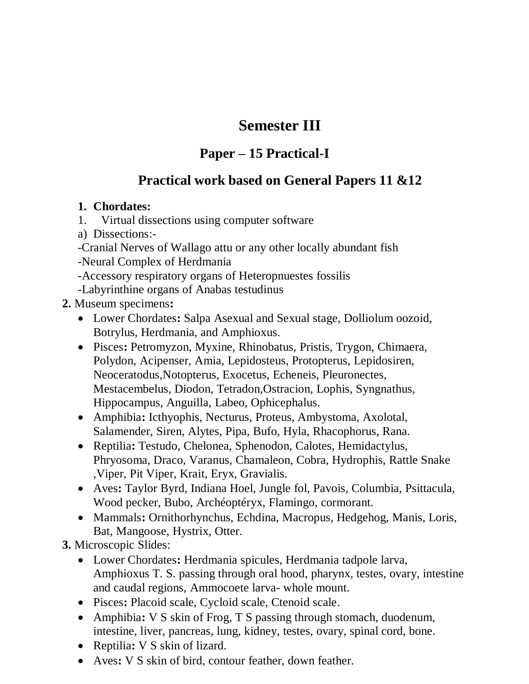# **Semester III**

# **Paper – 15 Practical-I**

# **Practical work based on General Papers 11 &12**

# **1. Chordates:**

- 1. Virtual dissections using computer software
- a) Dissections:-
- -Cranial Nerves of Wallago attu or any other locally abundant fish
- -Neural Complex of Herdmania
- -Accessory respiratory organs of Heteropnuestes fossilis
- -Labyrinthine organs of Anabas testudinus

# **2.** Museum specimens**:**

- Lower Chordates**:** Salpa Asexual and Sexual stage, Dolliolum oozoid, Botrylus, Herdmania, and Amphioxus.
- Pisces**:** Petromyzon, Myxine, Rhinobatus, Pristis, Trygon, Chimaera, Polydon, Acipenser, Amia, Lepidosteus, Protopterus, Lepidosiren, Neoceratodus,Notopterus, Exocetus, Echeneis, Pleuronectes, Mestacembelus, Diodon, Tetradon,Ostracion, Lophis, Syngnathus, Hippocampus, Anguilla, Labeo, Ophicephalus.
- Amphibia**:** Icthyophis, Necturus, Proteus, Ambystoma, Axolotal, Salamender, Siren, Alytes, Pipa, Bufo, Hyla, Rhacophorus, Rana.
- Reptilia**:** Testudo, Chelonea, Sphenodon, Calotes, Hemidactylus, Phryosoma, Draco, Varanus, Chamaleon, Cobra, Hydrophis, Rattle Snake ,Viper, Pit Viper, Krait, Eryx, Gravialis.
- Aves**:** Taylor Byrd, Indiana Hoel, Jungle fol, Pavois, Columbia, Psittacula, Wood pecker, Bubo, Archéoptéryx, Flamingo, cormorant.
- Mammals**:** Ornithorhynchus, Echdina, Macropus, Hedgehog, Manis, Loris, Bat, Mangoose, Hystrix, Otter.

**3.** Microscopic Slides:

- Lower Chordates**:** Herdmania spicules, Herdmania tadpole larva, Amphioxus T. S. passing through oral hood, pharynx, testes, ovary, intestine and caudal regions, Ammocoete larva- whole mount.
- Pisces**:** Placoid scale, Cycloid scale, Ctenoid scale.
- Amphibia**:** V S skin of Frog, T S passing through stomach, duodenum, intestine, liver, pancreas, lung, kidney, testes, ovary, spinal cord, bone.
- Reptilia: **V** S skin of lizard.
- Aves**:** V S skin of bird, contour feather, down feather.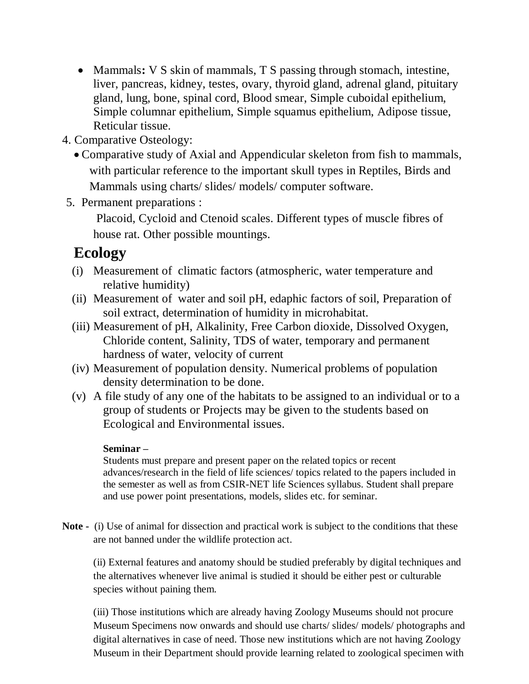- Mammals: V S skin of mammals, T S passing through stomach, intestine, liver, pancreas, kidney, testes, ovary, thyroid gland, adrenal gland, pituitary gland, lung, bone, spinal cord, Blood smear, Simple cuboidal epithelium, Simple columnar epithelium, Simple squamus epithelium, Adipose tissue, Reticular tissue.
- 4. Comparative Osteology:
	- Comparative study of Axial and Appendicular skeleton from fish to mammals, with particular reference to the important skull types in Reptiles, Birds and Mammals using charts/ slides/ models/ computer software.
- 5. Permanent preparations :

Placoid, Cycloid and Ctenoid scales. Different types of muscle fibres of house rat. Other possible mountings.

# **Ecology**

- (i) Measurement of climatic factors (atmospheric, water temperature and relative humidity)
- (ii) Measurement of water and soil pH, edaphic factors of soil, Preparation of soil extract, determination of humidity in microhabitat.
- (iii) Measurement of pH, Alkalinity, Free Carbon dioxide, Dissolved Oxygen, Chloride content, Salinity, TDS of water, temporary and permanent hardness of water, velocity of current
- (iv) Measurement of population density. Numerical problems of population density determination to be done.
- (v) A file study of any one of the habitats to be assigned to an individual or to a group of students or Projects may be given to the students based on Ecological and Environmental issues.

## **Seminar –**

Students must prepare and present paper on the related topics or recent advances/research in the field of life sciences/ topics related to the papers included in the semester as well as from CSIR-NET life Sciences syllabus. Student shall prepare and use power point presentations, models, slides etc. for seminar.

**Note -** (i) Use of animal for dissection and practical work is subject to the conditions that these are not banned under the wildlife protection act.

(ii) External features and anatomy should be studied preferably by digital techniques and the alternatives whenever live animal is studied it should be either pest or culturable species without paining them.

(iii) Those institutions which are already having Zoology Museums should not procure Museum Specimens now onwards and should use charts/ slides/ models/ photographs and digital alternatives in case of need. Those new institutions which are not having Zoology Museum in their Department should provide learning related to zoological specimen with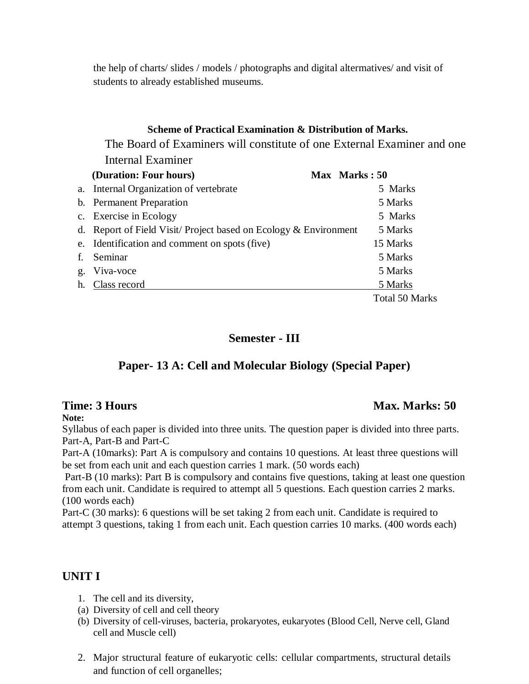the help of charts/ slides / models / photographs and digital altermatives/ and visit of students to already established museums.

#### **Scheme of Practical Examination & Distribution of Marks.**

The Board of Examiners will constitute of one External Examiner and one Internal Examiner

|    | (Duration: Four hours)                                            | Max Marks: 50         |
|----|-------------------------------------------------------------------|-----------------------|
|    | a. Internal Organization of vertebrate                            | 5 Marks               |
|    | b. Permanent Preparation                                          | 5 Marks               |
|    | c. Exercise in Ecology                                            | 5 Marks               |
|    | d. Report of Field Visit/Project based on Ecology $& Environment$ | 5 Marks               |
|    | e. Identification and comment on spots (five)                     | 15 Marks              |
| f. | Seminar                                                           | 5 Marks               |
|    | g. Viva-voce                                                      | 5 Marks               |
|    | h. Class record                                                   | 5 Marks               |
|    |                                                                   | <b>Total 50 Marks</b> |

#### **Semester - III**

## **Paper- 13 A: Cell and Molecular Biology (Special Paper)**

#### **Time: 3 Hours** Max. Marks: 50

**Note:**

Syllabus of each paper is divided into three units. The question paper is divided into three parts. Part-A, Part-B and Part-C

Part-A (10marks): Part A is compulsory and contains 10 questions. At least three questions will be set from each unit and each question carries 1 mark. (50 words each)

Part-B (10 marks): Part B is compulsory and contains five questions, taking at least one question from each unit. Candidate is required to attempt all 5 questions. Each question carries 2 marks. (100 words each)

Part-C (30 marks): 6 questions will be set taking 2 from each unit. Candidate is required to attempt 3 questions, taking 1 from each unit. Each question carries 10 marks. (400 words each)

## **UNIT I**

- 1. The cell and its diversity,
- (a) Diversity of cell and cell theory
- (b) Diversity of cell-viruses, bacteria, prokaryotes, eukaryotes (Blood Cell, Nerve cell, Gland cell and Muscle cell)
- 2. Major structural feature of eukaryotic cells: cellular compartments, structural details and function of cell organelles;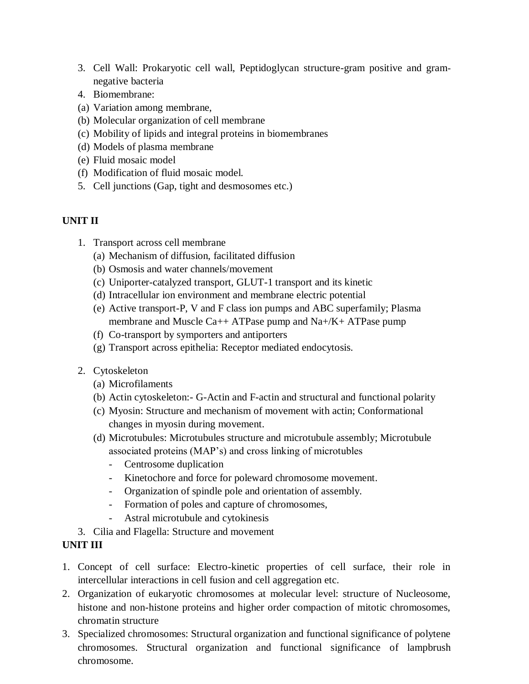- 3. Cell Wall: Prokaryotic cell wall, Peptidoglycan structure-gram positive and gramnegative bacteria
- 4. Biomembrane:
- (a) Variation among membrane,
- (b) Molecular organization of cell membrane
- (c) Mobility of lipids and integral proteins in biomembranes
- (d) Models of plasma membrane
- (e) Fluid mosaic model
- (f) Modification of fluid mosaic model.
- 5. Cell junctions (Gap, tight and desmosomes etc.)

#### **UNIT II**

- 1. Transport across cell membrane
	- (a) Mechanism of diffusion, facilitated diffusion
	- (b) Osmosis and water channels/movement
	- (c) Uniporter-catalyzed transport, GLUT-1 transport and its kinetic
	- (d) Intracellular ion environment and membrane electric potential
	- (e) Active transport-P, V and F class ion pumps and ABC superfamily; Plasma membrane and Muscle Ca++ ATPase pump and Na+/K+ ATPase pump
	- (f) Co-transport by symporters and antiporters
	- (g) Transport across epithelia: Receptor mediated endocytosis.
- 2. Cytoskeleton
	- (a) Microfilaments
	- (b) Actin cytoskeleton:- G-Actin and F-actin and structural and functional polarity
	- (c) Myosin: Structure and mechanism of movement with actin; Conformational changes in myosin during movement.
	- (d) Microtubules: Microtubules structure and microtubule assembly; Microtubule associated proteins (MAP's) and cross linking of microtubles
		- Centrosome duplication
		- Kinetochore and force for poleward chromosome movement.
		- Organization of spindle pole and orientation of assembly.
		- Formation of poles and capture of chromosomes,
		- Astral microtubule and cytokinesis
- 3. Cilia and Flagella: Structure and movement

#### **UNIT III**

- 1. Concept of cell surface: Electro-kinetic properties of cell surface, their role in intercellular interactions in cell fusion and cell aggregation etc.
- 2. Organization of eukaryotic chromosomes at molecular level: structure of Nucleosome, histone and non-histone proteins and higher order compaction of mitotic chromosomes, chromatin structure
- 3. Specialized chromosomes: Structural organization and functional significance of polytene chromosomes. Structural organization and functional significance of lampbrush chromosome.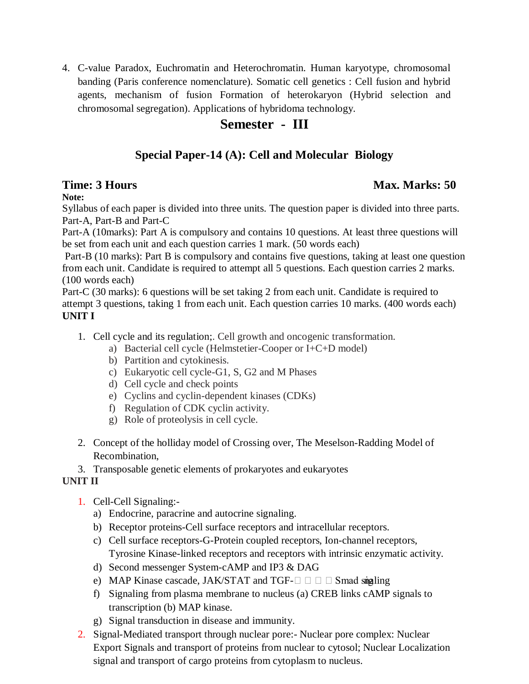4. C-value Paradox, Euchromatin and Heterochromatin. Human karyotype, chromosomal banding (Paris conference nomenclature). Somatic cell genetics : Cell fusion and hybrid agents, mechanism of fusion Formation of heterokaryon (Hybrid selection and chromosomal segregation). Applications of hybridoma technology.

# **Semester - III**

# **Special Paper-14 (A): Cell and Molecular Biology**

# **Time: 3 Hours** Max. Marks: 50

## **Note:**

Syllabus of each paper is divided into three units. The question paper is divided into three parts. Part-A, Part-B and Part-C

Part-A (10marks): Part A is compulsory and contains 10 questions. At least three questions will be set from each unit and each question carries 1 mark. (50 words each)

Part-B (10 marks): Part B is compulsory and contains five questions, taking at least one question from each unit. Candidate is required to attempt all 5 questions. Each question carries 2 marks. (100 words each)

Part-C (30 marks): 6 questions will be set taking 2 from each unit. Candidate is required to attempt 3 questions, taking 1 from each unit. Each question carries 10 marks. (400 words each) **UNIT I** 

- 1. Cell cycle and its regulation;. Cell growth and oncogenic transformation.
	- a) Bacterial cell cycle (Helmstetier-Cooper or I+C+D model)
	- b) Partition and cytokinesis.
	- c) Eukaryotic cell cycle-G1, S, G2 and M Phases
	- d) Cell cycle and check points
	- e) Cyclins and cyclin-dependent kinases (CDKs)
	- f) Regulation of CDK cyclin activity.
	- g) Role of proteolysis in cell cycle.
- 2. Concept of the holliday model of Crossing over, The Meselson-Radding Model of Recombination,
- 3. Transposable genetic elements of prokaryotes and eukaryotes

## **UNIT II**

- 1. Cell-Cell Signaling:
	- a) Endocrine, paracrine and autocrine signaling.
	- b) Receptor proteins-Cell surface receptors and intracellular receptors.
	- c) Cell surface receptors-G-Protein coupled receptors, Ion-channel receptors, Tyrosine Kinase-linked receptors and receptors with intrinsic enzymatic activity.
	- d) Second messenger System-cAMP and IP3 & DAG
	- e) MAP Kinase cascade, JAK/STAT and TGF- $\square \square \square \square$  Smad singling
	- f) Signaling from plasma membrane to nucleus (a) CREB links cAMP signals to transcription (b) MAP kinase.
	- g) Signal transduction in disease and immunity.
- 2. Signal-Mediated transport through nuclear pore:- Nuclear pore complex: Nuclear Export Signals and transport of proteins from nuclear to cytosol; Nuclear Localization signal and transport of cargo proteins from cytoplasm to nucleus.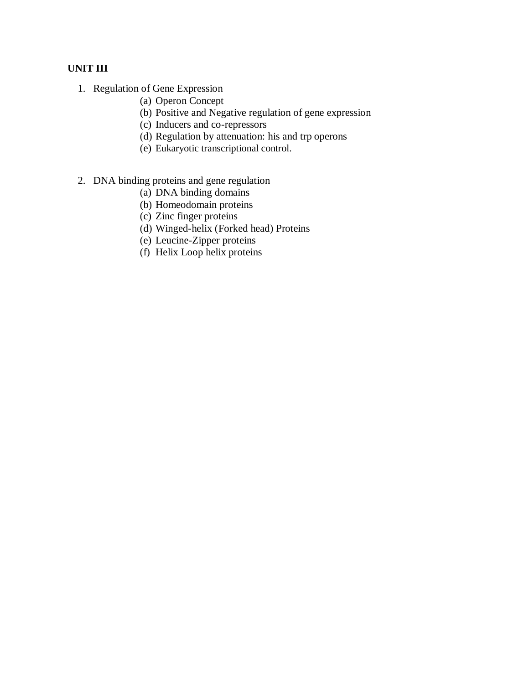#### **UNIT III**

- 1. Regulation of Gene Expression
	- (a) Operon Concept
	- (b) Positive and Negative regulation of gene expression
	- (c) Inducers and co-repressors
	- (d) Regulation by attenuation: his and trp operons
	- (e) Eukaryotic transcriptional control.
- 2. DNA binding proteins and gene regulation
	- (a) DNA binding domains
	- (b) Homeodomain proteins
	- (c) Zinc finger proteins
	- (d) Winged-helix (Forked head) Proteins
	- (e) Leucine-Zipper proteins
	- (f) Helix Loop helix proteins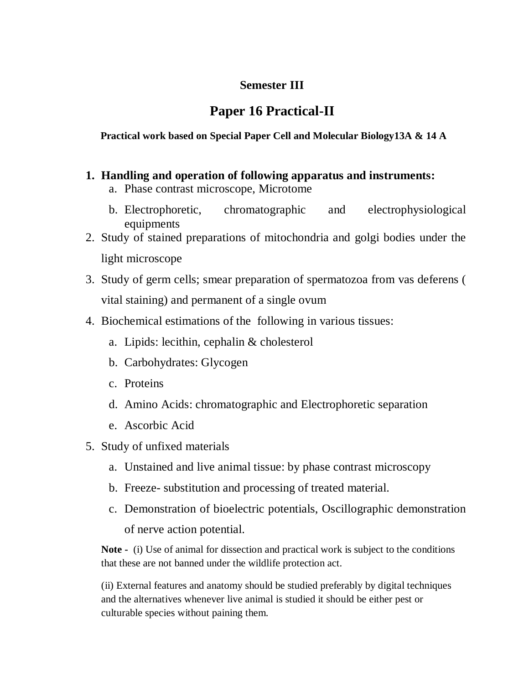# **Semester III**

# **Paper 16 Practical-II**

#### **Practical work based on Special Paper Cell and Molecular Biology13A & 14 A**

- **1. Handling and operation of following apparatus and instruments:**
	- a. Phase contrast microscope, Microtome
	- b. Electrophoretic, chromatographic and electrophysiological equipments
- 2. Study of stained preparations of mitochondria and golgi bodies under the light microscope
- 3. Study of germ cells; smear preparation of spermatozoa from vas deferens ( vital staining) and permanent of a single ovum
- 4. Biochemical estimations of the following in various tissues:
	- a. Lipids: lecithin, cephalin & cholesterol
	- b. Carbohydrates: Glycogen
	- c. Proteins
	- d. Amino Acids: chromatographic and Electrophoretic separation
	- e. Ascorbic Acid
- 5. Study of unfixed materials
	- a. Unstained and live animal tissue: by phase contrast microscopy
	- b. Freeze- substitution and processing of treated material.
	- c. Demonstration of bioelectric potentials, Oscillographic demonstration of nerve action potential.

**Note -** (i) Use of animal for dissection and practical work is subject to the conditions that these are not banned under the wildlife protection act.

(ii) External features and anatomy should be studied preferably by digital techniques and the alternatives whenever live animal is studied it should be either pest or culturable species without paining them.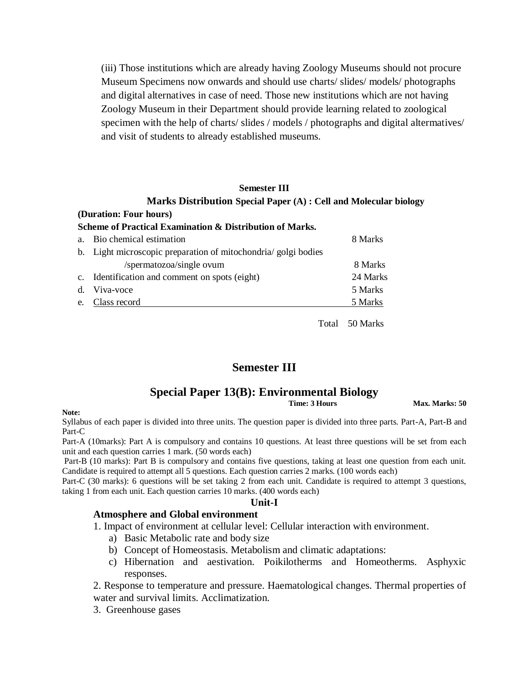(iii) Those institutions which are already having Zoology Museums should not procure Museum Specimens now onwards and should use charts/ slides/ models/ photographs and digital alternatives in case of need. Those new institutions which are not having Zoology Museum in their Department should provide learning related to zoological specimen with the help of charts/ slides / models / photographs and digital altermatives/ and visit of students to already established museums.

### **Semester III**

### **Marks Distribution Special Paper (A) : Cell and Molecular biology**

**(Duration: Four hours)**

| Scheme of Practical Examination & Distribution of Marks.        |  |
|-----------------------------------------------------------------|--|
| $\mathbf{r}$ and $\mathbf{r}$ and $\mathbf{r}$ and $\mathbf{r}$ |  |

| a. Bio chemical estimation                                     | 8 Marks  |
|----------------------------------------------------------------|----------|
| b. Light microscopic preparation of mitochondria/ golgi bodies |          |
| /spermatozoa/single ovum                                       | 8 Marks  |
| c. Identification and comment on spots (eight)                 | 24 Marks |
| d. Viva-voce                                                   | 5 Marks  |
| e. Class record                                                | 5 Marks  |
|                                                                |          |

Total 50 Marks

### **Semester III**

# **Special Paper 13(B): Environmental Biology**

**Max. Marks: 50** 

**Note:**

Syllabus of each paper is divided into three units. The question paper is divided into three parts. Part-A, Part-B and Part-C

Part-A (10marks): Part A is compulsory and contains 10 questions. At least three questions will be set from each unit and each question carries 1 mark. (50 words each)

Part-B (10 marks): Part B is compulsory and contains five questions, taking at least one question from each unit. Candidate is required to attempt all 5 questions. Each question carries 2 marks. (100 words each)

Part-C (30 marks): 6 questions will be set taking 2 from each unit. Candidate is required to attempt 3 questions, taking 1 from each unit. Each question carries 10 marks. (400 words each)

### **Unit-I**

### **Atmosphere and Global environment**

1. Impact of environment at cellular level: Cellular interaction with environment.

- a) Basic Metabolic rate and body size
- b) Concept of Homeostasis. Metabolism and climatic adaptations:
- c) Hibernation and aestivation. Poikilotherms and Homeotherms. Asphyxic responses.

2. Response to temperature and pressure. Haematological changes. Thermal properties of water and survival limits. Acclimatization.

3. Greenhouse gases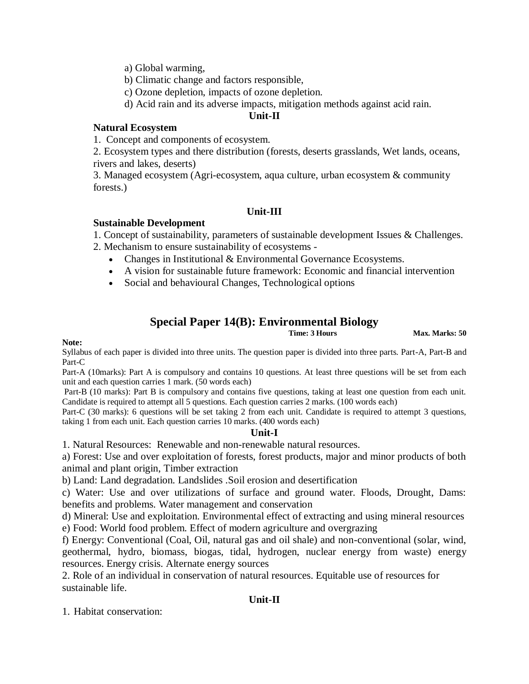- a) Global warming,
- b) Climatic change and factors responsible,
- c) Ozone depletion, impacts of ozone depletion.
- d) Acid rain and its adverse impacts, mitigation methods against acid rain.

### **Unit-II**

### **Natural Ecosystem**

1. Concept and components of ecosystem.

2. Ecosystem types and there distribution (forests, deserts grasslands, Wet lands, oceans, rivers and lakes, deserts)

3. Managed ecosystem (Agri-ecosystem, aqua culture, urban ecosystem & community forests.)

### **Unit-III**

### **Sustainable Development**

- 1. Concept of sustainability, parameters of sustainable development Issues & Challenges.
- 2. Mechanism to ensure sustainability of ecosystems
	- Changes in Institutional & Environmental Governance Ecosystems.
	- A vision for sustainable future framework: Economic and financial intervention
	- Social and behavioural Changes, Technological options

# **Special Paper 14(B): Environmental Biology**

**Max. Marks: 50** 

### **Note:**

Syllabus of each paper is divided into three units. The question paper is divided into three parts. Part-A, Part-B and Part-C

Part-A (10marks): Part A is compulsory and contains 10 questions. At least three questions will be set from each unit and each question carries 1 mark. (50 words each)

Part-B (10 marks): Part B is compulsory and contains five questions, taking at least one question from each unit. Candidate is required to attempt all 5 questions. Each question carries 2 marks. (100 words each)

Part-C (30 marks): 6 questions will be set taking 2 from each unit. Candidate is required to attempt 3 questions, taking 1 from each unit. Each question carries 10 marks. (400 words each)

### **Unit-I**

1. Natural Resources: Renewable and non-renewable natural resources.

a) Forest: Use and over exploitation of forests, forest products, major and minor products of both animal and plant origin, Timber extraction

b) Land: Land degradation. Landslides .Soil erosion and desertification

c) Water: Use and over utilizations of surface and ground water. Floods, Drought, Dams: benefits and problems. Water management and conservation

d) Mineral: Use and exploitation. Environmental effect of extracting and using mineral resources e) Food: World food problem. Effect of modern agriculture and overgrazing

f) Energy: Conventional (Coal, Oil, natural gas and oil shale) and non-conventional (solar, wind, geothermal, hydro, biomass, biogas, tidal, hydrogen, nuclear energy from waste) energy resources. Energy crisis. Alternate energy sources

2. Role of an individual in conservation of natural resources. Equitable use of resources for sustainable life.

### **Unit-II**

1. Habitat conservation: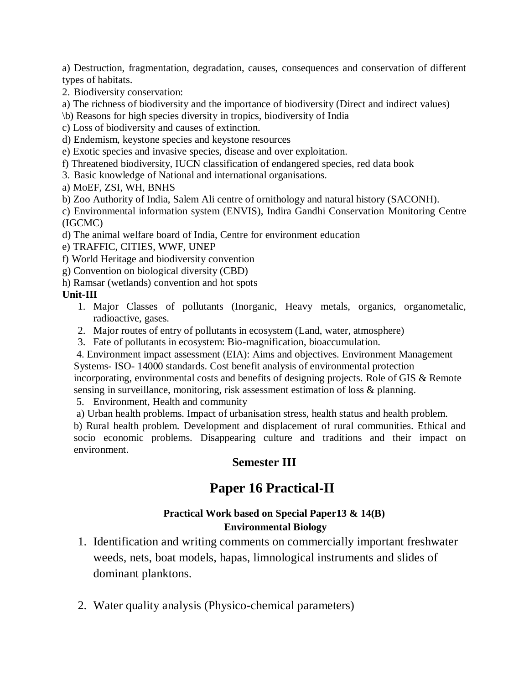a) Destruction, fragmentation, degradation, causes, consequences and conservation of different types of habitats.

2. Biodiversity conservation:

a) The richness of biodiversity and the importance of biodiversity (Direct and indirect values)

\b) Reasons for high species diversity in tropics, biodiversity of India

c) Loss of biodiversity and causes of extinction.

d) Endemism, keystone species and keystone resources

e) Exotic species and invasive species, disease and over exploitation.

f) Threatened biodiversity, IUCN classification of endangered species, red data book

3. Basic knowledge of National and international organisations.

a) MoEF, ZSI, WH, BNHS

b) Zoo Authority of India, Salem Ali centre of ornithology and natural history (SACONH).

c) Environmental information system (ENVIS), Indira Gandhi Conservation Monitoring Centre (IGCMC)

d) The animal welfare board of India, Centre for environment education

e) TRAFFIC, CITIES, WWF, UNEP

f) World Heritage and biodiversity convention

g) Convention on biological diversity (CBD)

h) Ramsar (wetlands) convention and hot spots

### **Unit-III**

1. Major Classes of pollutants (Inorganic, Heavy metals, organics, organometalic, radioactive, gases.

2. Major routes of entry of pollutants in ecosystem (Land, water, atmosphere)

3. Fate of pollutants in ecosystem: Bio-magnification, bioaccumulation.

4. Environment impact assessment (EIA): Aims and objectives. Environment Management Systems- ISO- 14000 standards. Cost benefit analysis of environmental protection

incorporating, environmental costs and benefits of designing projects. Role of GIS & Remote sensing in surveillance, monitoring, risk assessment estimation of loss & planning.

5. Environment, Health and community

a) Urban health problems. Impact of urbanisation stress, health status and health problem.

b) Rural health problem. Development and displacement of rural communities. Ethical and socio economic problems. Disappearing culture and traditions and their impact on environment.

## **Semester III**

# **Paper 16 Practical-II**

### **Practical Work based on Special Paper13 & 14(B) Environmental Biology**

- 1. Identification and writing comments on commercially important freshwater weeds, nets, boat models, hapas, limnological instruments and slides of dominant planktons.
- 2. Water quality analysis (Physico-chemical parameters)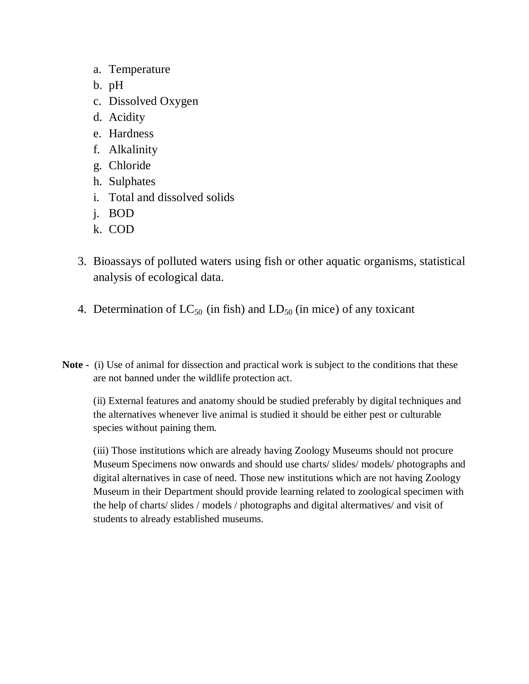- a. Temperature
- b. pH
- c. Dissolved Oxygen
- d. Acidity
- e. Hardness
- f. Alkalinity
- g. Chloride
- h. Sulphates
- i. Total and dissolved solids
- j. BOD
- k. COD
- 3. Bioassays of polluted waters using fish or other aquatic organisms, statistical analysis of ecological data.
- 4. Determination of  $LC_{50}$  (in fish) and  $LD_{50}$  (in mice) of any toxicant

**Note -** (i) Use of animal for dissection and practical work is subject to the conditions that these are not banned under the wildlife protection act.

(ii) External features and anatomy should be studied preferably by digital techniques and the alternatives whenever live animal is studied it should be either pest or culturable species without paining them.

(iii) Those institutions which are already having Zoology Museums should not procure Museum Specimens now onwards and should use charts/ slides/ models/ photographs and digital alternatives in case of need. Those new institutions which are not having Zoology Museum in their Department should provide learning related to zoological specimen with the help of charts/ slides / models / photographs and digital altermatives/ and visit of students to already established museums.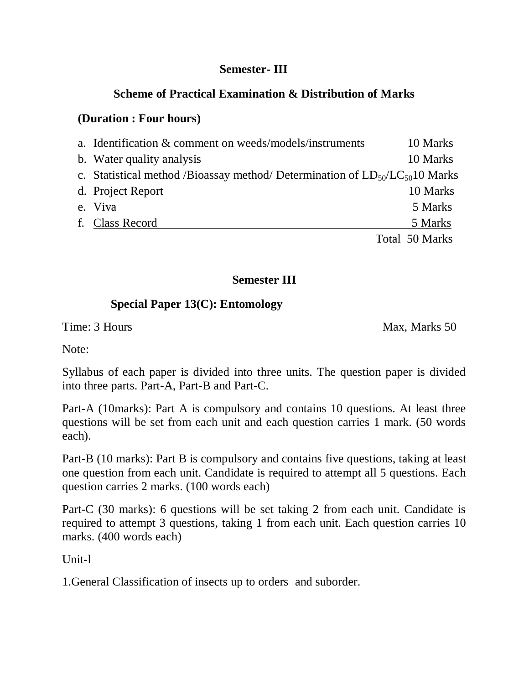## **Semester- III**

# **Scheme of Practical Examination & Distribution of Marks**

# **(Duration : Four hours)**

| a. Identification & comment on weeds/models/instruments                            | 10 Marks       |
|------------------------------------------------------------------------------------|----------------|
| b. Water quality analysis                                                          | 10 Marks       |
| c. Statistical method /Bioassay method/ Determination of $LD_{50}/LC_{50}10$ Marks |                |
| d. Project Report                                                                  | 10 Marks       |
| e. Viva                                                                            | 5 Marks        |
| f. Class Record                                                                    | 5 Marks        |
|                                                                                    | Total 50 Marks |

# **Semester III**

# **Special Paper 13(C): Entomology**

Time: 3 Hours Max, Marks 50

Note:

Syllabus of each paper is divided into three units. The question paper is divided into three parts. Part-A, Part-B and Part-C.

Part-A (10marks): Part A is compulsory and contains 10 questions. At least three questions will be set from each unit and each question carries 1 mark. (50 words each).

Part-B (10 marks): Part B is compulsory and contains five questions, taking at least one question from each unit. Candidate is required to attempt all 5 questions. Each question carries 2 marks. (100 words each)

Part-C (30 marks): 6 questions will be set taking 2 from each unit. Candidate is required to attempt 3 questions, taking 1 from each unit. Each question carries 10 marks. (400 words each)

Unit-l

1.General Classification of insects up to orders and suborder.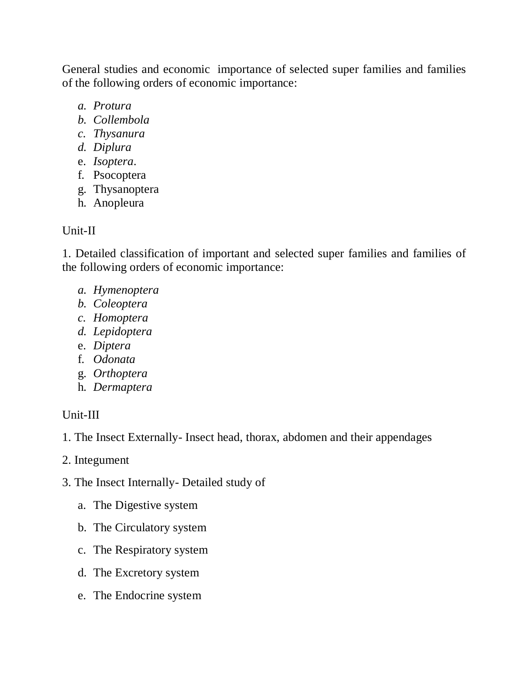General studies and economic importance of selected super families and families of the following orders of economic importance:

- *a. Protura*
- *b. Collembola*
- *c. Thysanura*
- *d. Diplura*
- e. *Isoptera*.
- f. Psocoptera
- g. Thysanoptera
- h. Anopleura

## Unit-II

1. Detailed classification of important and selected super families and families of the following orders of economic importance:

- *a. Hymenoptera*
- *b. Coleoptera*
- *c. Homoptera*
- *d. Lepidoptera*
- e. *Diptera*
- f. *Odonata*
- g. *Orthoptera*
- h. *Dermaptera*

# Unit-III

- 1. The Insect Externally- Insect head, thorax, abdomen and their appendages
- 2. Integument
- 3. The Insect Internally- Detailed study of
	- a. The Digestive system
	- b. The Circulatory system
	- c. The Respiratory system
	- d. The Excretory system
	- e. The Endocrine system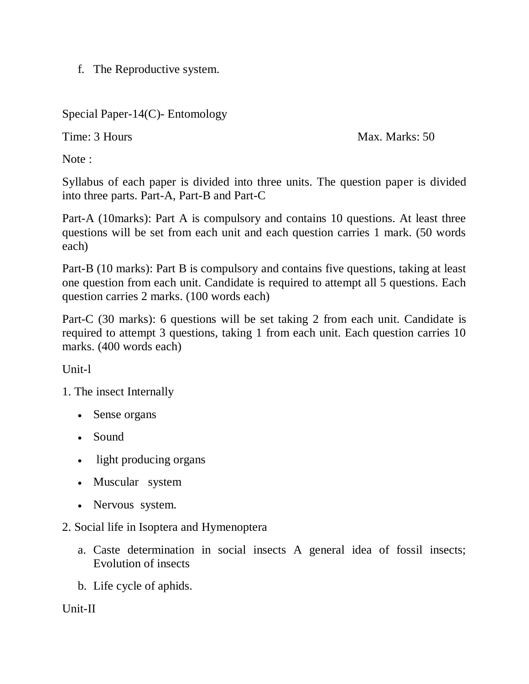f. The Reproductive system.

Special Paper-14(C)- Entomology

Time: 3 Hours Max. Marks: 50

Note :

Syllabus of each paper is divided into three units. The question paper is divided into three parts. Part-A, Part-B and Part-C

Part-A (10marks): Part A is compulsory and contains 10 questions. At least three questions will be set from each unit and each question carries 1 mark. (50 words each)

Part-B (10 marks): Part B is compulsory and contains five questions, taking at least one question from each unit. Candidate is required to attempt all 5 questions. Each question carries 2 marks. (100 words each)

Part-C (30 marks): 6 questions will be set taking 2 from each unit. Candidate is required to attempt 3 questions, taking 1 from each unit. Each question carries 10 marks. (400 words each)

Unit-l

1. The insect Internally

- Sense organs
- Sound
- light producing organs
- Muscular system
- Nervous system.
- 2. Social life in Isoptera and Hymenoptera
	- a. Caste determination in social insects A general idea of fossil insects; Evolution of insects
	- b. Life cycle of aphids.

Unit-II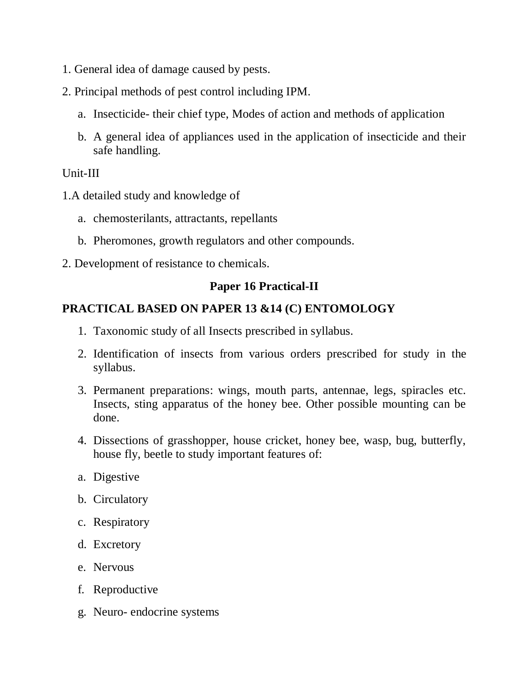- 1. General idea of damage caused by pests.
- 2. Principal methods of pest control including IPM.
	- a. Insecticide- their chief type, Modes of action and methods of application
	- b. A general idea of appliances used in the application of insecticide and their safe handling.

## Unit-III

- 1.A detailed study and knowledge of
	- a. chemosterilants, attractants, repellants
	- b. Pheromones, growth regulators and other compounds.
- 2. Development of resistance to chemicals.

# **Paper 16 Practical-II**

## **PRACTICAL BASED ON PAPER 13 &14 (C) ENTOMOLOGY**

- 1. Taxonomic study of all Insects prescribed in syllabus.
- 2. Identification of insects from various orders prescribed for study in the syllabus.
- 3. Permanent preparations: wings, mouth parts, antennae, legs, spiracles etc. Insects, sting apparatus of the honey bee. Other possible mounting can be done.
- 4. Dissections of grasshopper, house cricket, honey bee, wasp, bug, butterfly, house fly, beetle to study important features of:
- a. Digestive
- b. Circulatory
- c. Respiratory
- d. Excretory
- e. Nervous
- f. Reproductive
- g. Neuro- endocrine systems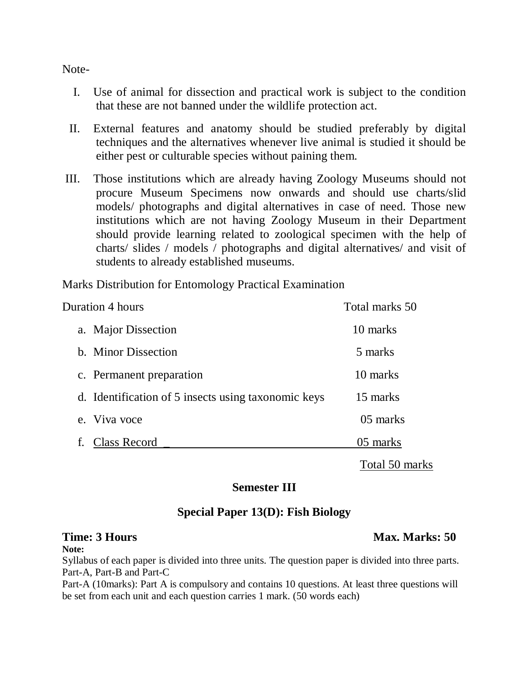Note-

- I. Use of animal for dissection and practical work is subject to the condition that these are not banned under the wildlife protection act.
- II. External features and anatomy should be studied preferably by digital techniques and the alternatives whenever live animal is studied it should be either pest or culturable species without paining them.
- III. Those institutions which are already having Zoology Museums should not procure Museum Specimens now onwards and should use charts/slid models/ photographs and digital alternatives in case of need. Those new institutions which are not having Zoology Museum in their Department should provide learning related to zoological specimen with the help of charts/ slides / models / photographs and digital alternatives/ and visit of students to already established museums.

Marks Distribution for Entomology Practical Examination

| <b>Duration 4 hours</b>                             | Total marks 50 |
|-----------------------------------------------------|----------------|
| a. Major Dissection                                 | 10 marks       |
| b. Minor Dissection                                 | 5 marks        |
| c. Permanent preparation                            | 10 marks       |
| d. Identification of 5 insects using taxonomic keys | 15 marks       |
| e. Viva voce                                        | 05 marks       |
| Class Record                                        | 05 marks       |
|                                                     |                |

Total 50 marks

## **Semester III**

## **Special Paper 13(D): Fish Biology**

**Note:**

Syllabus of each paper is divided into three units. The question paper is divided into three parts. Part-A, Part-B and Part-C

Part-A (10marks): Part A is compulsory and contains 10 questions. At least three questions will be set from each unit and each question carries 1 mark. (50 words each)

### **Time: 3 Hours** Max. Marks: 50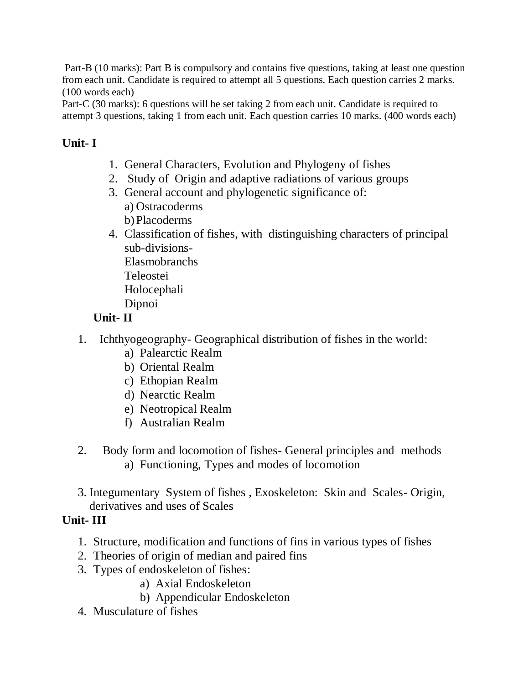Part-B (10 marks): Part B is compulsory and contains five questions, taking at least one question from each unit. Candidate is required to attempt all 5 questions. Each question carries 2 marks. (100 words each)

Part-C (30 marks): 6 questions will be set taking 2 from each unit. Candidate is required to attempt 3 questions, taking 1 from each unit. Each question carries 10 marks. (400 words each)

# **Unit- I**

- 1. General Characters, Evolution and Phylogeny of fishes
- 2. Study of Origin and adaptive radiations of various groups
- 3. General account and phylogenetic significance of: a) Ostracoderms b)Placoderms
- 4. Classification of fishes, with distinguishing characters of principal sub-divisions-Elasmobranchs Teleostei Holocephali

# Dipnoi

# **Unit- II**

- 1. Ichthyogeography- Geographical distribution of fishes in the world:
	- a) Palearctic Realm
	- b) Oriental Realm
	- c) Ethopian Realm
	- d) Nearctic Realm
	- e) Neotropical Realm
	- f) Australian Realm
- 2. Body form and locomotion of fishes- General principles and methods a) Functioning, Types and modes of locomotion
- 3. Integumentary System of fishes , Exoskeleton: Skin and Scales- Origin, derivatives and uses of Scales

# **Unit- III**

- 1. Structure, modification and functions of fins in various types of fishes
- 2. Theories of origin of median and paired fins
- 3. Types of endoskeleton of fishes:
	- a) Axial Endoskeleton
	- b) Appendicular Endoskeleton
- 4. Musculature of fishes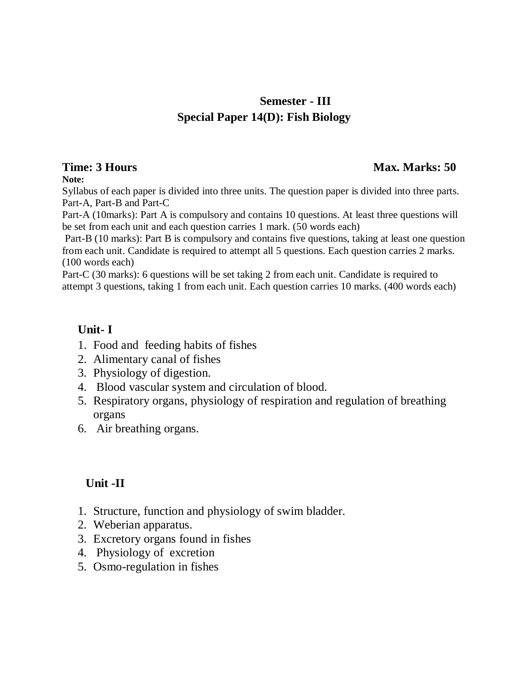# **Semester - III Special Paper 14(D): Fish Biology**

## **Time: 3 Hours** Max. Marks: 50

**Note:**

Syllabus of each paper is divided into three units. The question paper is divided into three parts. Part-A, Part-B and Part-C

Part-A (10marks): Part A is compulsory and contains 10 questions. At least three questions will be set from each unit and each question carries 1 mark. (50 words each)

Part-B (10 marks): Part B is compulsory and contains five questions, taking at least one question from each unit. Candidate is required to attempt all 5 questions. Each question carries 2 marks. (100 words each)

Part-C (30 marks): 6 questions will be set taking 2 from each unit. Candidate is required to attempt 3 questions, taking 1 from each unit. Each question carries 10 marks. (400 words each)

# **Unit- I**

- 1. Food and feeding habits of fishes
- 2. Alimentary canal of fishes
- 3. Physiology of digestion.
- 4. Blood vascular system and circulation of blood.
- 5. Respiratory organs, physiology of respiration and regulation of breathing organs
- 6. Air breathing organs.

# **Unit -II**

- 1. Structure, function and physiology of swim bladder.
- 2. Weberian apparatus.
- 3. Excretory organs found in fishes
- 4. Physiology of excretion
- 5. Osmo-regulation in fishes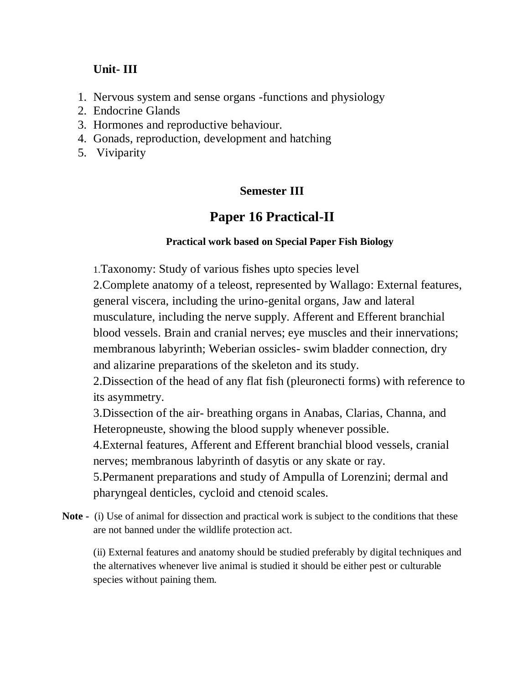# **Unit- III**

- 1. Nervous system and sense organs -functions and physiology
- 2. Endocrine Glands
- 3. Hormones and reproductive behaviour.
- 4. Gonads, reproduction, development and hatching
- 5. Viviparity

# **Semester III**

# **Paper 16 Practical-II**

## **Practical work based on Special Paper Fish Biology**

1.Taxonomy: Study of various fishes upto species level

2.Complete anatomy of a teleost, represented by Wallago: External features, general viscera, including the urino-genital organs, Jaw and lateral musculature, including the nerve supply. Afferent and Efferent branchial blood vessels. Brain and cranial nerves; eye muscles and their innervations; membranous labyrinth; Weberian ossicles- swim bladder connection, dry and alizarine preparations of the skeleton and its study.

2.Dissection of the head of any flat fish (pleuronecti forms) with reference to its asymmetry.

3.Dissection of the air- breathing organs in Anabas, Clarias, Channa, and Heteropneuste, showing the blood supply whenever possible.

4.External features, Afferent and Efferent branchial blood vessels, cranial nerves; membranous labyrinth of dasytis or any skate or ray.

5.Permanent preparations and study of Ampulla of Lorenzini; dermal and pharyngeal denticles, cycloid and ctenoid scales.

**Note -** (i) Use of animal for dissection and practical work is subject to the conditions that these are not banned under the wildlife protection act.

(ii) External features and anatomy should be studied preferably by digital techniques and the alternatives whenever live animal is studied it should be either pest or culturable species without paining them.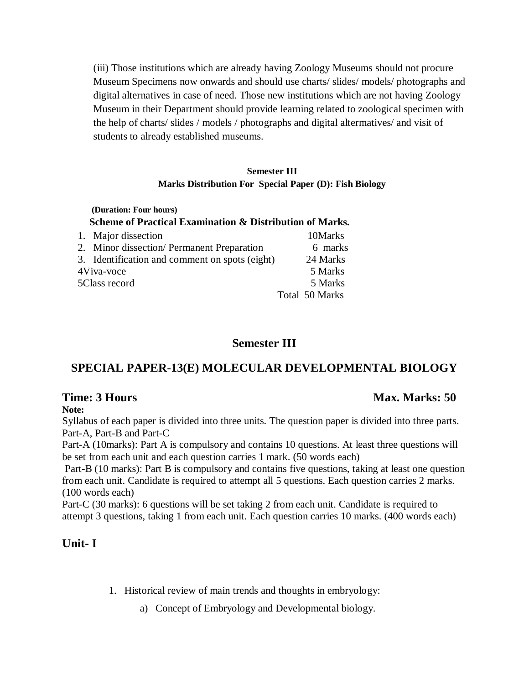(iii) Those institutions which are already having Zoology Museums should not procure Museum Specimens now onwards and should use charts/ slides/ models/ photographs and digital alternatives in case of need. Those new institutions which are not having Zoology Museum in their Department should provide learning related to zoological specimen with the help of charts/ slides / models / photographs and digital altermatives/ and visit of students to already established museums.

### **Semester III Marks Distribution For Special Paper (D): Fish Biology**

### **(Duration: Four hours) Scheme of Practical Examination & Distribution of Marks.** 1. Major dissection 10Marks 2. Minor dissection/ Permanent Preparation 6 marks 3. Identification and comment on spots (eight) 24 Marks 4Viva-voce 5 Marks 5Class record 5 Marks

# Total 50 Marks

## **Semester III**

# **SPECIAL PAPER-13(E) MOLECULAR DEVELOPMENTAL BIOLOGY**

### **Time: 3 Hours Max. Marks: 50**  Max. Marks: 50

### **Note:**

Syllabus of each paper is divided into three units. The question paper is divided into three parts. Part-A, Part-B and Part-C

Part-A (10marks): Part A is compulsory and contains 10 questions. At least three questions will be set from each unit and each question carries 1 mark. (50 words each)

Part-B (10 marks): Part B is compulsory and contains five questions, taking at least one question from each unit. Candidate is required to attempt all 5 questions. Each question carries 2 marks. (100 words each)

Part-C (30 marks): 6 questions will be set taking 2 from each unit. Candidate is required to attempt 3 questions, taking 1 from each unit. Each question carries 10 marks. (400 words each)

# **Unit- I**

- 1. Historical review of main trends and thoughts in embryology:
	- a) Concept of Embryology and Developmental biology.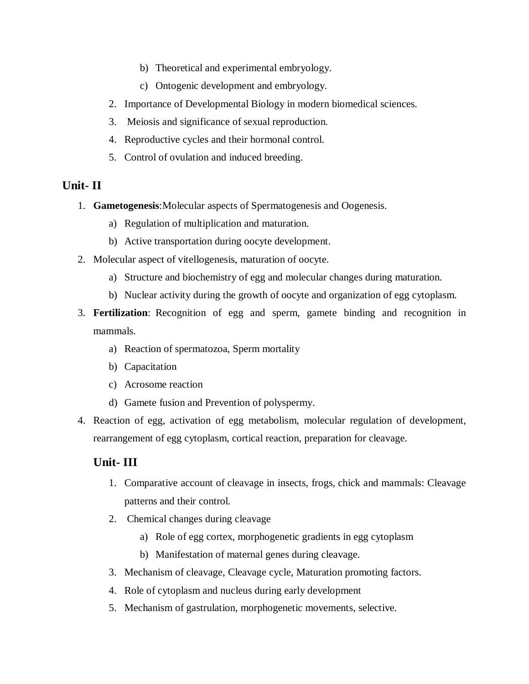- b) Theoretical and experimental embryology.
- c) Ontogenic development and embryology.
- 2. Importance of Developmental Biology in modern biomedical sciences.
- 3. Meiosis and significance of sexual reproduction.
- 4. Reproductive cycles and their hormonal control.
- 5. Control of ovulation and induced breeding.

### **Unit- II**

- 1. **Gametogenesis**:Molecular aspects of Spermatogenesis and Oogenesis.
	- a) Regulation of multiplication and maturation.
	- b) Active transportation during oocyte development.
- 2. Molecular aspect of vitellogenesis, maturation of oocyte.
	- a) Structure and biochemistry of egg and molecular changes during maturation.
	- b) Nuclear activity during the growth of oocyte and organization of egg cytoplasm.
- 3. **Fertilization**: Recognition of egg and sperm, gamete binding and recognition in mammals.
	- a) Reaction of spermatozoa, Sperm mortality
	- b) Capacitation
	- c) Acrosome reaction
	- d) Gamete fusion and Prevention of polyspermy.
- 4. Reaction of egg, activation of egg metabolism, molecular regulation of development, rearrangement of egg cytoplasm, cortical reaction, preparation for cleavage.

### **Unit- III**

- 1. Comparative account of cleavage in insects, frogs, chick and mammals: Cleavage patterns and their control.
- 2. Chemical changes during cleavage
	- a) Role of egg cortex, morphogenetic gradients in egg cytoplasm
	- b) Manifestation of maternal genes during cleavage.
- 3. Mechanism of cleavage, Cleavage cycle, Maturation promoting factors.
- 4. Role of cytoplasm and nucleus during early development
- 5. Mechanism of gastrulation, morphogenetic movements, selective.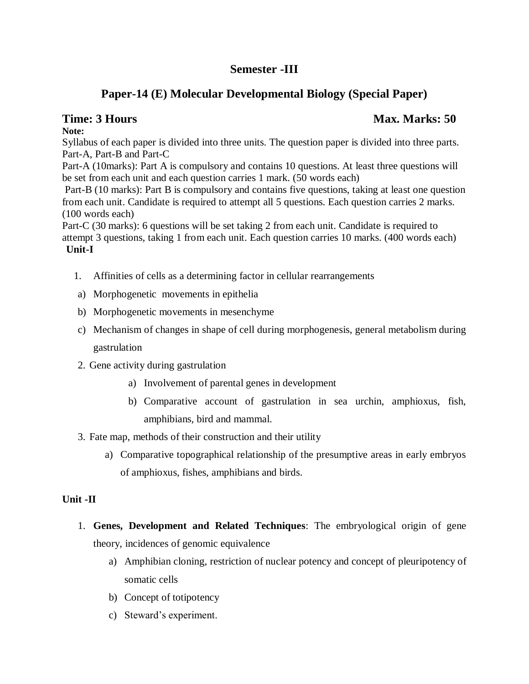# **Semester -III**

# **Paper-14 (E) Molecular Developmental Biology (Special Paper)**

# **Time: 3 Hours Max. Marks: 50** *Max. Marks: 50* **Max. Marks: 50 Max. Marks: 50 Max. Marks: 50 Max. Marks: 50 Max. Marks: 50 Max. Marks: 50 Max. Marks: 50 Max. Marks: 50 Max. Marks: 50 Max. Marks: 50 Max. Marks: 50 Max. Marks**

**Note:**

Syllabus of each paper is divided into three units. The question paper is divided into three parts. Part-A, Part-B and Part-C

Part-A (10marks): Part A is compulsory and contains 10 questions. At least three questions will be set from each unit and each question carries 1 mark. (50 words each)

Part-B (10 marks): Part B is compulsory and contains five questions, taking at least one question from each unit. Candidate is required to attempt all 5 questions. Each question carries 2 marks. (100 words each)

Part-C (30 marks): 6 questions will be set taking 2 from each unit. Candidate is required to attempt 3 questions, taking 1 from each unit. Each question carries 10 marks. (400 words each) **Unit-I**

- 1. Affinities of cells as a determining factor in cellular rearrangements
- a) Morphogenetic movements in epithelia
- b) Morphogenetic movements in mesenchyme
- c) Mechanism of changes in shape of cell during morphogenesis, general metabolism during gastrulation
- 2. Gene activity during gastrulation
	- a) Involvement of parental genes in development
	- b) Comparative account of gastrulation in sea urchin, amphioxus, fish, amphibians, bird and mammal.
- 3. Fate map, methods of their construction and their utility
	- a) Comparative topographical relationship of the presumptive areas in early embryos of amphioxus, fishes, amphibians and birds.

## **Unit -II**

- 1. **Genes, Development and Related Techniques**: The embryological origin of gene theory, incidences of genomic equivalence
	- a) Amphibian cloning, restriction of nuclear potency and concept of pleuripotency of somatic cells
	- b) Concept of totipotency
	- c) Steward's experiment.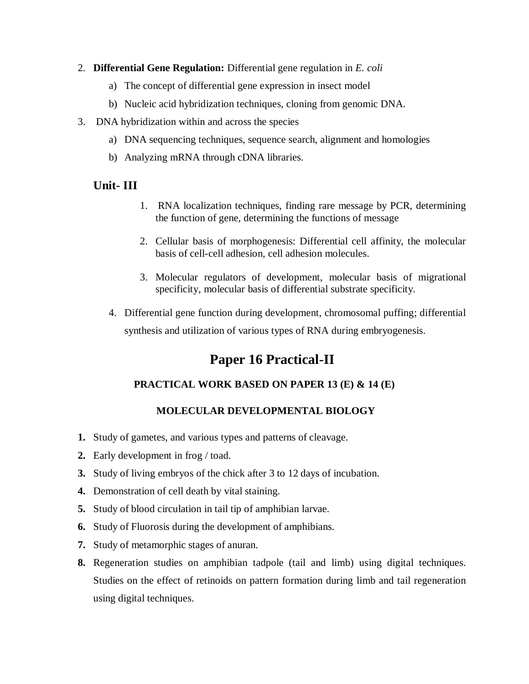- 2. **Differential Gene Regulation:** Differential gene regulation in *E. coli*
	- a) The concept of differential gene expression in insect model
	- b) Nucleic acid hybridization techniques, cloning from genomic DNA.
- 3. DNA hybridization within and across the species
	- a) DNA sequencing techniques, sequence search, alignment and homologies
	- b) Analyzing mRNA through cDNA libraries.

### **Unit- III**

- 1. RNA localization techniques, finding rare message by PCR, determining the function of gene, determining the functions of message
- 2. Cellular basis of morphogenesis: Differential cell affinity, the molecular basis of cell-cell adhesion, cell adhesion molecules.
- 3. Molecular regulators of development, molecular basis of migrational specificity, molecular basis of differential substrate specificity.
- 4. Differential gene function during development, chromosomal puffing; differential synthesis and utilization of various types of RNA during embryogenesis.

# **Paper 16 Practical-II**

### **PRACTICAL WORK BASED ON PAPER 13 (E) & 14 (E)**

### **MOLECULAR DEVELOPMENTAL BIOLOGY**

- **1.** Study of gametes, and various types and patterns of cleavage.
- **2.** Early development in frog / toad.
- **3.** Study of living embryos of the chick after 3 to 12 days of incubation.
- **4.** Demonstration of cell death by vital staining.
- **5.** Study of blood circulation in tail tip of amphibian larvae.
- **6.** Study of Fluorosis during the development of amphibians.
- **7.** Study of metamorphic stages of anuran.
- **8.** Regeneration studies on amphibian tadpole (tail and limb) using digital techniques. Studies on the effect of retinoids on pattern formation during limb and tail regeneration using digital techniques.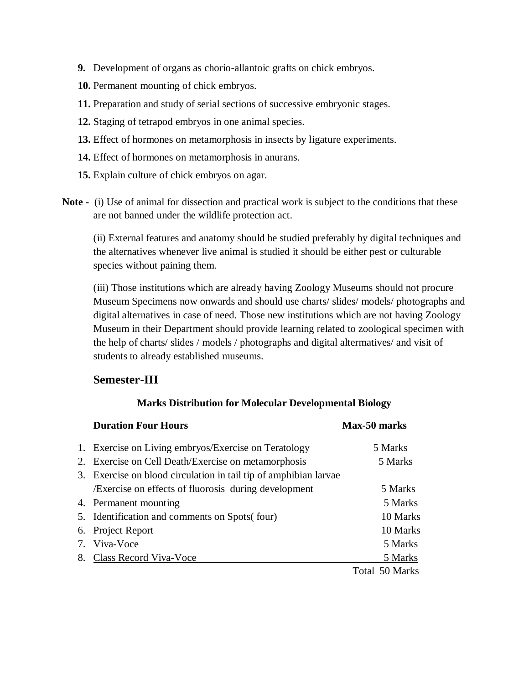- **9.** Development of organs as chorio-allantoic grafts on chick embryos.
- **10.** Permanent mounting of chick embryos.
- **11.** Preparation and study of serial sections of successive embryonic stages.
- **12.** Staging of tetrapod embryos in one animal species.
- **13.** Effect of hormones on metamorphosis in insects by ligature experiments.
- **14.** Effect of hormones on metamorphosis in anurans.
- **15.** Explain culture of chick embryos on agar.
- **Note -** (i) Use of animal for dissection and practical work is subject to the conditions that these are not banned under the wildlife protection act.

(ii) External features and anatomy should be studied preferably by digital techniques and the alternatives whenever live animal is studied it should be either pest or culturable species without paining them.

(iii) Those institutions which are already having Zoology Museums should not procure Museum Specimens now onwards and should use charts/ slides/ models/ photographs and digital alternatives in case of need. Those new institutions which are not having Zoology Museum in their Department should provide learning related to zoological specimen with the help of charts/ slides / models / photographs and digital altermatives/ and visit of students to already established museums.

## **Semester-III**

### **Marks Distribution for Molecular Developmental Biology**

| <b>Duration Four Hours</b>                                       | Max-50 marks   |
|------------------------------------------------------------------|----------------|
| 1. Exercise on Living embryos/Exercise on Teratology             | 5 Marks        |
| 2. Exercise on Cell Death/Exercise on metamorphosis              | 5 Marks        |
| 3. Exercise on blood circulation in tail tip of amphibian larvae |                |
| <i>Exercise</i> on effects of fluorosis during development       | 5 Marks        |
| 4. Permanent mounting                                            | 5 Marks        |
| 5. Identification and comments on Spots (four)                   | 10 Marks       |
| 6. Project Report                                                | 10 Marks       |
| 7. Viva-Voce                                                     | 5 Marks        |
| 8. Class Record Viva-Voce                                        | 5 Marks        |
|                                                                  | Total 50 Marks |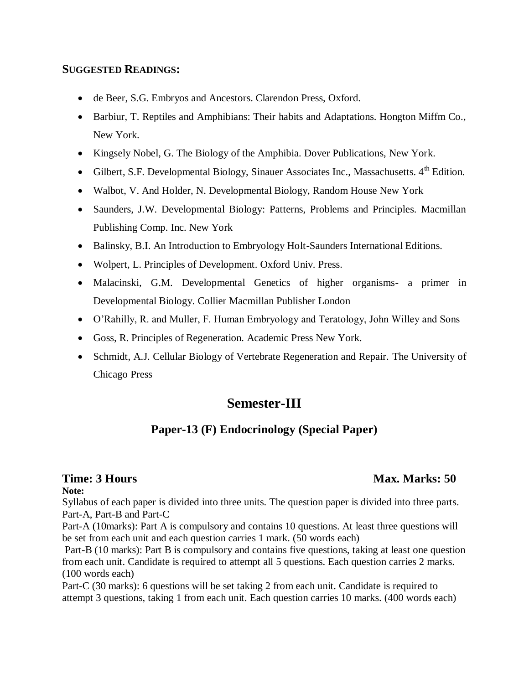### **SUGGESTED READINGS:**

- de Beer, S.G. Embryos and Ancestors. Clarendon Press, Oxford.
- Barbiur, T. Reptiles and Amphibians: Their habits and Adaptations. Hongton Miffm Co., New York.
- Kingsely Nobel, G. The Biology of the Amphibia. Dover Publications, New York.
- Gilbert, S.F. Developmental Biology, Sinauer Associates Inc., Massachusetts. 4<sup>th</sup> Edition.
- Walbot, V. And Holder, N. Developmental Biology, Random House New York
- Saunders, J.W. Developmental Biology: Patterns, Problems and Principles. Macmillan Publishing Comp. Inc. New York
- Balinsky, B.I. An Introduction to Embryology Holt-Saunders International Editions.
- Wolpert, L. Principles of Development. Oxford Univ. Press.
- Malacinski, G.M. Developmental Genetics of higher organisms- a primer in Developmental Biology. Collier Macmillan Publisher London
- O'Rahilly, R. and Muller, F. Human Embryology and Teratology, John Willey and Sons
- Goss, R. Principles of Regeneration. Academic Press New York.
- Schmidt, A.J. Cellular Biology of Vertebrate Regeneration and Repair. The University of Chicago Press

# **Semester-III**

## **Paper-13 (F) Endocrinology (Special Paper)**

### **Note:**

Syllabus of each paper is divided into three units. The question paper is divided into three parts. Part-A, Part-B and Part-C

Part-A (10marks): Part A is compulsory and contains 10 questions. At least three questions will be set from each unit and each question carries 1 mark. (50 words each)

Part-B (10 marks): Part B is compulsory and contains five questions, taking at least one question from each unit. Candidate is required to attempt all 5 questions. Each question carries 2 marks. (100 words each)

Part-C (30 marks): 6 questions will be set taking 2 from each unit. Candidate is required to attempt 3 questions, taking 1 from each unit. Each question carries 10 marks. (400 words each)

# **Time: 3 Hours** Max. Marks: 50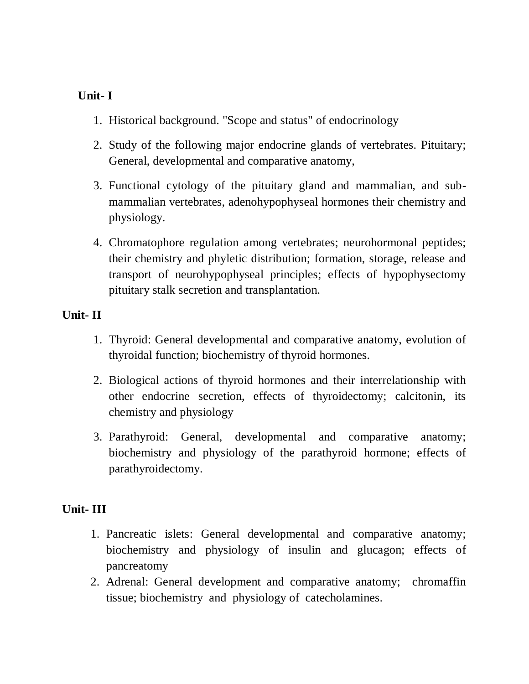## **Unit- I**

- 1. Historical background. "Scope and status" of endocrinology
- 2. Study of the following major endocrine glands of vertebrates. Pituitary; General, developmental and comparative anatomy,
- 3. Functional cytology of the pituitary gland and mammalian, and submammalian vertebrates, adenohypophyseal hormones their chemistry and physiology.
- 4. Chromatophore regulation among vertebrates; neurohormonal peptides; their chemistry and phyletic distribution; formation, storage, release and transport of neurohypophyseal principles; effects of hypophysectomy pituitary stalk secretion and transplantation.

## **Unit- II**

- 1. Thyroid: General developmental and comparative anatomy, evolution of thyroidal function; biochemistry of thyroid hormones.
- 2. Biological actions of thyroid hormones and their interrelationship with other endocrine secretion, effects of thyroidectomy; calcitonin, its chemistry and physiology
- 3. Parathyroid: General, developmental and comparative anatomy; biochemistry and physiology of the parathyroid hormone; effects of parathyroidectomy.

## **Unit- III**

- 1. Pancreatic islets: General developmental and comparative anatomy; biochemistry and physiology of insulin and glucagon; effects of pancreatomy
- 2. Adrenal: General development and comparative anatomy; chromaffin tissue; biochemistry and physiology of catecholamines.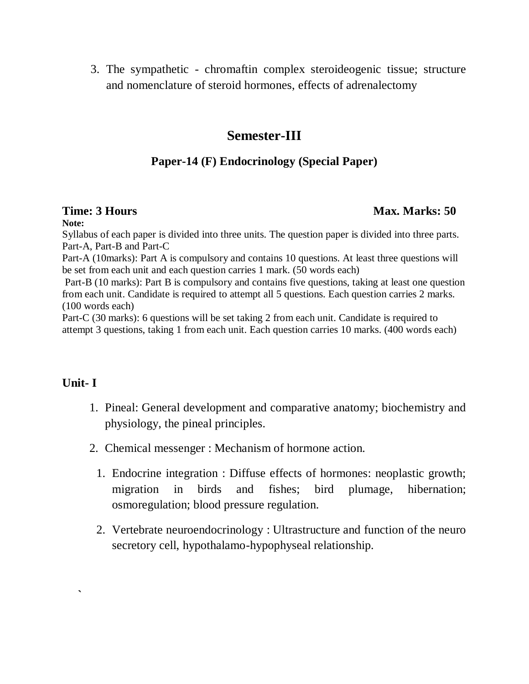3. The sympathetic - chromaftin complex steroideogenic tissue; structure and nomenclature of steroid hormones, effects of adrenalectomy

# **Semester-III**

## **Paper-14 (F) Endocrinology (Special Paper)**

### **Time: 3 Hours Max. Marks: 50** *Max. Marks: 50* **Max. Marks: 50 Max. Marks: 50 Max. Marks: 50 Max. Marks: 50 Max. Marks: 50 Max. Marks: 50 Max. Marks: 50 Max. Marks: 50 Max. Marks: 50 Max. Marks: 50 Max. Marks: 50 Max. Marks**

**Note:**

Syllabus of each paper is divided into three units. The question paper is divided into three parts. Part-A, Part-B and Part-C Part-A (10marks): Part A is compulsory and contains 10 questions. At least three questions will be set from each unit and each question carries 1 mark. (50 words each) Part-B (10 marks): Part B is compulsory and contains five questions, taking at least one question from each unit. Candidate is required to attempt all 5 questions. Each question carries 2 marks. (100 words each)

Part-C (30 marks): 6 questions will be set taking 2 from each unit. Candidate is required to attempt 3 questions, taking 1 from each unit. Each question carries 10 marks. (400 words each)

## **Unit- I**

**`**

- 1. Pineal: General development and comparative anatomy; biochemistry and physiology, the pineal principles.
- 2. Chemical messenger : Mechanism of hormone action.
	- 1. Endocrine integration : Diffuse effects of hormones: neoplastic growth; migration in birds and fishes; bird plumage, hibernation; osmoregulation; blood pressure regulation.
	- 2. Vertebrate neuroendocrinology : Ultrastructure and function of the neuro secretory cell, hypothalamo-hypophyseal relationship.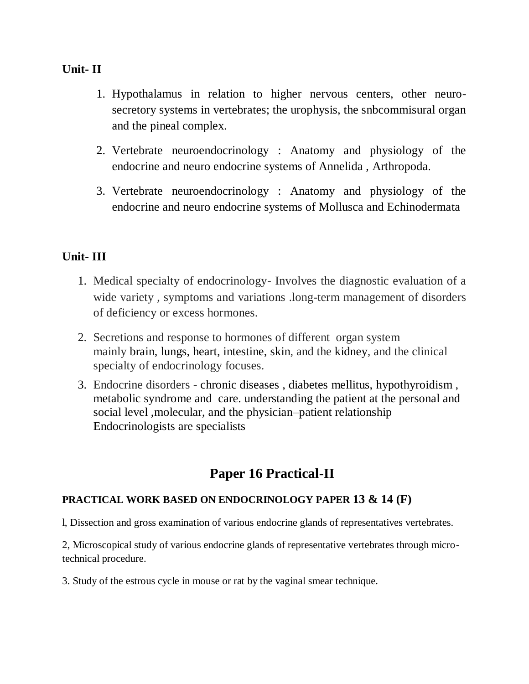## **Unit- II**

- 1. Hypothalamus in relation to higher nervous centers, other neurosecretory systems in vertebrates; the urophysis, the snbcommisural organ and the pineal complex.
- 2. Vertebrate neuroendocrinology : Anatomy and physiology of the endocrine and neuro endocrine systems of Annelida , Arthropoda.
- 3. Vertebrate neuroendocrinology : Anatomy and physiology of the endocrine and neuro endocrine systems of Mollusca and Echinodermata

# **Unit- III**

- 1. Medical specialty of endocrinology- Involves the diagnostic evaluation of a wide variety , symptoms and variations .long-term management of disorders of deficiency or excess hormones.
- 2. Secretions and response to hormones of different organ system mainly [brain,](https://en.wikipedia.org/wiki/Human_brain) [lungs,](https://en.wikipedia.org/wiki/Human_lungs) [heart,](https://en.wikipedia.org/wiki/Human_heart) [intestine,](https://en.wikipedia.org/wiki/Intestine) [skin,](https://en.wikipedia.org/wiki/Human_skin) and the [kidney,](https://en.wikipedia.org/wiki/Kidney) and the clinical specialty of endocrinology focuses.
- 3. Endocrine disorders [chronic diseases](https://en.wikipedia.org/wiki/Chronic_disease) , [diabetes](https://en.wikipedia.org/wiki/Diabetes) mellitus, [hypothyroidism](https://en.wikipedia.org/wiki/Hypothyroidism) , [metabolic syndrome](https://en.wikipedia.org/wiki/Metabolic_syndrome) and care. understanding the patient at the personal and social level ,molecular, and the physician–patient relationship Endocrinologists are specialists

# **Paper 16 Practical-II**

### **PRACTICAL WORK BASED ON ENDOCRINOLOGY PAPER 13 & 14 (F)**

l, Dissection and gross examination of various endocrine glands of representatives vertebrates.

2, Microscopical study of various endocrine glands of representative vertebrates through microtechnical procedure.

3. Study of the estrous cycle in mouse or rat by the vaginal smear technique.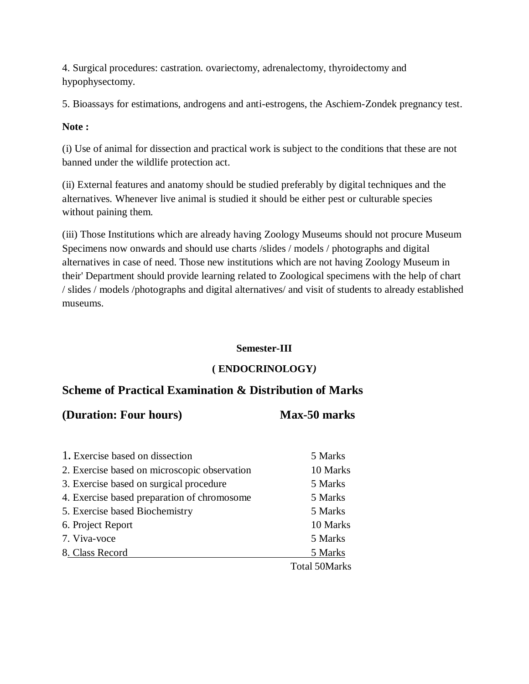4. Surgical procedures: castration. ovariectomy, adrenalectomy, thyroidectomy and hypophysectomy.

5. Bioassays for estimations, androgens and anti-estrogens, the Aschiem-Zondek pregnancy test.

### **Note :**

(i) Use of animal for dissection and practical work is subject to the conditions that these are not banned under the wildlife protection act.

(ii) External features and anatomy should be studied preferably by digital techniques and the alternatives. Whenever live animal is studied it should be either pest or culturable species without paining them.

(iii) Those Institutions which are already having Zoology Museums should not procure Museum Specimens now onwards and should use charts /slides / models / photographs and digital alternatives in case of need. Those new institutions which are not having Zoology Museum in their' Department should provide learning related to Zoological specimens with the help of chart / slides / models /photographs and digital alternatives/ and visit of students to already established museums.

### **Semester-III**

### **( ENDOCRINOLOGY***)*

## **Scheme of Practical Examination & Distribution of Marks**

### **(Duration: Four hours) Max-50 marks**

| 1. Exercise based on dissection              | 5 Marks              |
|----------------------------------------------|----------------------|
| 2. Exercise based on microscopic observation | 10 Marks             |
| 3. Exercise based on surgical procedure      | 5 Marks              |
| 4. Exercise based preparation of chromosome  | 5 Marks              |
| 5. Exercise based Biochemistry               | 5 Marks              |
| 6. Project Report                            | 10 Marks             |
| 7. Viva-voce                                 | 5 Marks              |
| 8. Class Record                              | 5 Marks              |
|                                              | <b>Total 50Marks</b> |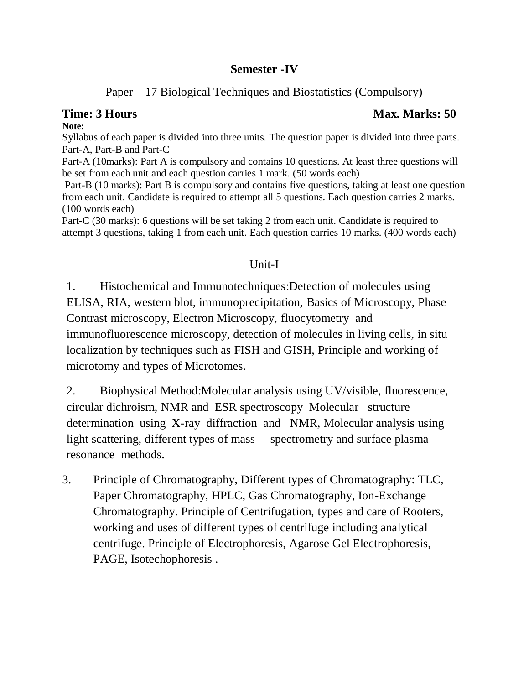## **Semester -IV**

# Paper – 17 Biological Techniques and Biostatistics (Compulsory)

### **Note:**

Syllabus of each paper is divided into three units. The question paper is divided into three parts. Part-A, Part-B and Part-C

Part-A (10marks): Part A is compulsory and contains 10 questions. At least three questions will be set from each unit and each question carries 1 mark. (50 words each)

Part-B (10 marks): Part B is compulsory and contains five questions, taking at least one question from each unit. Candidate is required to attempt all 5 questions. Each question carries 2 marks. (100 words each)

Part-C (30 marks): 6 questions will be set taking 2 from each unit. Candidate is required to attempt 3 questions, taking 1 from each unit. Each question carries 10 marks. (400 words each)

# Unit-I

1. Histochemical and Immunotechniques:Detection of molecules using ELISA, RIA, western blot, immunoprecipitation, Basics of Microscopy, Phase Contrast microscopy, Electron Microscopy, fluocytometry and immunofluorescence microscopy, detection of molecules in living cells, in situ localization by techniques such as FISH and GISH, Principle and working of microtomy and types of Microtomes.

2. Biophysical Method:Molecular analysis using UV/visible, fluorescence, circular dichroism, NMR and ESR spectroscopy Molecular structure determination using X-ray diffraction and NMR, Molecular analysis using light scattering, different types of mass spectrometry and surface plasma resonance methods.

3. Principle of Chromatography, Different types of Chromatography: TLC, Paper Chromatography, HPLC, Gas Chromatography, Ion-Exchange Chromatography. Principle of Centrifugation, types and care of Rooters, working and uses of different types of centrifuge including analytical centrifuge. Principle of Electrophoresis, Agarose Gel Electrophoresis, PAGE, Isotechophoresis .

# **Time: 3 Hours Max. Marks: 50** *Max. Marks: 50* **Max. Marks: 50 Max. Marks: 50 Max. Marks: 50 Max. Marks: 50 Max. Marks: 50 Max. Marks: 50 Max. Marks: 50 Max. Marks: 50 Max. Marks: 50 Max. Marks: 50 Max. Marks: 50 Max. Marks**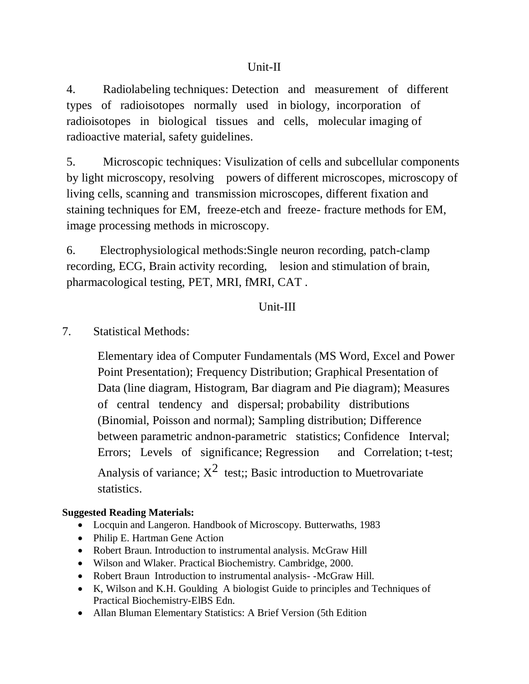4. Radiolabeling techniques: Detection and measurement of different types of radioisotopes normally used in biology, incorporation of radioisotopes in biological tissues and cells, molecular imaging of radioactive material, safety guidelines.

5. Microscopic techniques: Visulization of cells and subcellular components by light microscopy, resolving powers of different microscopes, microscopy of living cells, scanning and transmission microscopes, different fixation and staining techniques for EM, freeze-etch and freeze- fracture methods for EM, image processing methods in microscopy.

6. Electrophysiological methods:Single neuron recording, patch-clamp recording, ECG, Brain activity recording, lesion and stimulation of brain, pharmacological testing, PET, MRI, fMRI, CAT .

## Unit-III

7. Statistical Methods:

Elementary idea of Computer Fundamentals (MS Word, Excel and Power Point Presentation); Frequency Distribution; Graphical Presentation of Data (line diagram, Histogram, Bar diagram and Pie diagram); Measures of central tendency and dispersal; probability distributions (Binomial, Poisson and normal); Sampling distribution; Difference between parametric andnon-parametric statistics; Confidence Interval; Errors; Levels of significance; Regression and Correlation; t-test; Analysis of variance;  $X^2$  test;; Basic introduction to Muetrovariate statistics.

### **Suggested Reading Materials:**

- Locquin and Langeron. Handbook of Microscopy. Butterwaths, 1983
- Philip E. Hartman Gene Action
- Robert Braun. Introduction to instrumental analysis. McGraw Hill
- Wilson and Wlaker. Practical Biochemistry. Cambridge, 2000.
- Robert Braun Introduction to instrumental analysis- -McGraw Hill.
- K, Wilson and K.H. Goulding A biologist Guide to principles and Techniques of Practical Biochemistry-ElBS Edn.
- Allan Bluman Elementary Statistics: A Brief Version (5th Edition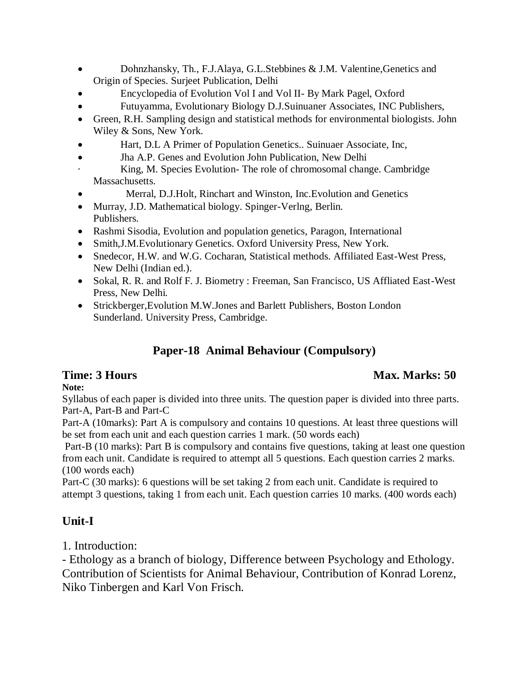- Dohnzhansky, Th., F.J.Alaya, G.L.Stebbines & J.M. Valentine,Genetics and Origin of Species. Surjeet Publication, Delhi
- Encyclopedia of Evolution Vol I and Vol II- By Mark Pagel, Oxford
- Futuyamma, Evolutionary Biology D.J.Suinuaner Associates, INC Publishers,
- Green, R.H. Sampling design and statistical methods for environmental biologists. John Wiley & Sons, New York.
- Hart, D.L A Primer of Population Genetics.. Suinuaer Associate, Inc,
- Jha A.P. Genes and Evolution John Publication, New Delhi
- King, M. Species Evolution- The role of chromosomal change. Cambridge Massachusetts.
- Merral, D.J.Holt, Rinchart and Winston, Inc.Evolution and Genetics
- Murray, J.D. Mathematical biology. Spinger-Verlng, Berlin. Publishers.
- Rashmi Sisodia, Evolution and population genetics, Paragon, International
- Smith,J.M.Evolutionary Genetics. Oxford University Press, New York.
- Snedecor, H.W. and W.G. Cocharan, Statistical methods. Affiliated East-West Press, New Delhi (Indian ed.).
- Sokal, R. R. and Rolf F. J. Biometry : Freeman, San Francisco, US Affliated East-West Press, New Delhi.
- Strickberger,Evolution M.W.Jones and Barlett Publishers, Boston London Sunderland. University Press, Cambridge.

# **Paper-18 Animal Behaviour (Compulsory)**

**Note:**

# **Time: 3 Hours** Max. Marks: 50

Syllabus of each paper is divided into three units. The question paper is divided into three parts. Part-A, Part-B and Part-C

Part-A (10marks): Part A is compulsory and contains 10 questions. At least three questions will be set from each unit and each question carries 1 mark. (50 words each)

Part-B (10 marks): Part B is compulsory and contains five questions, taking at least one question from each unit. Candidate is required to attempt all 5 questions. Each question carries 2 marks. (100 words each)

Part-C (30 marks): 6 questions will be set taking 2 from each unit. Candidate is required to attempt 3 questions, taking 1 from each unit. Each question carries 10 marks. (400 words each)

# **Unit-I**

1. Introduction:

- Ethology as a branch of biology, Difference between Psychology and Ethology. Contribution of Scientists for Animal Behaviour, Contribution of Konrad Lorenz, Niko Tinbergen and Karl Von Frisch.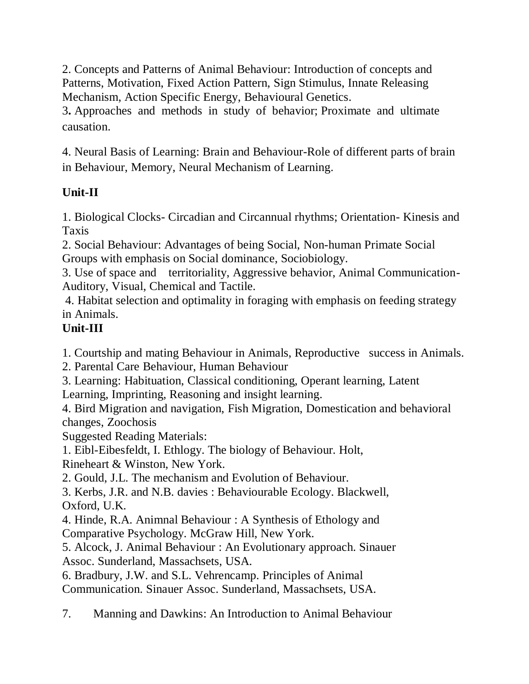2. Concepts and Patterns of Animal Behaviour: Introduction of concepts and Patterns, Motivation, Fixed Action Pattern, Sign Stimulus, Innate Releasing Mechanism, Action Specific Energy, Behavioural Genetics.

3**.** Approaches and methods in study of behavior; Proximate and ultimate causation.

4. Neural Basis of Learning: Brain and Behaviour-Role of different parts of brain in Behaviour, Memory, Neural Mechanism of Learning.

# **Unit-II**

1. Biological Clocks- Circadian and Circannual rhythms; Orientation- Kinesis and Taxis

2. Social Behaviour: Advantages of being Social, Non-human Primate Social Groups with emphasis on Social dominance, Sociobiology.

3. Use of space and territoriality, Aggressive behavior, Animal Communication-Auditory, Visual, Chemical and Tactile.

4. Habitat selection and optimality in foraging with emphasis on feeding strategy in Animals.

# **Unit-III**

1. Courtship and mating Behaviour in Animals, Reproductive success in Animals.

2. Parental Care Behaviour, Human Behaviour

3. Learning: Habituation, Classical conditioning, Operant learning, Latent Learning, Imprinting, Reasoning and insight learning.

4. Bird Migration and navigation, Fish Migration, Domestication and behavioral changes, Zoochosis

Suggested Reading Materials:

1. Eibl-Eibesfeldt, I. Ethlogy. The biology of Behaviour. Holt,

Rineheart & Winston, New York.

2. Gould, J.L. The mechanism and Evolution of Behaviour.

3. Kerbs, J.R. and N.B. davies : Behaviourable Ecology. Blackwell, Oxford, U.K.

4. Hinde, R.A. Animnal Behaviour : A Synthesis of Ethology and Comparative Psychology. McGraw Hill, New York.

5. Alcock, J. Animal Behaviour : An Evolutionary approach. Sinauer Assoc. Sunderland, Massachsets, USA.

6. Bradbury, J.W. and S.L. Vehrencamp. Principles of Animal

Communication. Sinauer Assoc. Sunderland, Massachsets, USA.

7. Manning and Dawkins: An Introduction to Animal Behaviour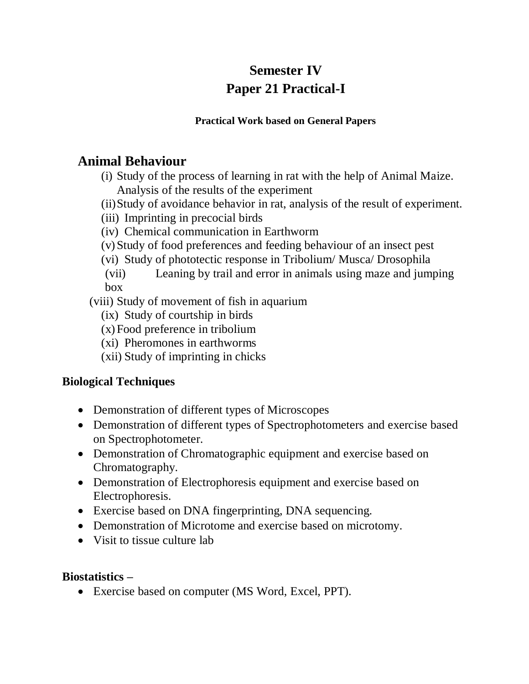# **Semester IV Paper 21 Practical-I**

### **Practical Work based on General Papers**

# **Animal Behaviour**

(i) Study of the process of learning in rat with the help of Animal Maize. Analysis of the results of the experiment

- (ii)Study of avoidance behavior in rat, analysis of the result of experiment.
- (iii) Imprinting in precocial birds
- (iv) Chemical communication in Earthworm
- (v)Study of food preferences and feeding behaviour of an insect pest
- (vi) Study of phototectic response in Tribolium/ Musca/ Drosophila
- (vii) Leaning by trail and error in animals using maze and jumping box

(viii) Study of movement of fish in aquarium

- (ix) Study of courtship in birds
- (x)Food preference in tribolium
- (xi) Pheromones in earthworms
- (xii) Study of imprinting in chicks

# **Biological Techniques**

- Demonstration of different types of Microscopes
- Demonstration of different types of Spectrophotometers and exercise based on Spectrophotometer.
- Demonstration of Chromatographic equipment and exercise based on Chromatography.
- Demonstration of Electrophoresis equipment and exercise based on Electrophoresis.
- Exercise based on DNA fingerprinting, DNA sequencing.
- Demonstration of Microtome and exercise based on microtomy.
- Visit to tissue culture lab

## **Biostatistics –**

Exercise based on computer (MS Word, Excel, PPT).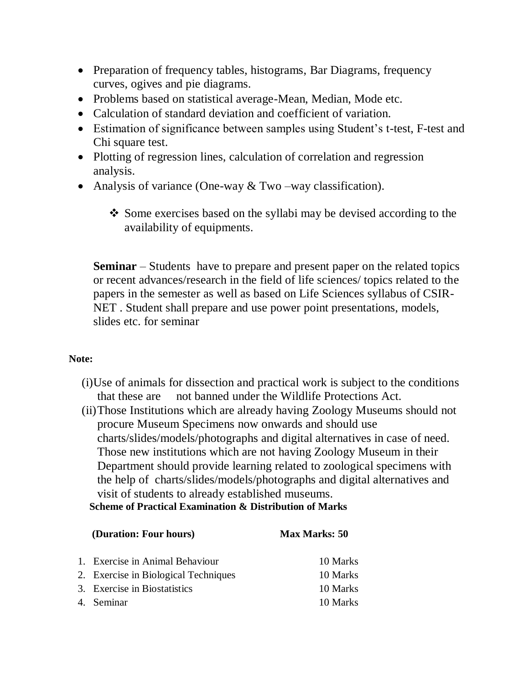- Preparation of frequency tables, histograms, Bar Diagrams, frequency curves, ogives and pie diagrams.
- Problems based on statistical average-Mean, Median, Mode etc.
- Calculation of standard deviation and coefficient of variation.
- Estimation of significance between samples using Student's t-test, F-test and Chi square test.
- Plotting of regression lines, calculation of correlation and regression analysis.
- Analysis of variance (One-way  $&$  Two –way classification).
	- Some exercises based on the syllabi may be devised according to the availability of equipments.

**Seminar** – Students have to prepare and present paper on the related topics or recent advances/research in the field of life sciences/ topics related to the papers in the semester as well as based on Life Sciences syllabus of CSIR-NET . Student shall prepare and use power point presentations, models, slides etc. for seminar

### **Note:**

- (i)Use of animals for dissection and practical work is subject to the conditions that these are not banned under the Wildlife Protections Act.
- (ii)Those Institutions which are already having Zoology Museums should not procure Museum Specimens now onwards and should use charts/slides/models/photographs and digital alternatives in case of need. Those new institutions which are not having Zoology Museum in their Department should provide learning related to zoological specimens with the help of charts/slides/models/photographs and digital alternatives and visit of students to already established museums.

**Scheme of Practical Examination & Distribution of Marks**

| (Duration: Four hours) |                                      | <b>Max Marks: 50</b> |  |
|------------------------|--------------------------------------|----------------------|--|
|                        | 1. Exercise in Animal Behaviour      | 10 Marks             |  |
|                        | 2. Exercise in Biological Techniques | 10 Marks             |  |
|                        | 3. Exercise in Biostatistics         | 10 Marks             |  |
|                        | 4. Seminar                           | 10 Marks             |  |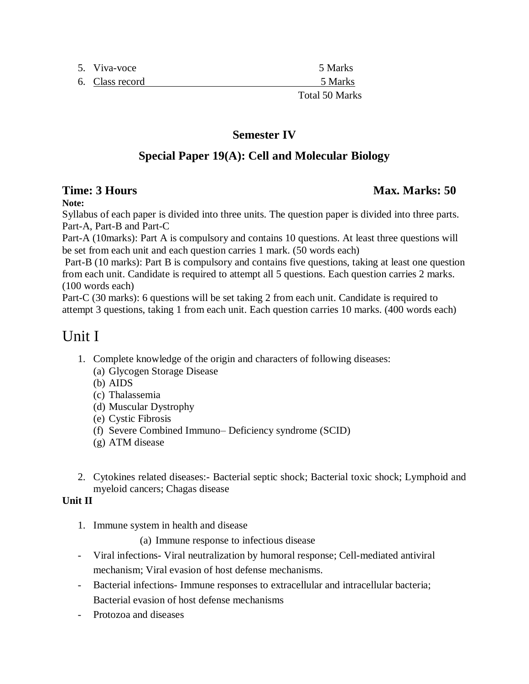| 5. Viva-voce    | 5 Marks  |
|-----------------|----------|
| 6. Class record | 5 Marks  |
|                 | T 1.7011 |

### **Semester IV**

## **Special Paper 19(A): Cell and Molecular Biology**

**Note:**

Syllabus of each paper is divided into three units. The question paper is divided into three parts. Part-A, Part-B and Part-C

Part-A (10marks): Part A is compulsory and contains 10 questions. At least three questions will be set from each unit and each question carries 1 mark. (50 words each)

Part-B (10 marks): Part B is compulsory and contains five questions, taking at least one question from each unit. Candidate is required to attempt all 5 questions. Each question carries 2 marks. (100 words each)

Part-C (30 marks): 6 questions will be set taking 2 from each unit. Candidate is required to attempt 3 questions, taking 1 from each unit. Each question carries 10 marks. (400 words each)

# Unit I

- 1. Complete knowledge of the origin and characters of following diseases:
	- (a) Glycogen Storage Disease
	- (b) AIDS
	- (c) Thalassemia
	- (d) Muscular Dystrophy
	- (e) Cystic Fibrosis
	- (f) Severe Combined Immuno– Deficiency syndrome (SCID)
	- (g) ATM disease
- 2. Cytokines related diseases:- Bacterial septic shock; Bacterial toxic shock; Lymphoid and myeloid cancers; Chagas disease

### **Unit II**

1. Immune system in health and disease

(a) Immune response to infectious disease

- Viral infections- Viral neutralization by humoral response; Cell-mediated antiviral mechanism; Viral evasion of host defense mechanisms.
- Bacterial infections- Immune responses to extracellular and intracellular bacteria; Bacterial evasion of host defense mechanisms
- Protozoa and diseases

### **Time: 3 Hours** Max. Marks: 50

Total 50 Marks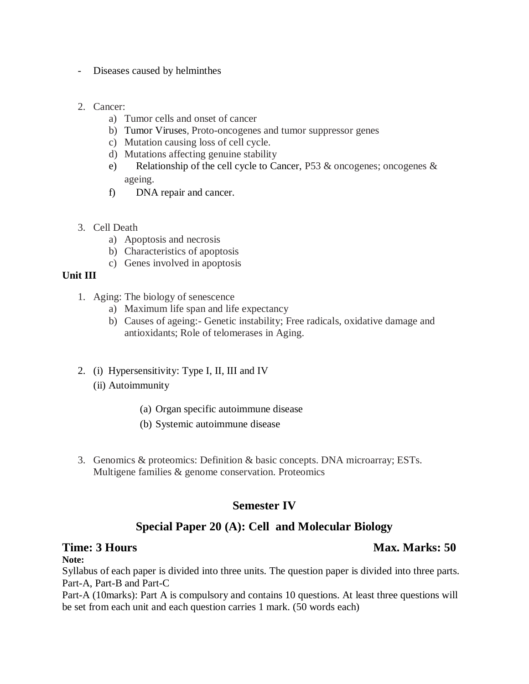- Diseases caused by helminthes
- 2. Cancer:
	- a) Tumor cells and onset of cancer
	- b) Tumor Viruses, Proto-oncogenes and tumor suppressor genes
	- c) Mutation causing loss of cell cycle.
	- d) Mutations affecting genuine stability
	- e) Relationship of the cell cycle to Cancer, P53 & oncogenes; oncogenes & ageing.
	- f) DNA repair and cancer.
- 3. Cell Death
	- a) Apoptosis and necrosis
	- b) Characteristics of apoptosis
	- c) Genes involved in apoptosis

### **Unit III**

- 1. Aging: The biology of senescence
	- a) Maximum life span and life expectancy
	- b) Causes of ageing:- Genetic instability; Free radicals, oxidative damage and antioxidants; Role of telomerases in Aging.
- 2. (i) Hypersensitivity: Type I, II, III and IV
	- (ii) Autoimmunity
		- (a) Organ specific autoimmune disease
		- (b) Systemic autoimmune disease
- 3. Genomics & proteomics: Definition & basic concepts. DNA microarray; ESTs. Multigene families & genome conservation. Proteomics

### **Semester IV**

### **Special Paper 20 (A): Cell and Molecular Biology**

### **Time: 3 Hours** Max. Marks: 50

### **Note:**

Syllabus of each paper is divided into three units. The question paper is divided into three parts. Part-A, Part-B and Part-C

Part-A (10marks): Part A is compulsory and contains 10 questions. At least three questions will be set from each unit and each question carries 1 mark. (50 words each)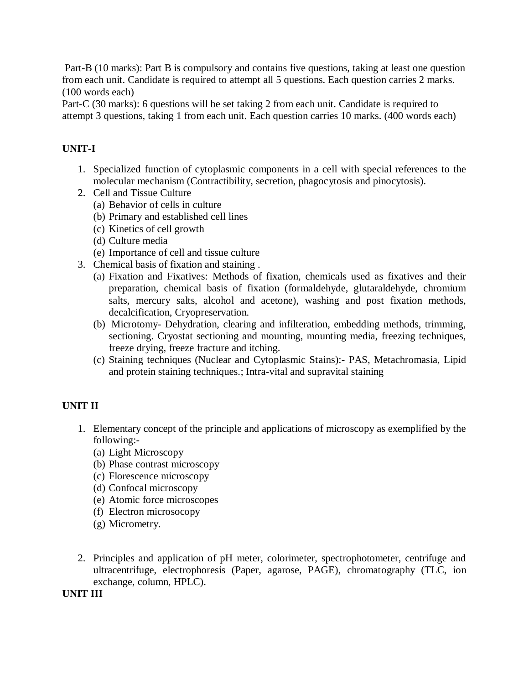Part-B (10 marks): Part B is compulsory and contains five questions, taking at least one question from each unit. Candidate is required to attempt all 5 questions. Each question carries 2 marks. (100 words each)

Part-C (30 marks): 6 questions will be set taking 2 from each unit. Candidate is required to attempt 3 questions, taking 1 from each unit. Each question carries 10 marks. (400 words each)

### **UNIT-I**

- 1. Specialized function of cytoplasmic components in a cell with special references to the molecular mechanism (Contractibility, secretion, phagocytosis and pinocytosis).
- 2. Cell and Tissue Culture
	- (a) Behavior of cells in culture
	- (b) Primary and established cell lines
	- (c) Kinetics of cell growth
	- (d) Culture media
	- (e) Importance of cell and tissue culture
- 3. Chemical basis of fixation and staining .
	- (a) Fixation and Fixatives: Methods of fixation, chemicals used as fixatives and their preparation, chemical basis of fixation (formaldehyde, glutaraldehyde, chromium salts, mercury salts, alcohol and acetone), washing and post fixation methods, decalcification, Cryopreservation.
	- (b) Microtomy- Dehydration, clearing and infilteration, embedding methods, trimming, sectioning. Cryostat sectioning and mounting, mounting media, freezing techniques, freeze drying, freeze fracture and itching.
	- (c) Staining techniques (Nuclear and Cytoplasmic Stains):- PAS, Metachromasia, Lipid and protein staining techniques.; Intra-vital and supravital staining

### **UNIT II**

- 1. Elementary concept of the principle and applications of microscopy as exemplified by the following:-
	- (a) Light Microscopy
	- (b) Phase contrast microscopy
	- (c) Florescence microscopy
	- (d) Confocal microscopy
	- (e) Atomic force microscopes
	- (f) Electron microsocopy
	- (g) Micrometry.
- 2. Principles and application of pH meter, colorimeter, spectrophotometer, centrifuge and ultracentrifuge, electrophoresis (Paper, agarose, PAGE), chromatography (TLC, ion exchange, column, HPLC).

### **UNIT III**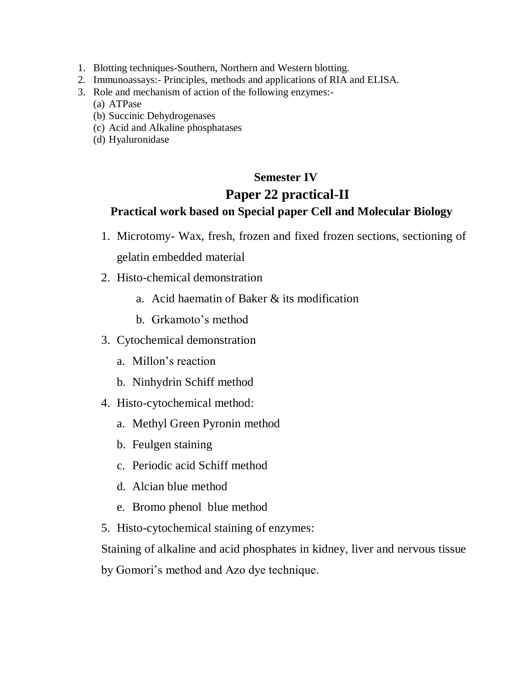- 1. Blotting techniques-Southern, Northern and Western blotting.
- 2. Immunoassays:- Principles, methods and applications of RIA and ELISA.
- 3. Role and mechanism of action of the following enzymes:-
	- (a) ATPase
	- (b) Succinic Dehydrogenases
	- (c) Acid and Alkaline phosphatases
	- (d) Hyaluronidase

# **Semester IV Paper 22 practical-II**

## **Practical work based on Special paper Cell and Molecular Biology**

- 1. Microtomy- Wax, fresh, frozen and fixed frozen sections, sectioning of gelatin embedded material
- 2. Histo-chemical demonstration
	- a. Acid haematin of Baker & its modification
	- b. Grkamoto's method
- 3. Cytochemical demonstration
	- a. Millon's reaction
	- b. Ninhydrin Schiff method
- 4. Histo-cytochemical method:
	- a. Methyl Green Pyronin method
	- b. Feulgen staining
	- c. Periodic acid Schiff method
	- d. Alcian blue method
	- e. Bromo phenol blue method
- 5. Histo-cytochemical staining of enzymes:

Staining of alkaline and acid phosphates in kidney, liver and nervous tissue

by Gomori's method and Azo dye technique.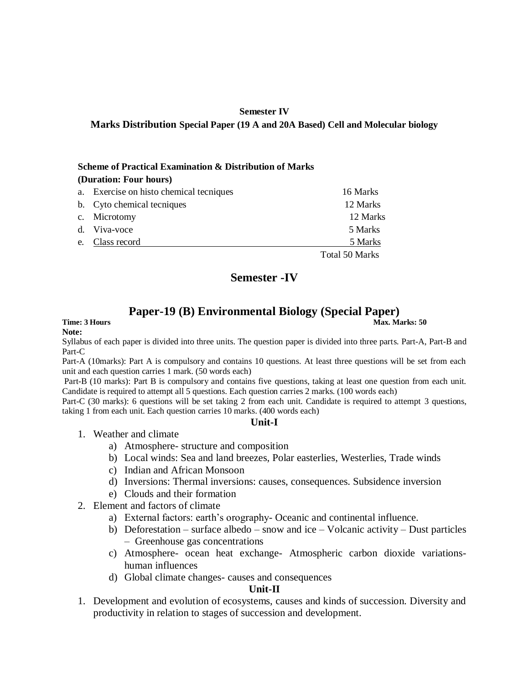### **Semester IV Marks Distribution Special Paper (19 A and 20A Based) Cell and Molecular biology**

### **Scheme of Practical Examination & Distribution of Marks**

| (Duration: Four hours) |                                      |                |
|------------------------|--------------------------------------|----------------|
| a.                     | Exercise on histo chemical tecniques | 16 Marks       |
|                        | b. Cyto chemical tecniques           | 12 Marks       |
| $\mathbf{c}$ .         | Microtomy                            | 12 Marks       |
|                        | Viva-voce                            | 5 Marks        |
| e.                     | Class record                         | 5 Marks        |
|                        |                                      | Total 50 Marks |

### **Semester -IV**

### **Paper-19 (B) Environmental Biology (Special Paper)**

### **Time: 3 Hours** Max. Marks: 50 **Note:**

Syllabus of each paper is divided into three units. The question paper is divided into three parts. Part-A, Part-B and Part-C

Part-A (10marks): Part A is compulsory and contains 10 questions. At least three questions will be set from each unit and each question carries 1 mark. (50 words each)

Part-B (10 marks): Part B is compulsory and contains five questions, taking at least one question from each unit. Candidate is required to attempt all 5 questions. Each question carries 2 marks. (100 words each)

Part-C (30 marks): 6 questions will be set taking 2 from each unit. Candidate is required to attempt 3 questions, taking 1 from each unit. Each question carries 10 marks. (400 words each)

### **Unit-I**

- 1. Weather and climate
	- a) Atmosphere- structure and composition
	- b) Local winds: Sea and land breezes, Polar easterlies, Westerlies, Trade winds
	- c) Indian and African Monsoon
	- d) Inversions: Thermal inversions: causes, consequences. Subsidence inversion
	- e) Clouds and their formation
- 2. Element and factors of climate
	- a) External factors: earth's orography- Oceanic and continental influence.
	- b) Deforestation surface albedo snow and ice Volcanic activity Dust particles – Greenhouse gas concentrations
	- c) Atmosphere- ocean heat exchange- Atmospheric carbon dioxide variationshuman influences
	- d) Global climate changes- causes and consequences

### **Unit-II**

1. Development and evolution of ecosystems, causes and kinds of succession. Diversity and productivity in relation to stages of succession and development.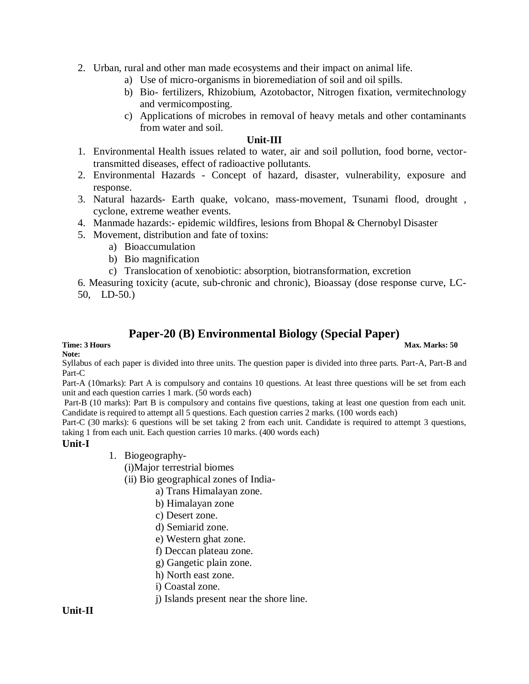- 2. Urban, rural and other man made ecosystems and their impact on animal life.
	- a) Use of micro-organisms in bioremediation of soil and oil spills.
	- b) Bio- fertilizers, Rhizobium, Azotobactor, Nitrogen fixation, vermitechnology and vermicomposting.
	- c) Applications of microbes in removal of heavy metals and other contaminants from water and soil.

### **Unit-III**

- 1. Environmental Health issues related to water, air and soil pollution, food borne, vectortransmitted diseases, effect of radioactive pollutants.
- 2. Environmental Hazards Concept of hazard, disaster, vulnerability, exposure and response.
- 3. Natural hazards- Earth quake, volcano, mass-movement, Tsunami flood, drought , cyclone, extreme weather events.
- 4. Manmade hazards:- epidemic wildfires, lesions from Bhopal & Chernobyl Disaster
- 5. Movement, distribution and fate of toxins:
	- a) Bioaccumulation
	- b) Bio magnification
	- c) Translocation of xenobiotic: absorption, biotransformation, excretion
- 6. Measuring toxicity (acute, sub-chronic and chronic), Bioassay (dose response curve, LC-50, LD-50.)

### **Paper-20 (B) Environmental Biology (Special Paper)**

# **Note:**

**Time: 3 Hours Max. Marks: 50**  Max. Marks: 50 **Max. Marks: 50** 

Syllabus of each paper is divided into three units. The question paper is divided into three parts. Part-A, Part-B and Part-C

Part-A (10marks): Part A is compulsory and contains 10 questions. At least three questions will be set from each unit and each question carries 1 mark. (50 words each)

Part-B (10 marks): Part B is compulsory and contains five questions, taking at least one question from each unit. Candidate is required to attempt all 5 questions. Each question carries 2 marks. (100 words each)

Part-C (30 marks): 6 questions will be set taking 2 from each unit. Candidate is required to attempt 3 questions, taking 1 from each unit. Each question carries 10 marks. (400 words each)

### **Unit-I**

1. Biogeography-

(i)Major terrestrial biomes

(ii) Bio geographical zones of India-

- a) Trans Himalayan zone.
- b) Himalayan zone
- c) Desert zone.
- d) Semiarid zone.
- e) Western ghat zone.
- f) Deccan plateau zone.
- g) Gangetic plain zone.
- h) North east zone.
- i) Coastal zone.
- j) Islands present near the shore line.

### **Unit-II**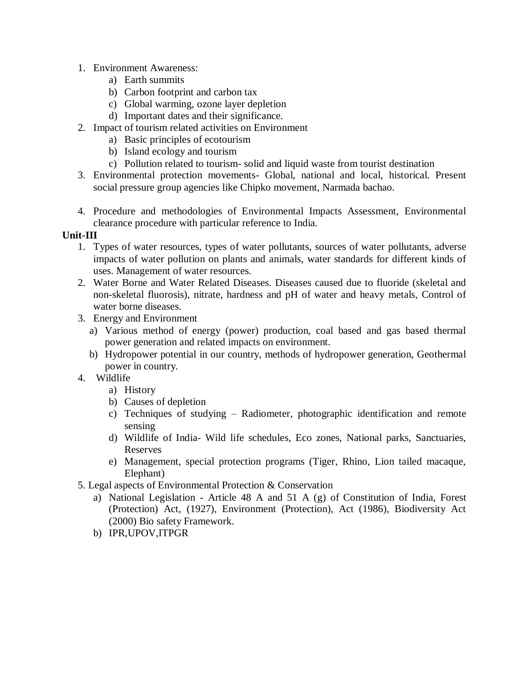- 1. Environment Awareness:
	- a) Earth summits
	- b) Carbon footprint and carbon tax
	- c) Global warming, ozone layer depletion
	- d) Important dates and their significance.
- 2. Impact of tourism related activities on Environment
	- a) Basic principles of ecotourism
	- b) Island ecology and tourism
	- c) Pollution related to tourism- solid and liquid waste from tourist destination
- 3. Environmental protection movements- Global, national and local, historical. Present social pressure group agencies like Chipko movement, Narmada bachao.
- 4. Procedure and methodologies of Environmental Impacts Assessment, Environmental clearance procedure with particular reference to India.

### **Unit-III**

- 1. Types of water resources, types of water pollutants, sources of water pollutants, adverse impacts of water pollution on plants and animals, water standards for different kinds of uses. Management of water resources.
- 2. Water Borne and Water Related Diseases. Diseases caused due to fluoride (skeletal and non-skeletal fluorosis), nitrate, hardness and pH of water and heavy metals, Control of water borne diseases.
- 3. Energy and Environment
	- a) Various method of energy (power) production, coal based and gas based thermal power generation and related impacts on environment.
	- b) Hydropower potential in our country, methods of hydropower generation, Geothermal power in country.
- 4. Wildlife
	- a) History
	- b) Causes of depletion
	- c) Techniques of studying Radiometer, photographic identification and remote sensing
	- d) Wildlife of India- Wild life schedules, Eco zones, National parks, Sanctuaries, Reserves
	- e) Management, special protection programs (Tiger, Rhino, Lion tailed macaque, Elephant)
- 5. Legal aspects of Environmental Protection & Conservation
	- a) National Legislation Article 48 A and 51 A (g) of Constitution of India, Forest (Protection) Act, (1927), Environment (Protection), Act (1986), Biodiversity Act (2000) Bio safety Framework.
	- b) IPR,UPOV,ITPGR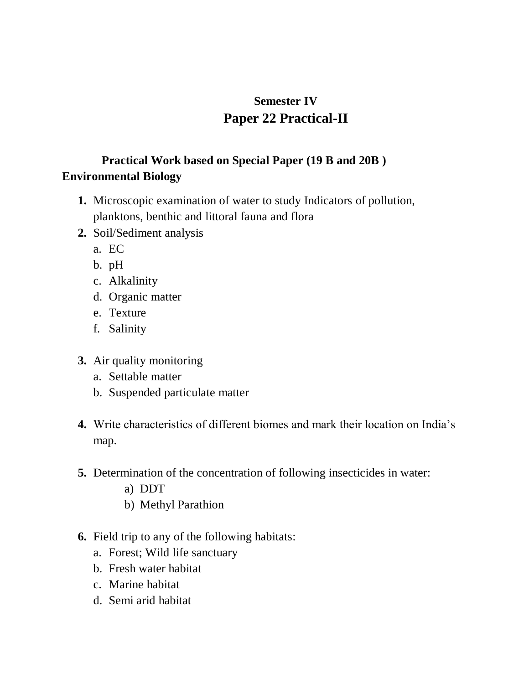# **Semester IV Paper 22 Practical-II**

# **Practical Work based on Special Paper (19 B and 20B ) Environmental Biology**

- **1.** Microscopic examination of water to study Indicators of pollution, planktons, benthic and littoral fauna and flora
- **2.** Soil/Sediment analysis
	- a. EC
	- b. pH
	- c. Alkalinity
	- d. Organic matter
	- e. Texture
	- f. Salinity
- **3.** Air quality monitoring
	- a. Settable matter
	- b. Suspended particulate matter
- **4.** Write characteristics of different biomes and mark their location on India's map.
- **5.** Determination of the concentration of following insecticides in water:
	- a) DDT
	- b) Methyl Parathion
- **6.** Field trip to any of the following habitats:
	- a. Forest; Wild life sanctuary
	- b. Fresh water habitat
	- c. Marine habitat
	- d. Semi arid habitat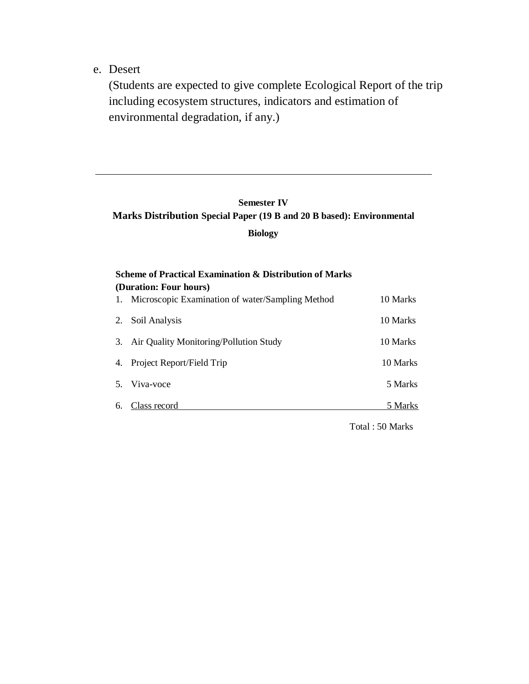e. Desert

(Students are expected to give complete Ecological Report of the trip including ecosystem structures, indicators and estimation of environmental degradation, if any.)

#### **Semester IV**

#### **Marks Distribution Special Paper (19 B and 20 B based): Environmental**

**Biology**

| <b>Scheme of Practical Examination &amp; Distribution of Marks</b><br>(Duration: Four hours) |                                                     |          |  |  |
|----------------------------------------------------------------------------------------------|-----------------------------------------------------|----------|--|--|
|                                                                                              | 1. Microscopic Examination of water/Sampling Method | 10 Marks |  |  |
|                                                                                              | 2. Soil Analysis                                    | 10 Marks |  |  |
|                                                                                              | 3. Air Quality Monitoring/Pollution Study           | 10 Marks |  |  |
|                                                                                              | 4. Project Report/Field Trip                        | 10 Marks |  |  |
|                                                                                              | 5. Viva-voce                                        | 5 Marks  |  |  |
| 6.                                                                                           | Class record                                        | 5 Marks  |  |  |

Total : 50 Marks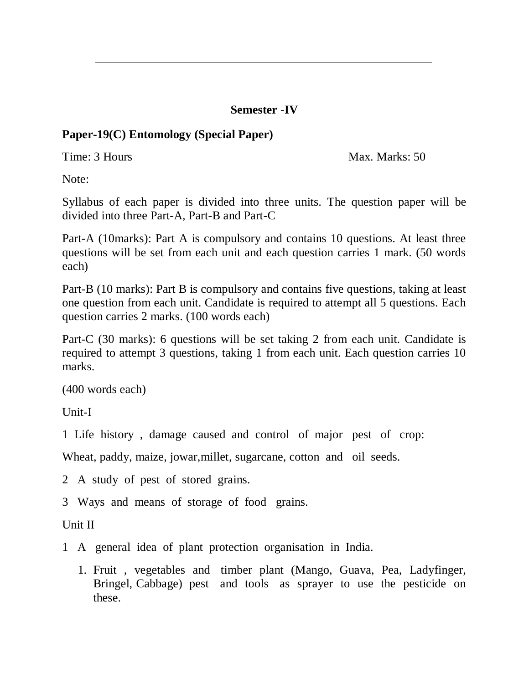#### **Semester -IV**

## **Paper-19(C) Entomology (Special Paper)**

Time: 3 Hours Max. Marks: 50

Note:

Syllabus of each paper is divided into three units. The question paper will be divided into three Part-A, Part-B and Part-C

Part-A (10marks): Part A is compulsory and contains 10 questions. At least three questions will be set from each unit and each question carries 1 mark. (50 words each)

Part-B (10 marks): Part B is compulsory and contains five questions, taking at least one question from each unit. Candidate is required to attempt all 5 questions. Each question carries 2 marks. (100 words each)

Part-C (30 marks): 6 questions will be set taking 2 from each unit. Candidate is required to attempt 3 questions, taking 1 from each unit. Each question carries 10 marks.

(400 words each)

Unit-I

1 Life history , damage caused and control of major pest of crop:

Wheat, paddy, maize, jowar,millet, sugarcane, cotton and oil seeds.

2 A study of pest of stored grains.

3 Ways and means of storage of food grains.

Unit II

- 1 A general idea of plant protection organisation in India.
	- 1. Fruit , vegetables and timber plant (Mango, Guava, Pea, Ladyfinger, Bringel, Cabbage) pest and tools as sprayer to use the pesticide on these.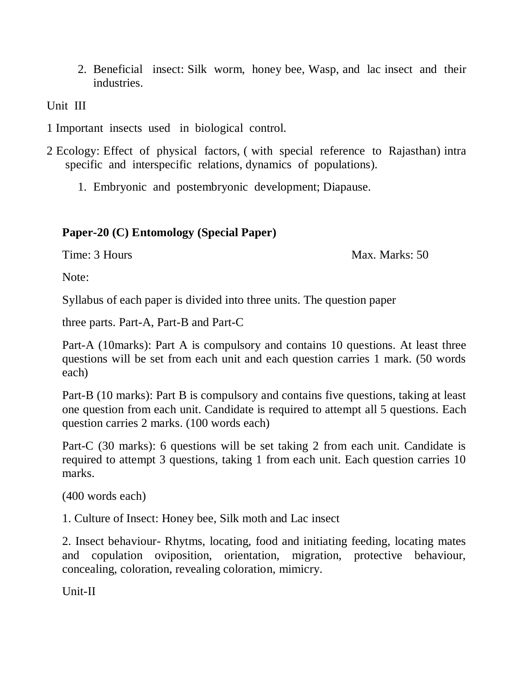2. Beneficial insect: Silk worm, honey bee, Wasp, and lac insect and their industries.

Unit III

1 Important insects used in biological control.

2 Ecology: Effect of physical factors, ( with special reference to Rajasthan) intra specific and interspecific relations, dynamics of populations).

1. Embryonic and postembryonic development; Diapause.

## **Paper-20 (C) Entomology (Special Paper)**

Time: 3 Hours Max. Marks: 50

Note:

Syllabus of each paper is divided into three units. The question paper

three parts. Part-A, Part-B and Part-C

Part-A (10marks): Part A is compulsory and contains 10 questions. At least three questions will be set from each unit and each question carries 1 mark. (50 words each)

Part-B (10 marks): Part B is compulsory and contains five questions, taking at least one question from each unit. Candidate is required to attempt all 5 questions. Each question carries 2 marks. (100 words each)

Part-C (30 marks): 6 questions will be set taking 2 from each unit. Candidate is required to attempt 3 questions, taking 1 from each unit. Each question carries 10 marks.

(400 words each)

1. Culture of Insect: Honey bee, Silk moth and Lac insect

2. Insect behaviour- Rhytms, locating, food and initiating feeding, locating mates and copulation oviposition, orientation, migration, protective behaviour, concealing, coloration, revealing coloration, mimicry.

Unit-II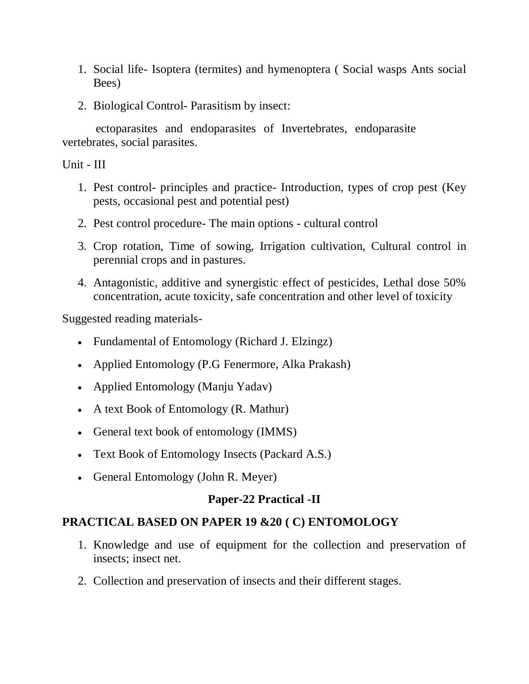- 1. Social life- Isoptera (termites) and hymenoptera ( Social wasps Ants social Bees)
- 2. Biological Control- Parasitism by insect:

 ectoparasites and endoparasites of Invertebrates, endoparasite vertebrates, social parasites.

Unit - III

- 1. Pest control- principles and practice- Introduction, types of crop pest (Key pests, occasional pest and potential pest)
- 2. Pest control procedure- The main options cultural control
- 3. Crop rotation, Time of sowing, Irrigation cultivation, Cultural control in perennial crops and in pastures.
- 4. Antagonistic, additive and synergistic effect of pesticides, Lethal dose 50% concentration, acute toxicity, safe concentration and other level of toxicity

Suggested reading materials-

- Fundamental of Entomology (Richard J. Elzingz)
- Applied Entomology (P.G Fenermore, Alka Prakash)
- Applied Entomology (Manju Yadav)
- A text Book of Entomology (R. Mathur)
- General text book of entomology (IMMS)
- Text Book of Entomology Insects (Packard A.S.)
- General Entomology (John R. Meyer)

## **Paper-22 Practical -II**

## **PRACTICAL BASED ON PAPER 19 &20 ( C) ENTOMOLOGY**

- 1. Knowledge and use of equipment for the collection and preservation of insects; insect net.
- 2. Collection and preservation of insects and their different stages.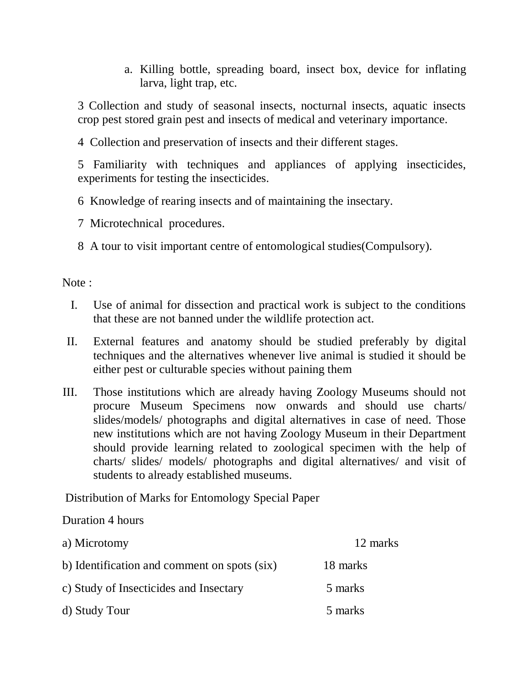a. Killing bottle, spreading board, insect box, device for inflating larva, light trap, etc.

3 Collection and study of seasonal insects, nocturnal insects, aquatic insects crop pest stored grain pest and insects of medical and veterinary importance.

4 Collection and preservation of insects and their different stages.

5 Familiarity with techniques and appliances of applying insecticides, experiments for testing the insecticides.

6 Knowledge of rearing insects and of maintaining the insectary.

7 Microtechnical procedures.

8 A tour to visit important centre of entomological studies(Compulsory).

Note :

- I. Use of animal for dissection and practical work is subject to the conditions that these are not banned under the wildlife protection act.
- II. External features and anatomy should be studied preferably by digital techniques and the alternatives whenever live animal is studied it should be either pest or culturable species without paining them
- III. Those institutions which are already having Zoology Museums should not procure Museum Specimens now onwards and should use charts/ slides/models/ photographs and digital alternatives in case of need. Those new institutions which are not having Zoology Museum in their Department should provide learning related to zoological specimen with the help of charts/ slides/ models/ photographs and digital alternatives/ and visit of students to already established museums.

Distribution of Marks for Entomology Special Paper

#### Duration 4 hours

| a) Microtomy                                 | 12 marks |
|----------------------------------------------|----------|
| b) Identification and comment on spots (six) | 18 marks |
| c) Study of Insecticides and Insectary       | 5 marks  |
| d) Study Tour                                | 5 marks  |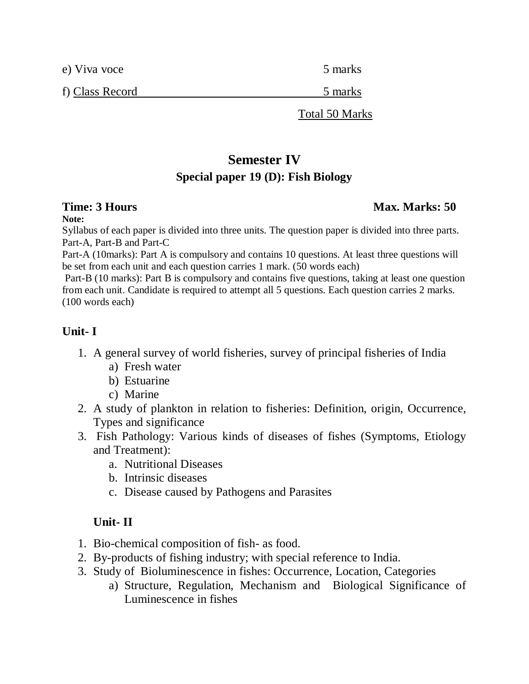| e) Viva voce    | 5 marks        |
|-----------------|----------------|
| f) Class Record | 5 marks        |
|                 | Total 50 Marks |

# **Semester IV Special paper 19 (D): Fish Biology**

## **Time: 3 Hours Max. Marks: 50** *Max. Marks: 50* **Max. Marks: 50 Max. Marks: 50 Max. Marks: 50 Max. Marks: 50 Max. Marks: 50 Max. Marks: 50 Max. Marks: 50 Max. Marks: 50 Max. Marks: 50 Max. Marks: 50 Max. Marks: 50 Max. Marks**

#### **Note:**

Syllabus of each paper is divided into three units. The question paper is divided into three parts. Part-A, Part-B and Part-C

Part-A (10marks): Part A is compulsory and contains 10 questions. At least three questions will be set from each unit and each question carries 1 mark. (50 words each)

Part-B (10 marks): Part B is compulsory and contains five questions, taking at least one question from each unit. Candidate is required to attempt all 5 questions. Each question carries 2 marks. (100 words each)

## **Unit- I**

- 1. A general survey of world fisheries, survey of principal fisheries of India
	- a) Fresh water
	- b) Estuarine
	- c) Marine
- 2. A study of plankton in relation to fisheries: Definition, origin, Occurrence, Types and significance
- 3. Fish Pathology: Various kinds of diseases of fishes (Symptoms, Etiology and Treatment):
	- a. Nutritional Diseases
	- b. Intrinsic diseases
	- c. Disease caused by Pathogens and Parasites

# **Unit- II**

- 1. Bio-chemical composition of fish- as food.
- 2. By-products of fishing industry; with special reference to India.
- 3. Study of Bioluminescence in fishes: Occurrence, Location, Categories
	- a) Structure, Regulation, Mechanism and Biological Significance of Luminescence in fishes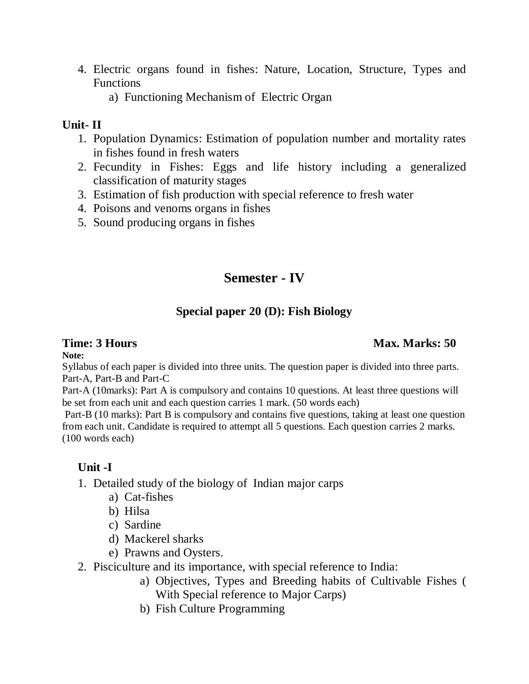- 4. Electric organs found in fishes: Nature, Location, Structure, Types and Functions
	- a) Functioning Mechanism of Electric Organ

#### **Unit- II**

- 1. Population Dynamics: Estimation of population number and mortality rates in fishes found in fresh waters
- 2. Fecundity in Fishes: Eggs and life history including a generalized classification of maturity stages
- 3. Estimation of fish production with special reference to fresh water
- 4. Poisons and venoms organs in fishes
- 5. Sound producing organs in fishes

# **Semester - IV**

# **Special paper 20 (D): Fish Biology**

#### **Note:**

Syllabus of each paper is divided into three units. The question paper is divided into three parts. Part-A, Part-B and Part-C

Part-A (10marks): Part A is compulsory and contains 10 questions. At least three questions will be set from each unit and each question carries 1 mark. (50 words each)

Part-B (10 marks): Part B is compulsory and contains five questions, taking at least one question from each unit. Candidate is required to attempt all 5 questions. Each question carries 2 marks. (100 words each)

# **Unit -I**

- 1. Detailed study of the biology of Indian major carps
	- a) Cat-fishes
	- b) Hilsa
	- c) Sardine
	- d) Mackerel sharks
	- e) Prawns and Oysters.
- 2. Pisciculture and its importance, with special reference to India:
	- a) Objectives, Types and Breeding habits of Cultivable Fishes ( With Special reference to Major Carps)
	- b) Fish Culture Programming

## **Time: 3 Hours Max. Marks: 50** *Max. Marks: 50* **Max. Marks: 50 Max. Marks: 50 Max. Marks: 50 Max. Marks: 50 Max. Marks: 50 Max. Marks: 50 Max. Marks: 50 Max. Marks: 50 Max. Marks: 50 Max. Marks: 50 Max. Marks: 50 Max. Marks**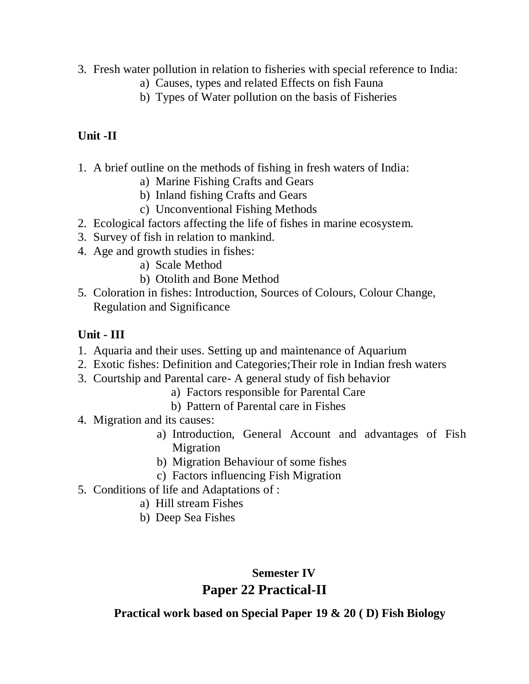- 3. Fresh water pollution in relation to fisheries with special reference to India:
	- a) Causes, types and related Effects on fish Fauna
	- b) Types of Water pollution on the basis of Fisheries

# **Unit -II**

- 1. A brief outline on the methods of fishing in fresh waters of India:
	- a) Marine Fishing Crafts and Gears
	- b) Inland fishing Crafts and Gears
	- c) Unconventional Fishing Methods
- 2. Ecological factors affecting the life of fishes in marine ecosystem.
- 3. Survey of fish in relation to mankind.
- 4. Age and growth studies in fishes:
	- a) Scale Method
	- b) Otolith and Bone Method
- 5. Coloration in fishes: Introduction, Sources of Colours, Colour Change, Regulation and Significance

## **Unit - III**

- 1. Aquaria and their uses. Setting up and maintenance of Aquarium
- 2. Exotic fishes: Definition and Categories;Their role in Indian fresh waters
- 3. Courtship and Parental care- A general study of fish behavior
	- a) Factors responsible for Parental Care
	- b) Pattern of Parental care in Fishes
- 4. Migration and its causes:
	- a) Introduction, General Account and advantages of Fish Migration
	- b) Migration Behaviour of some fishes
	- c) Factors influencing Fish Migration
- 5. Conditions of life and Adaptations of :
	- a) Hill stream Fishes
	- b) Deep Sea Fishes

## **Semester IV**

# **Paper 22 Practical-II**

**Practical work based on Special Paper 19 & 20 ( D) Fish Biology**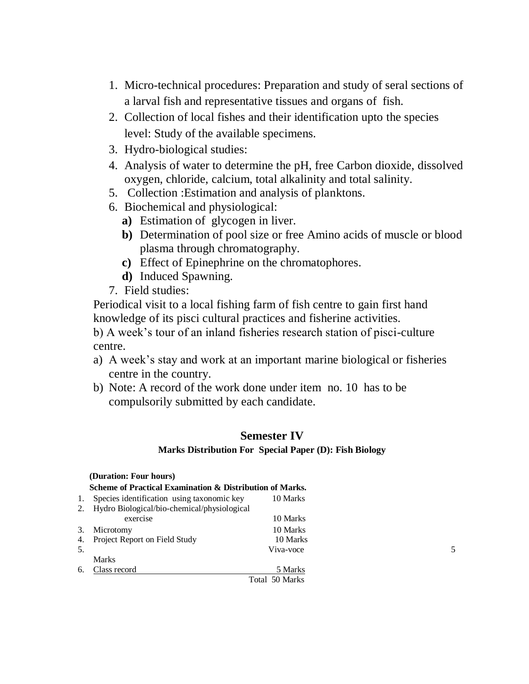- 1. Micro-technical procedures: Preparation and study of seral sections of a larval fish and representative tissues and organs of fish.
- 2. Collection of local fishes and their identification upto the species level: Study of the available specimens.
- 3. Hydro-biological studies:
- 4. Analysis of water to determine the pH, free Carbon dioxide, dissolved oxygen, chloride, calcium, total alkalinity and total salinity.
- 5. Collection :Estimation and analysis of planktons.
- 6. Biochemical and physiological:
	- **a)** Estimation of glycogen in liver.
	- **b)** Determination of pool size or free Amino acids of muscle or blood plasma through chromatography.
	- **c)** Effect of Epinephrine on the chromatophores.
	- **d)** Induced Spawning.
- 7. Field studies:

Periodical visit to a local fishing farm of fish centre to gain first hand knowledge of its pisci cultural practices and fisherine activities.

b) A week's tour of an inland fisheries research station of pisci-culture centre.

- a) A week's stay and work at an important marine biological or fisheries centre in the country.
- b) Note: A record of the work done under item no. 10 has to be compulsorily submitted by each candidate.

#### **Semester IV**

#### **Marks Distribution For Special Paper (D): Fish Biology**

|     | (Duration: Four hours)                                   |                |   |  |  |  |
|-----|----------------------------------------------------------|----------------|---|--|--|--|
|     | Scheme of Practical Examination & Distribution of Marks. |                |   |  |  |  |
| 1.  | Species identification using taxonomic key               | 10 Marks       |   |  |  |  |
|     | 2. Hydro Biological/bio-chemical/physiological           |                |   |  |  |  |
|     | exercise                                                 | 10 Marks       |   |  |  |  |
| 3.  | Microtomy                                                | 10 Marks       |   |  |  |  |
|     | 4. Project Report on Field Study                         | 10 Marks       |   |  |  |  |
| .5. |                                                          | Viva-voce      | 5 |  |  |  |
|     | <b>Marks</b>                                             |                |   |  |  |  |
| 6.  | Class record                                             | 5 Marks        |   |  |  |  |
|     |                                                          | Total 50 Marks |   |  |  |  |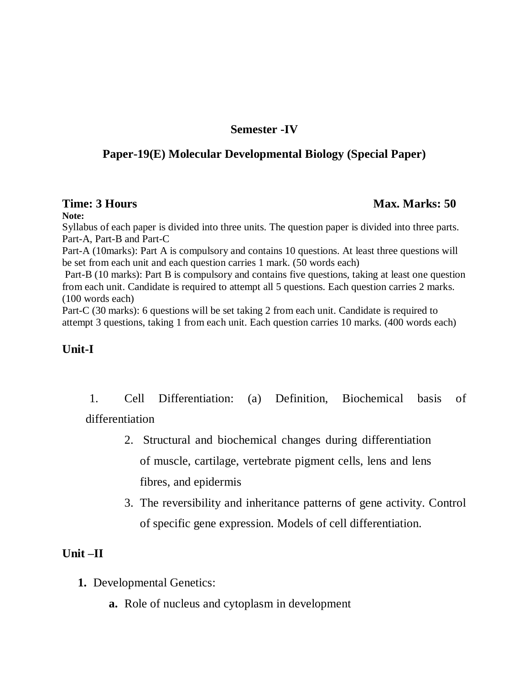#### **Semester -IV**

## **Paper-19(E) Molecular Developmental Biology (Special Paper)**

#### **Time: 3 Hours Max. Marks: 50** *Max. Marks: 50* **Max. Marks: 50 Max. Marks: 50 Max. Marks: 50 Max. Marks: 50 Max. Marks: 50 Max. Marks: 50 Max. Marks: 50 Max. Marks: 50 Max. Marks: 50 Max. Marks: 50 Max. Marks: 50 Max. Marks**

#### **Note:**

Syllabus of each paper is divided into three units. The question paper is divided into three parts. Part-A, Part-B and Part-C

Part-A (10marks): Part A is compulsory and contains 10 questions. At least three questions will be set from each unit and each question carries 1 mark. (50 words each)

Part-B (10 marks): Part B is compulsory and contains five questions, taking at least one question from each unit. Candidate is required to attempt all 5 questions. Each question carries 2 marks. (100 words each)

Part-C (30 marks): 6 questions will be set taking 2 from each unit. Candidate is required to attempt 3 questions, taking 1 from each unit. Each question carries 10 marks. (400 words each)

#### **Unit-I**

1. Cell Differentiation: (a) Definition, Biochemical basis of differentiation

- 2. Structural and biochemical changes during differentiation of muscle, cartilage, vertebrate pigment cells, lens and lens fibres, and epidermis
- 3. The reversibility and inheritance patterns of gene activity. Control of specific gene expression. Models of cell differentiation.

#### **Unit –II**

- **1.** Developmental Genetics:
	- **a.** Role of nucleus and cytoplasm in development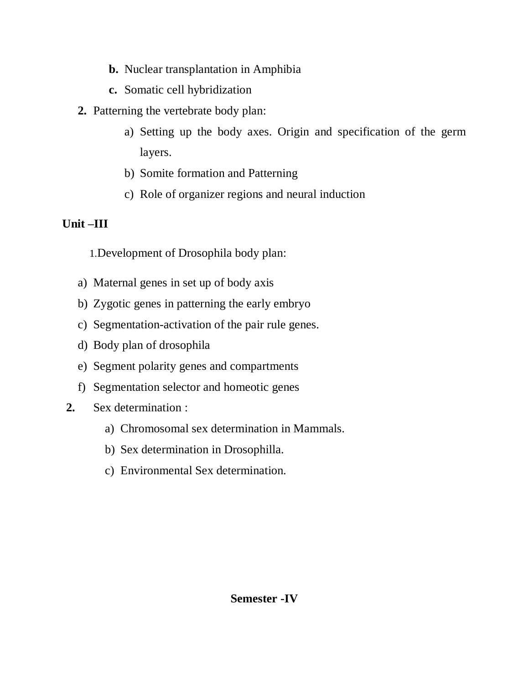- **b.** Nuclear transplantation in Amphibia
- **c.** Somatic cell hybridization
- **2.** Patterning the vertebrate body plan:
	- a) Setting up the body axes. Origin and specification of the germ layers.
	- b) Somite formation and Patterning
	- c) Role of organizer regions and neural induction

# **Unit –III**

1.Development of Drosophila body plan:

- a) Maternal genes in set up of body axis
- b) Zygotic genes in patterning the early embryo
- c) Segmentation-activation of the pair rule genes.
- d) Body plan of drosophila
- e) Segment polarity genes and compartments
- f) Segmentation selector and homeotic genes
- **2.** Sex determination :
	- a) Chromosomal sex determination in Mammals.
	- b) Sex determination in Drosophilla.
	- c) Environmental Sex determination.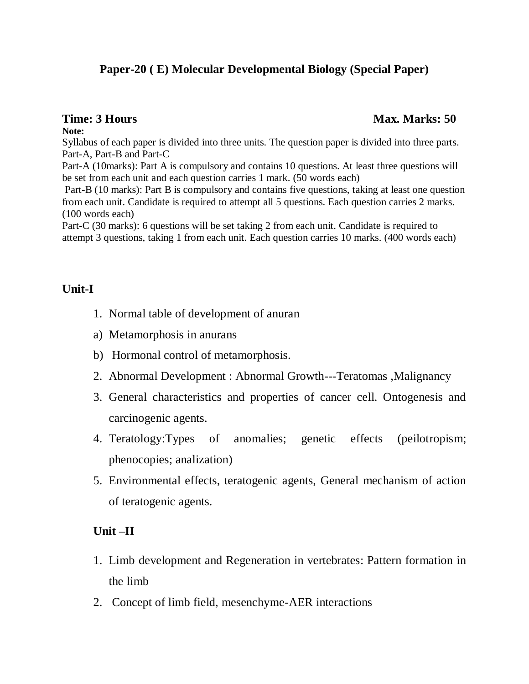## **Paper-20 ( E) Molecular Developmental Biology (Special Paper)**

#### **Note:**

Syllabus of each paper is divided into three units. The question paper is divided into three parts. Part-A, Part-B and Part-C

Part-A (10marks): Part A is compulsory and contains 10 questions. At least three questions will be set from each unit and each question carries 1 mark. (50 words each)

Part-B (10 marks): Part B is compulsory and contains five questions, taking at least one question from each unit. Candidate is required to attempt all 5 questions. Each question carries 2 marks. (100 words each)

Part-C (30 marks): 6 questions will be set taking 2 from each unit. Candidate is required to attempt 3 questions, taking 1 from each unit. Each question carries 10 marks. (400 words each)

#### **Unit-I**

- 1. Normal table of development of anuran
- a) Metamorphosis in anurans
- b) Hormonal control of metamorphosis.
- 2. Abnormal Development : Abnormal Growth---Teratomas ,Malignancy
- 3. General characteristics and properties of cancer cell. Ontogenesis and carcinogenic agents.
- 4. Teratology:Types of anomalies; genetic effects (peilotropism; phenocopies; analization)
- 5. Environmental effects, teratogenic agents, General mechanism of action of teratogenic agents.

## **Unit –II**

- 1. Limb development and Regeneration in vertebrates: Pattern formation in the limb
- 2. Concept of limb field, mesenchyme-AER interactions

#### **Time: 3 Hours Max. Marks: 50** *Max. Marks: 50* **Max. Marks: 50 Max. Marks: 50 Max. Marks: 50 Max. Marks: 50 Max. Marks: 50 Max. Marks: 50 Max. Marks: 50 Max. Marks: 50 Max. Marks: 50 Max. Marks: 50 Max. Marks: 50 Max. Marks**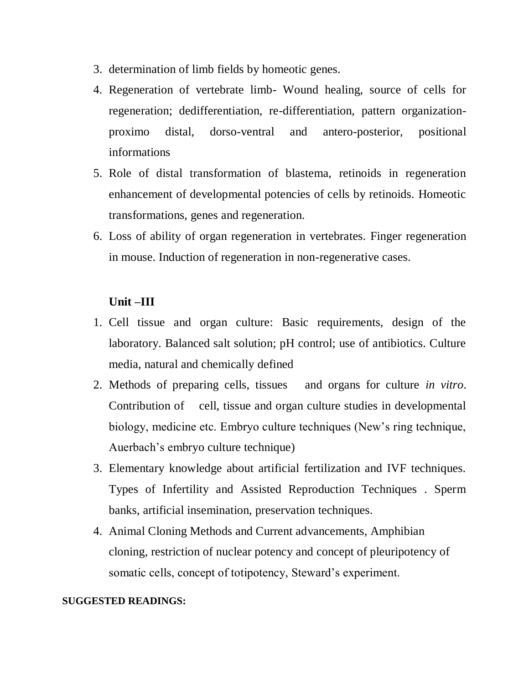- 3. determination of limb fields by homeotic genes.
- 4. Regeneration of vertebrate limb- Wound healing, source of cells for regeneration; dedifferentiation, re-differentiation, pattern organizationproximo distal, dorso-ventral and antero-posterior, positional informations
- 5. Role of distal transformation of blastema, retinoids in regeneration enhancement of developmental potencies of cells by retinoids. Homeotic transformations, genes and regeneration.
- 6. Loss of ability of organ regeneration in vertebrates. Finger regeneration in mouse. Induction of regeneration in non-regenerative cases.

#### **Unit –III**

- 1. Cell tissue and organ culture: Basic requirements, design of the laboratory. Balanced salt solution; pH control; use of antibiotics. Culture media, natural and chemically defined
- 2. Methods of preparing cells, tissues and organs for culture *in vitro*. Contribution of cell, tissue and organ culture studies in developmental biology, medicine etc. Embryo culture techniques (New's ring technique, Auerbach's embryo culture technique)
- 3. Elementary knowledge about artificial fertilization and IVF techniques. Types of Infertility and Assisted Reproduction Techniques . Sperm banks, artificial insemination, preservation techniques.
- 4. Animal Cloning Methods and Current advancements, Amphibian cloning, restriction of nuclear potency and concept of pleuripotency of somatic cells, concept of totipotency, Steward's experiment.

#### **SUGGESTED READINGS:**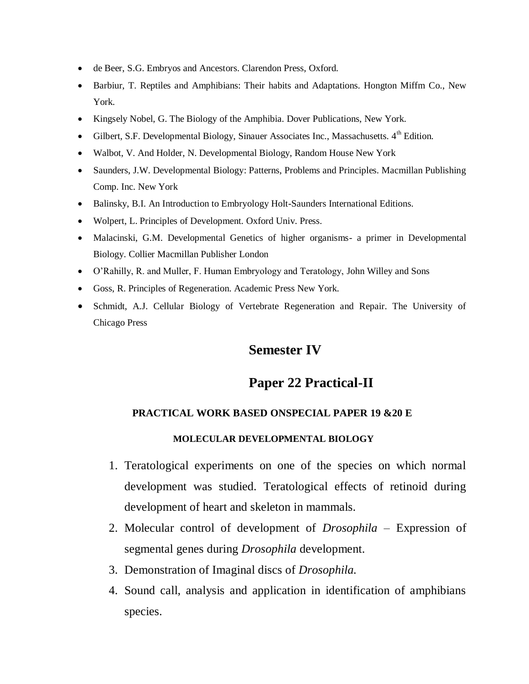- de Beer, S.G. Embryos and Ancestors. Clarendon Press, Oxford.
- Barbiur, T. Reptiles and Amphibians: Their habits and Adaptations. Hongton Miffm Co., New York.
- Kingsely Nobel, G. The Biology of the Amphibia. Dover Publications, New York.
- Gilbert, S.F. Developmental Biology, Sinauer Associates Inc., Massachusetts.  $4<sup>th</sup>$  Edition.
- Walbot, V. And Holder, N. Developmental Biology, Random House New York
- Saunders, J.W. Developmental Biology: Patterns, Problems and Principles. Macmillan Publishing Comp. Inc. New York
- Balinsky, B.I. An Introduction to Embryology Holt-Saunders International Editions.
- Wolpert, L. Principles of Development. Oxford Univ. Press.
- Malacinski, G.M. Developmental Genetics of higher organisms- a primer in Developmental Biology. Collier Macmillan Publisher London
- O'Rahilly, R. and Muller, F. Human Embryology and Teratology, John Willey and Sons
- Goss, R. Principles of Regeneration. Academic Press New York.
- Schmidt, A.J. Cellular Biology of Vertebrate Regeneration and Repair. The University of Chicago Press

# **Semester IV**

#### **Paper 22 Practical-II**

#### **PRACTICAL WORK BASED ONSPECIAL PAPER 19 &20 E**

#### **MOLECULAR DEVELOPMENTAL BIOLOGY**

- 1. Teratological experiments on one of the species on which normal development was studied. Teratological effects of retinoid during development of heart and skeleton in mammals.
- 2. Molecular control of development of *Drosophila* Expression of segmental genes during *Drosophila* development.
- 3. Demonstration of Imaginal discs of *Drosophila.*
- 4. Sound call, analysis and application in identification of amphibians species.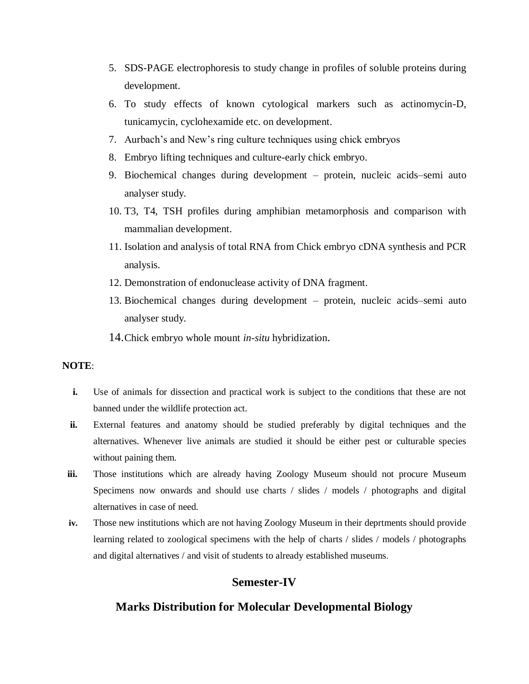- 5. SDS-PAGE electrophoresis to study change in profiles of soluble proteins during development.
- 6. To study effects of known cytological markers such as actinomycin-D, tunicamycin, cyclohexamide etc. on development.
- 7. Aurbach's and New's ring culture techniques using chick embryos
- 8. Embryo lifting techniques and culture-early chick embryo.
- 9. Biochemical changes during development protein, nucleic acids–semi auto analyser study.
- 10. T3, T4, TSH profiles during amphibian metamorphosis and comparison with mammalian development.
- 11. Isolation and analysis of total RNA from Chick embryo cDNA synthesis and PCR analysis.
- 12. Demonstration of endonuclease activity of DNA fragment.
- 13. Biochemical changes during development protein, nucleic acids–semi auto analyser study.
- 14.Chick embryo whole mount *in-situ* hybridization.

#### **NOTE**:

- **i.** Use of animals for dissection and practical work is subject to the conditions that these are not banned under the wildlife protection act.
- **ii.** External features and anatomy should be studied preferably by digital techniques and the alternatives. Whenever live animals are studied it should be either pest or culturable species without paining them.
- **iii.** Those institutions which are already having Zoology Museum should not procure Museum Specimens now onwards and should use charts / slides / models / photographs and digital alternatives in case of need.
- **iv.** Those new institutions which are not having Zoology Museum in their deprtments should provide learning related to zoological specimens with the help of charts / slides / models / photographs and digital alternatives / and visit of students to already established museums.

#### **Semester-IV**

#### **Marks Distribution for Molecular Developmental Biology**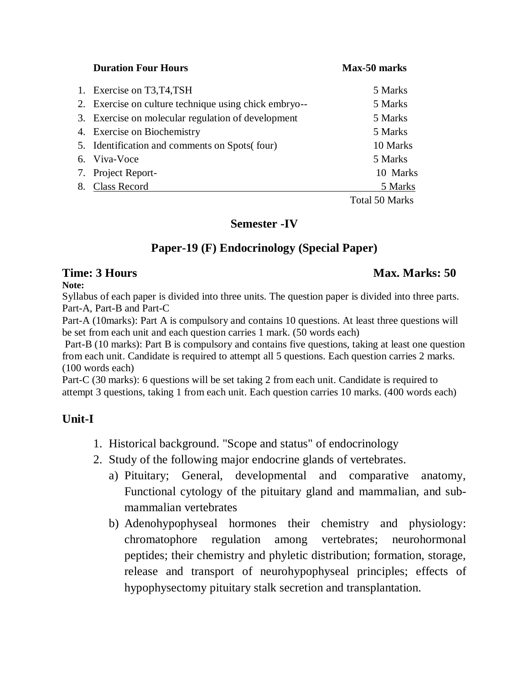**Duration Four Hours Max-50 marks** 1. Exercise on T3, T4, TSH 5 Marks 2. Exercise on culture technique using chick embryo-- 5 Marks 3. Exercise on molecular regulation of development 5 Marks 4. Exercise on Biochemistry 5 Marks 5. Identification and comments on Spots( four) 10 Marks 6. Viva-Voce 5 Marks 7. Project Report- 10 Marks 8. Class Record 5 Marks Total 50 Marks

#### **Semester -IV**

## **Paper-19 (F) Endocrinology (Special Paper)**

**Note:**

#### **Time: 3 Hours Max. Marks: 50** *Max. Marks: 50* **Max. Marks: 50 Max. Marks: 50 Max. Marks: 50 Max. Marks: 50 Max. Marks: 50 Max. Marks: 50 Max. Marks: 50 Max. Marks: 50 Max. Marks: 50 Max. Marks: 50 Max. Marks: 50 Max. Marks**

Syllabus of each paper is divided into three units. The question paper is divided into three parts. Part-A, Part-B and Part-C

Part-A (10marks): Part A is compulsory and contains 10 questions. At least three questions will be set from each unit and each question carries 1 mark. (50 words each)

Part-B (10 marks): Part B is compulsory and contains five questions, taking at least one question from each unit. Candidate is required to attempt all 5 questions. Each question carries 2 marks. (100 words each)

Part-C (30 marks): 6 questions will be set taking 2 from each unit. Candidate is required to attempt 3 questions, taking 1 from each unit. Each question carries 10 marks. (400 words each)

#### **Unit-I**

- 1. Historical background. "Scope and status" of endocrinology
- 2. Study of the following major endocrine glands of vertebrates.
	- a) Pituitary; General, developmental and comparative anatomy, Functional cytology of the pituitary gland and mammalian, and submammalian vertebrates
	- b) Adenohypophyseal hormones their chemistry and physiology: chromatophore regulation among vertebrates; neurohormonal peptides; their chemistry and phyletic distribution; formation, storage, release and transport of neurohypophyseal principles; effects of hypophysectomy pituitary stalk secretion and transplantation.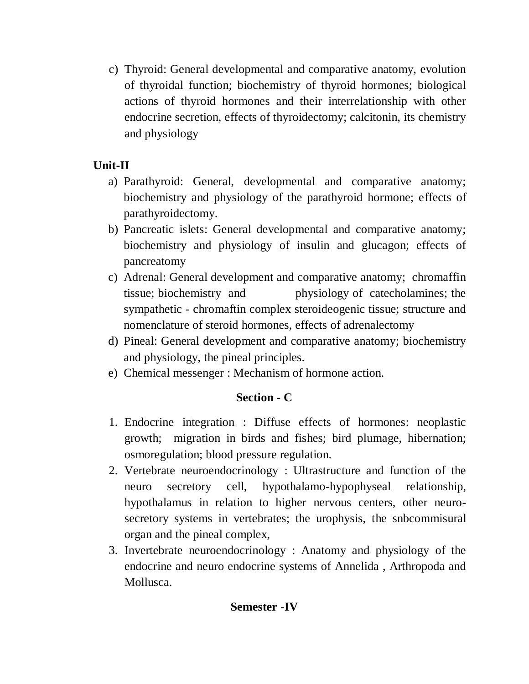c) Thyroid: General developmental and comparative anatomy, evolution of thyroidal function; biochemistry of thyroid hormones; biological actions of thyroid hormones and their interrelationship with other endocrine secretion, effects of thyroidectomy; calcitonin, its chemistry and physiology

# **Unit-II**

- a) Parathyroid: General, developmental and comparative anatomy; biochemistry and physiology of the parathyroid hormone; effects of parathyroidectomy.
- b) Pancreatic islets: General developmental and comparative anatomy; biochemistry and physiology of insulin and glucagon; effects of pancreatomy
- c) Adrenal: General development and comparative anatomy; chromaffin tissue; biochemistry and physiology of catecholamines; the sympathetic - chromaftin complex steroideogenic tissue; structure and nomenclature of steroid hormones, effects of adrenalectomy
- d) Pineal: General development and comparative anatomy; biochemistry and physiology, the pineal principles.
- e) Chemical messenger : Mechanism of hormone action.

# **Section - C**

- 1. Endocrine integration : Diffuse effects of hormones: neoplastic growth; migration in birds and fishes; bird plumage, hibernation; osmoregulation; blood pressure regulation.
- 2. Vertebrate neuroendocrinology : Ultrastructure and function of the neuro secretory cell, hypothalamo-hypophyseal relationship, hypothalamus in relation to higher nervous centers, other neurosecretory systems in vertebrates; the urophysis, the snbcommisural organ and the pineal complex,
- 3. Invertebrate neuroendocrinology : Anatomy and physiology of the endocrine and neuro endocrine systems of Annelida , Arthropoda and Mollusca.

# **Semester -IV**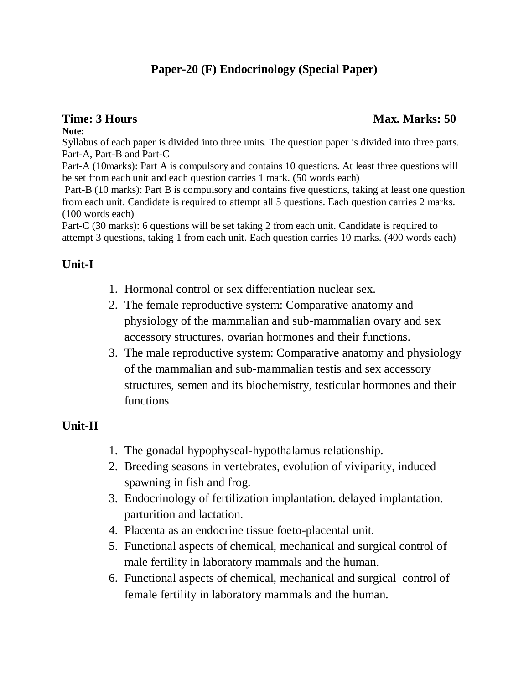# **Paper-20 (F) Endocrinology (Special Paper)**

#### **Note:**

Syllabus of each paper is divided into three units. The question paper is divided into three parts. Part-A, Part-B and Part-C

Part-A (10marks): Part A is compulsory and contains 10 questions. At least three questions will be set from each unit and each question carries 1 mark. (50 words each)

Part-B (10 marks): Part B is compulsory and contains five questions, taking at least one question from each unit. Candidate is required to attempt all 5 questions. Each question carries 2 marks. (100 words each)

Part-C (30 marks): 6 questions will be set taking 2 from each unit. Candidate is required to attempt 3 questions, taking 1 from each unit. Each question carries 10 marks. (400 words each)

#### **Unit-I**

- 1. Hormonal control or sex differentiation nuclear sex.
- 2. The female reproductive system: Comparative anatomy and physiology of the mammalian and sub-mammalian ovary and sex accessory structures, ovarian hormones and their functions.
- 3. The male reproductive system: Comparative anatomy and physiology of the mammalian and sub-mammalian testis and sex accessory structures, semen and its biochemistry, testicular hormones and their functions

## **Unit-II**

- 1. The gonadal hypophyseal-hypothalamus relationship.
- 2. Breeding seasons in vertebrates, evolution of viviparity, induced spawning in fish and frog.
- 3. Endocrinology of fertilization implantation. delayed implantation. parturition and lactation.
- 4. Placenta as an endocrine tissue foeto-placental unit.
- 5. Functional aspects of chemical, mechanical and surgical control of male fertility in laboratory mammals and the human.
- 6. Functional aspects of chemical, mechanical and surgical control of female fertility in laboratory mammals and the human.

#### **Time: 3 Hours** Max. Marks: 50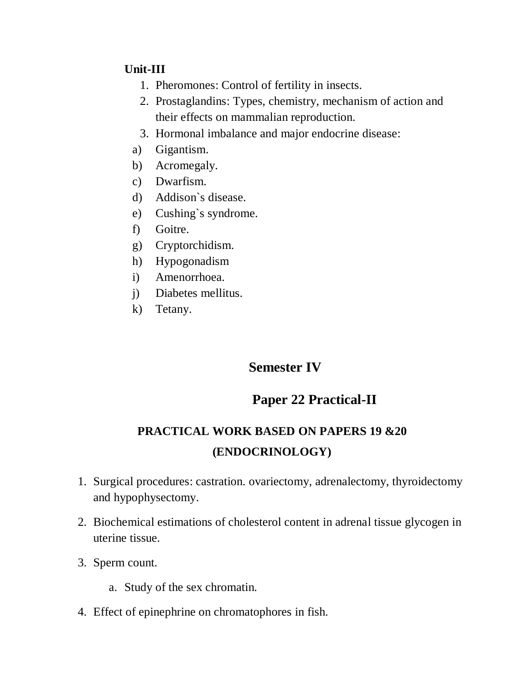## **Unit-III**

- 1. Pheromones: Control of fertility in insects.
- 2. Prostaglandins: Types, chemistry, mechanism of action and their effects on mammalian reproduction.
- 3. Hormonal imbalance and major endocrine disease:
- a) Gigantism.
- b) Acromegaly.
- c) Dwarfism.
- d) Addison`s disease.
- e) Cushing`s syndrome.
- f) Goitre.
- g) Cryptorchidism.
- h) Hypogonadism
- i) Amenorrhoea.
- j) Diabetes mellitus.
- k) Tetany.

# **Semester IV**

# **Paper 22 Practical-II**

# **PRACTICAL WORK BASED ON PAPERS 19 &20 (ENDOCRINOLOGY)**

- 1. Surgical procedures: castration. ovariectomy, adrenalectomy, thyroidectomy and hypophysectomy.
- 2. Biochemical estimations of cholesterol content in adrenal tissue glycogen in uterine tissue.
- 3. Sperm count.
	- a. Study of the sex chromatin.
- 4. Effect of epinephrine on chromatophores in fish.